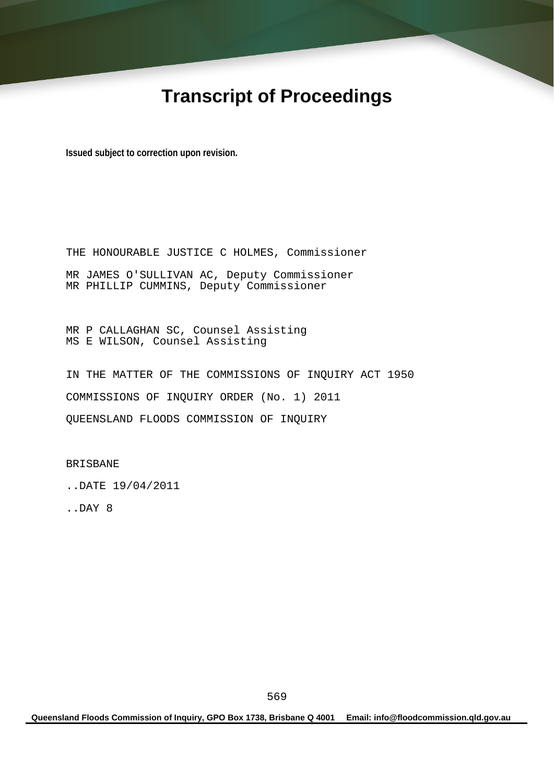# **Transcript of Proceedings**

**Issued subject to correction upon revision.** 

THE HONOURABLE JUSTICE C HOLMES, Commissioner MR JAMES O'SULLIVAN AC, Deputy Commissioner MR PHILLIP CUMMINS, Deputy Commissioner

MR P CALLAGHAN SC, Counsel Assisting MS E WILSON, Counsel Assisting

IN THE MATTER OF THE COMMISSIONS OF INQUIRY ACT 1950 COMMISSIONS OF INQUIRY ORDER (No. 1) 2011 QUEENSLAND FLOODS COMMISSION OF INQUIRY

BRISBANE

..DATE 19/04/2011

..DAY 8

**Queensland Floods Commission of Inquiry, GPO Box 1738, Brisbane Q 4001 Email: info@floodcommission.qld.gov.au**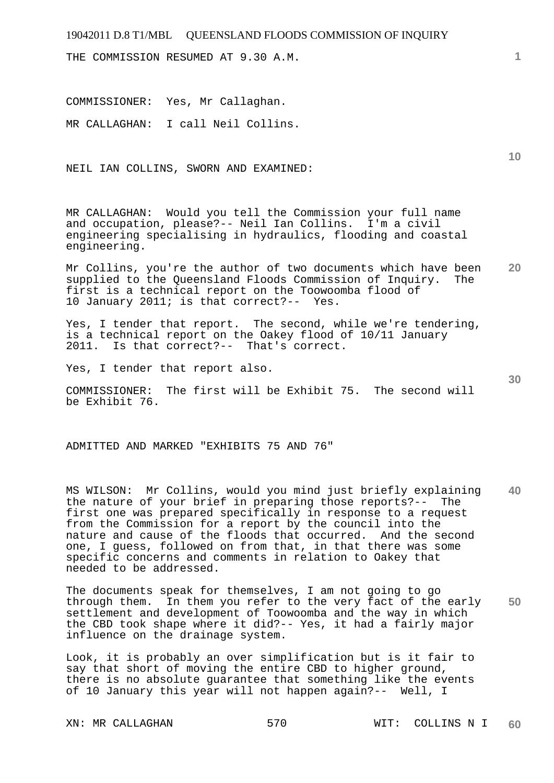THE COMMISSION RESUMED AT 9.30 A.M.

COMMISSIONER: Yes, Mr Callaghan.

MR CALLAGHAN: I call Neil Collins.

NEIL IAN COLLINS, SWORN AND EXAMINED:

MR CALLAGHAN: Would you tell the Commission your full name and occupation, please?-- Neil Ian Collins. I'm a civil engineering specialising in hydraulics, flooding and coastal engineering.

**20**  Mr Collins, you're the author of two documents which have been<br>supplied to the Oueensland Floods Commission of Inquiry. The supplied to the Queensland Floods Commission of Inquiry. first is a technical report on the Toowoomba flood of 10 January 2011; is that correct?-- Yes.

Yes, I tender that report. The second, while we're tendering, is a technical report on the Oakey flood of 10/11 January 2011. Is that correct?-- That's correct.

Yes, I tender that report also.

COMMISSIONER: The first will be Exhibit 75. The second will be Exhibit 76.

ADMITTED AND MARKED "EXHIBITS 75 AND 76"

**40**  MS WILSON: Mr Collins, would you mind just briefly explaining the nature of your brief in preparing those reports?-- The first one was prepared specifically in response to a request from the Commission for a report by the council into the nature and cause of the floods that occurred. And the second one, I guess, followed on from that, in that there was some specific concerns and comments in relation to Oakey that needed to be addressed.

**50**  The documents speak for themselves, I am not going to go through them. In them you refer to the very fact of the early settlement and development of Toowoomba and the way in which the CBD took shape where it did?-- Yes, it had a fairly major influence on the drainage system.

Look, it is probably an over simplification but is it fair to say that short of moving the entire CBD to higher ground, there is no absolute guarantee that something like the events of 10 January this year will not happen again?-- Well, I

**10**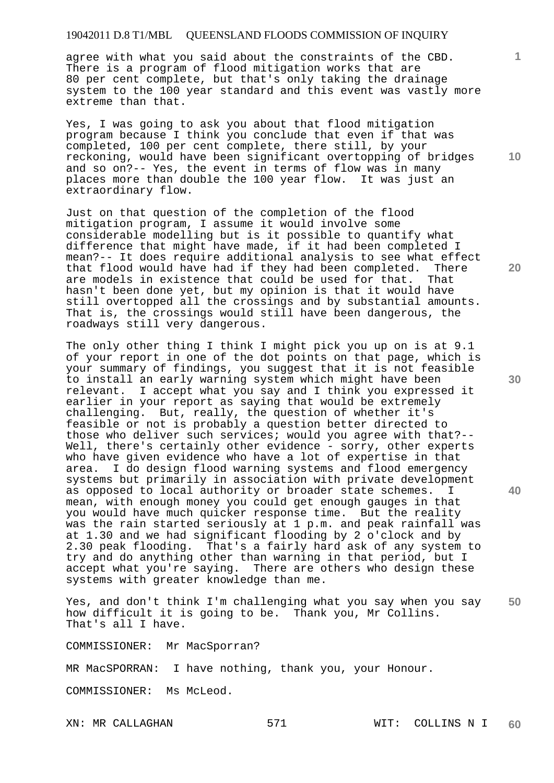agree with what you said about the constraints of the CBD. There is a program of flood mitigation works that are 80 per cent complete, but that's only taking the drainage system to the 100 year standard and this event was vastly more extreme than that.

Yes, I was going to ask you about that flood mitigation program because I think you conclude that even if that was completed, 100 per cent complete, there still, by your reckoning, would have been significant overtopping of bridges and so on?-- Yes, the event in terms of flow was in many places more than double the 100 year flow. It was just an extraordinary flow.

Just on that question of the completion of the flood mitigation program, I assume it would involve some considerable modelling but is it possible to quantify what difference that might have made, if it had been completed I mean?-- It does require additional analysis to see what effect that flood would have had if they had been completed. There<br>are models in existence that could be used for that. That are models in existence that could be used for that. hasn't been done yet, but my opinion is that it would have still overtopped all the crossings and by substantial amounts. That is, the crossings would still have been dangerous, the roadways still very dangerous.

The only other thing I think I might pick you up on is at 9.1 of your report in one of the dot points on that page, which is your summary of findings, you suggest that it is not feasible to install an early warning system which might have been relevant. I accept what you say and I think you expressed it earlier in your report as saying that would be extremely challenging. But, really, the question of whether it's feasible or not is probably a question better directed to those who deliver such services; would you agree with that?-- Well, there's certainly other evidence - sorry, other experts who have given evidence who have a lot of expertise in that area. I do design flood warning systems and flood emergency systems but primarily in association with private development as opposed to local authority or broader state schemes. I mean, with enough money you could get enough gauges in that you would have much quicker response time. But the reality was the rain started seriously at 1 p.m. and peak rainfall was at 1.30 and we had significant flooding by 2 o'clock and by 2.30 peak flooding. That's a fairly hard ask of any system to try and do anything other than warning in that period, but I accept what you're saying. There are others who design these systems with greater knowledge than me.

**50**  Yes, and don't think I'm challenging what you say when you say how difficult it is going to be. Thank you, Mr Collins. That's all I have.

COMMISSIONER: Mr MacSporran?

MR MacSPORRAN: I have nothing, thank you, your Honour.

COMMISSIONER: Ms McLeod.

**10** 

**1**

**20** 

**30**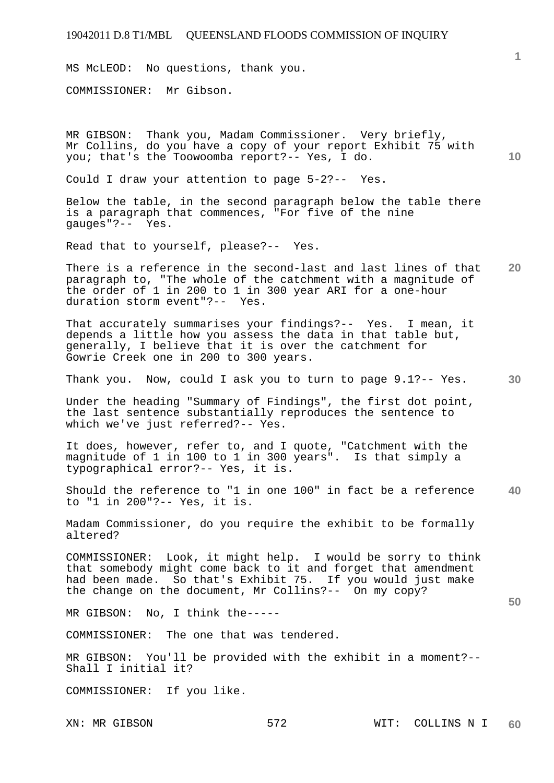MS McLEOD: No questions, thank you.

COMMISSIONER: Mr Gibson.

**10**  MR GIBSON: Thank you, Madam Commissioner. Very briefly, Mr Collins, do you have a copy of your report Exhibit 75 with you; that's the Toowoomba report?-- Yes, I do.

Could I draw your attention to page 5-2?-- Yes.

Below the table, in the second paragraph below the table there is a paragraph that commences, "For five of the nine gauges"?-- Yes.

Read that to yourself, please?-- Yes.

**20**  There is a reference in the second-last and last lines of that paragraph to, "The whole of the catchment with a magnitude of the order of 1 in 200 to 1 in 300 year ARI for a one-hour duration storm event"?-- Yes.

That accurately summarises your findings?-- Yes. I mean, it depends a little how you assess the data in that table but, generally, I believe that it is over the catchment for Gowrie Creek one in 200 to 300 years.

Thank you. Now, could I ask you to turn to page 9.1?-- Yes.

Under the heading "Summary of Findings", the first dot point, the last sentence substantially reproduces the sentence to which we've just referred?-- Yes.

It does, however, refer to, and I quote, "Catchment with the magnitude of 1 in 100 to 1 in 300 years". Is that simply a typographical error?-- Yes, it is.

**40**  Should the reference to "1 in one 100" in fact be a reference to "1 in 200"?-- Yes, it is.

Madam Commissioner, do you require the exhibit to be formally altered?

COMMISSIONER: Look, it might help. I would be sorry to think that somebody might come back to it and forget that amendment had been made. So that's Exhibit 75. If you would just make the change on the document, Mr Collins?-- On my copy?

MR GIBSON: No, I think the-----

COMMISSIONER: The one that was tendered.

MR GIBSON: You'll be provided with the exhibit in a moment?-- Shall I initial it?

COMMISSIONER: If you like.

**1**

**30**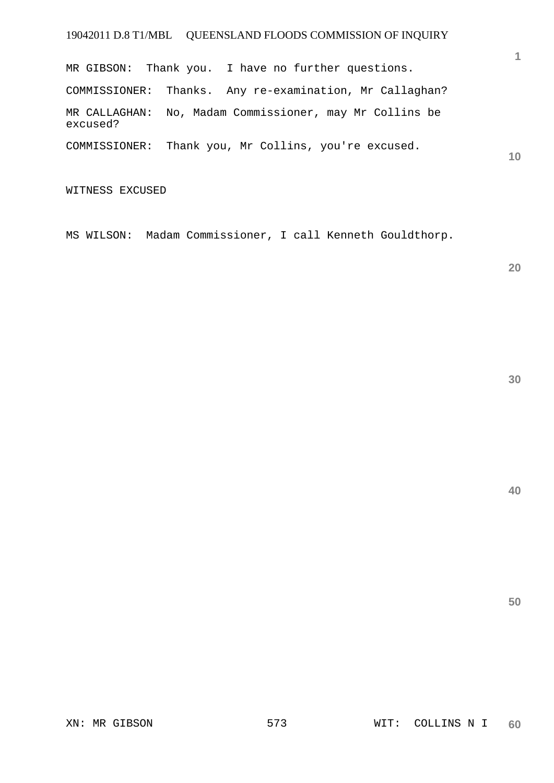MR GIBSON: Thank you. I have no further questions. COMMISSIONER: Thanks. Any re-examination, Mr Callaghan? MR CALLAGHAN: No, Madam Commissioner, may Mr Collins be excused? COMMISSIONER: Thank you, Mr Collins, you're excused.

WITNESS EXCUSED

MS WILSON: Madam Commissioner, I call Kenneth Gouldthorp.

**20** 

**1**

**10** 

**40**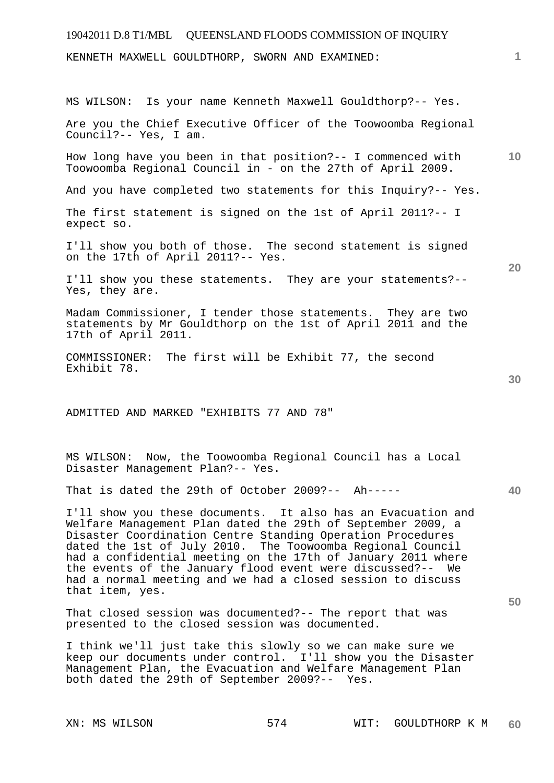| 19042011 D.8 T1/MBL  QUEENSLAND FLOODS COMMISSION OF INQUIRY                                                                                                                                                                                                                                                                                                                                                                                                            |                 |
|-------------------------------------------------------------------------------------------------------------------------------------------------------------------------------------------------------------------------------------------------------------------------------------------------------------------------------------------------------------------------------------------------------------------------------------------------------------------------|-----------------|
| KENNETH MAXWELL GOULDTHORP, SWORN AND EXAMINED:                                                                                                                                                                                                                                                                                                                                                                                                                         | 1               |
|                                                                                                                                                                                                                                                                                                                                                                                                                                                                         |                 |
| Is your name Kenneth Maxwell Gouldthorp?-- Yes.<br>MS WILSON:                                                                                                                                                                                                                                                                                                                                                                                                           |                 |
| Are you the Chief Executive Officer of the Toowoomba Regional<br>Council?-- Yes, I am.                                                                                                                                                                                                                                                                                                                                                                                  |                 |
| How long have you been in that position?-- I commenced with<br>Toowoomba Regional Council in - on the 27th of April 2009.                                                                                                                                                                                                                                                                                                                                               | 10 <sup>°</sup> |
| And you have completed two statements for this Inquiry?-- Yes.                                                                                                                                                                                                                                                                                                                                                                                                          |                 |
| The first statement is signed on the 1st of April 2011?-- I<br>expect so.                                                                                                                                                                                                                                                                                                                                                                                               |                 |
| I'll show you both of those. The second statement is signed<br>on the 17th of April 2011?-- Yes.                                                                                                                                                                                                                                                                                                                                                                        | 20              |
| I'll show you these statements. They are your statements?--<br>Yes, they are.                                                                                                                                                                                                                                                                                                                                                                                           |                 |
| Madam Commissioner, I tender those statements. They are two<br>statements by Mr Gouldthorp on the 1st of April 2011 and the<br>17th of April 2011.                                                                                                                                                                                                                                                                                                                      |                 |
| COMMISSIONER: The first will be Exhibit 77, the second<br>Exhibit 78.                                                                                                                                                                                                                                                                                                                                                                                                   |                 |
|                                                                                                                                                                                                                                                                                                                                                                                                                                                                         | 30              |
| ADMITTED AND MARKED "EXHIBITS 77 AND 78"                                                                                                                                                                                                                                                                                                                                                                                                                                |                 |
| MS WILSON: Now, the Toowoomba Regional Council has a Local<br>Disaster Management Plan?-- Yes.                                                                                                                                                                                                                                                                                                                                                                          |                 |
| That is dated the 29th of October 2009?-- Ah-----                                                                                                                                                                                                                                                                                                                                                                                                                       | 40              |
| I'll show you these documents. It also has an Evacuation and<br>Welfare Management Plan dated the 29th of September 2009, a<br>Disaster Coordination Centre Standing Operation Procedures<br>dated the 1st of July 2010. The Toowoomba Regional Council<br>had a confidential meeting on the 17th of January 2011 where<br>the events of the January flood event were discussed?-- We<br>had a normal meeting and we had a closed session to discuss<br>that item, yes. |                 |
| That closed session was documented?-- The report that was                                                                                                                                                                                                                                                                                                                                                                                                               | 50              |
| presented to the closed session was documented.                                                                                                                                                                                                                                                                                                                                                                                                                         |                 |
| I think we'll just take this slowly so we can make sure we<br>keep our documents under control. I'll show you the Disaster<br>Management Plan, the Evacuation and Welfare Management Plan<br>both dated the 29th of September 2009?-- Yes.                                                                                                                                                                                                                              |                 |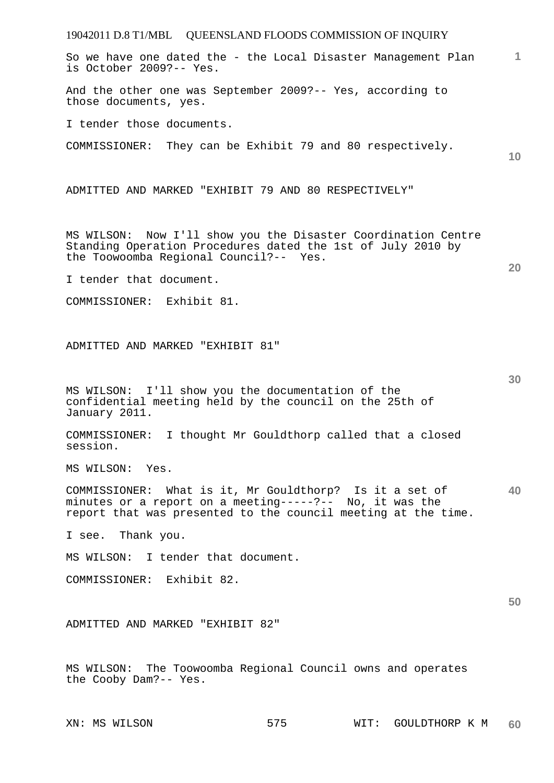19042011 D.8 T1/MBL QUEENSLAND FLOODS COMMISSION OF INQUIRY **1 10 20 30 40 50**  So we have one dated the - the Local Disaster Management Plan is October 2009?-- Yes. And the other one was September 2009?-- Yes, according to those documents, yes. I tender those documents. COMMISSIONER: They can be Exhibit 79 and 80 respectively. ADMITTED AND MARKED "EXHIBIT 79 AND 80 RESPECTIVELY" MS WILSON: Now I'll show you the Disaster Coordination Centre Standing Operation Procedures dated the 1st of July 2010 by the Toowoomba Regional Council?-- Yes. I tender that document. COMMISSIONER: Exhibit 81. ADMITTED AND MARKED "EXHIBIT 81" MS WILSON: I'll show you the documentation of the confidential meeting held by the council on the 25th of January 2011. COMMISSIONER: I thought Mr Gouldthorp called that a closed session. MS WILSON: Yes. COMMISSIONER: What is it, Mr Gouldthorp? Is it a set of minutes or a report on a meeting-----?-- No, it was the report that was presented to the council meeting at the time. I see. Thank you. MS WILSON: I tender that document. COMMISSIONER: Exhibit 82. ADMITTED AND MARKED "EXHIBIT 82" MS WILSON: The Toowoomba Regional Council owns and operates the Cooby Dam?-- Yes.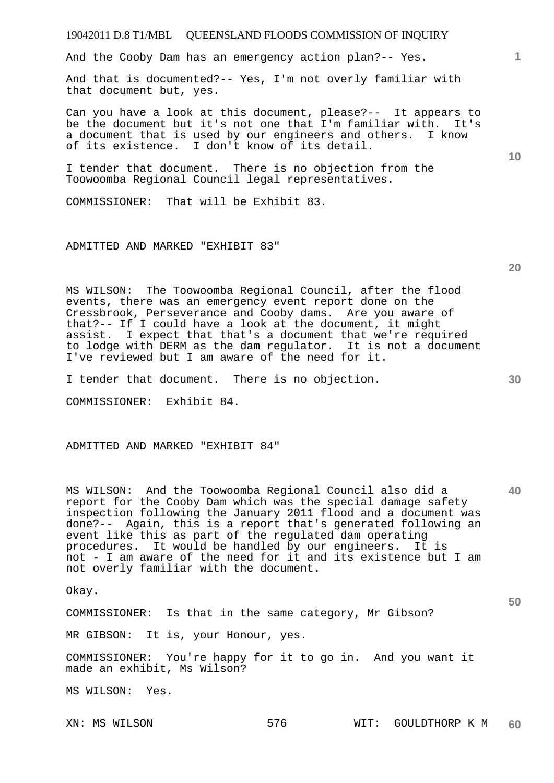## **1 10 20**  And the Cooby Dam has an emergency action plan?-- Yes. And that is documented?-- Yes, I'm not overly familiar with that document but, yes. Can you have a look at this document, please?-- It appears to be the document but it's not one that I'm familiar with. It's a document that is used by our engineers and others. I know of its existence. I don't know of its detail. I tender that document. There is no objection from the Toowoomba Regional Council legal representatives. COMMISSIONER: That will be Exhibit 83. ADMITTED AND MARKED "EXHIBIT 83" MS WILSON: The Toowoomba Regional Council, after the flood events, there was an emergency event report done on the Cressbrook, Perseverance and Cooby dams. Are you aware of that?-- If I could have a look at the document, it might assist. I expect that that's a document that we're required to lodge with DERM as the dam regulator. It is not a document

19042011 D.8 T1/MBL QUEENSLAND FLOODS COMMISSION OF INQUIRY

ADMITTED AND MARKED "EXHIBIT 84" MS WILSON: And the Toowoomba Regional Council also did a report for the Cooby Dam which was the special damage safety inspection following the January 2011 flood and a document was done?-- Again, this is a report that's generated following an

I've reviewed but I am aware of the need for it.

I tender that document. There is no objection.

COMMISSIONER: Exhibit 84.

event like this as part of the regulated dam operating procedures. It would be handled by our engineers. It is not - I am aware of the need for it and its existence but I am not overly familiar with the document.

Okay.

COMMISSIONER: Is that in the same category, Mr Gibson?

MR GIBSON: It is, your Honour, yes.

COMMISSIONER: You're happy for it to go in. And you want it made an exhibit, Ms Wilson?

MS WILSON: Yes.

**30** 

**40**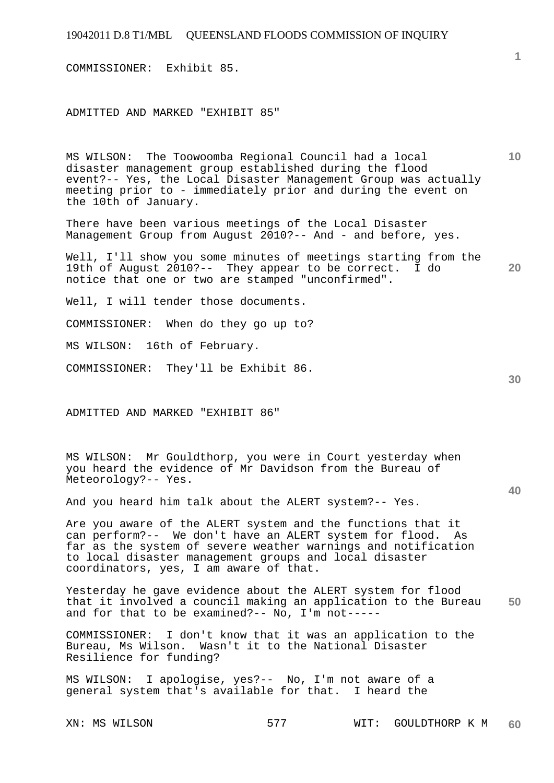COMMISSIONER: Exhibit 85.

ADMITTED AND MARKED "EXHIBIT 85"

**10**  MS WILSON: The Toowoomba Regional Council had a local disaster management group established during the flood event?-- Yes, the Local Disaster Management Group was actually meeting prior to - immediately prior and during the event on the 10th of January.

There have been various meetings of the Local Disaster Management Group from August 2010?-- And - and before, yes.

**20**  Well, I'll show you some minutes of meetings starting from the 19th of August 2010?-- They appear to be correct. I do notice that one or two are stamped "unconfirmed".

Well, I will tender those documents.

COMMISSIONER: When do they go up to?

MS WILSON: 16th of February.

COMMISSIONER: They'll be Exhibit 86.

ADMITTED AND MARKED "EXHIBIT 86"

MS WILSON: Mr Gouldthorp, you were in Court yesterday when you heard the evidence of Mr Davidson from the Bureau of Meteorology?-- Yes.

And you heard him talk about the ALERT system?-- Yes.

Are you aware of the ALERT system and the functions that it can perform?-- We don't have an ALERT system for flood. As far as the system of severe weather warnings and notification to local disaster management groups and local disaster coordinators, yes, I am aware of that.

**50**  Yesterday he gave evidence about the ALERT system for flood that it involved a council making an application to the Bureau and for that to be examined?-- No, I'm not-----

COMMISSIONER: I don't know that it was an application to the Bureau, Ms Wilson. Wasn't it to the National Disaster Resilience for funding?

MS WILSON: I apologise, yes?-- No, I'm not aware of a general system that's available for that. I heard the

XN: MS WILSON 577 WIT: GOULDTHORP K M **60**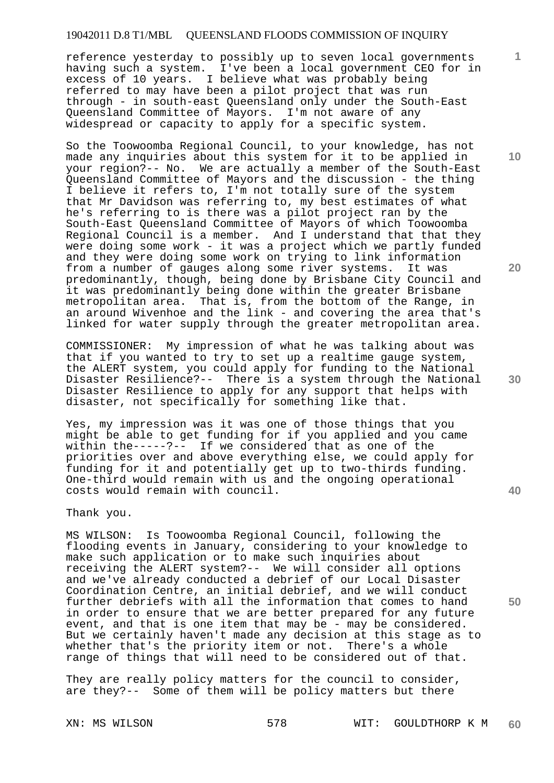reference yesterday to possibly up to seven local governments having such a system. I've been a local government CEO for in excess of 10 years. I believe what was probably being referred to may have been a pilot project that was run through - in south-east Queensland only under the South-East Queensland Committee of Mayors. I'm not aware of any widespread or capacity to apply for a specific system.

So the Toowoomba Regional Council, to your knowledge, has not made any inquiries about this system for it to be applied in your region?-- No. We are actually a member of the South-East Queensland Committee of Mayors and the discussion - the thing I believe it refers to, I'm not totally sure of the system that Mr Davidson was referring to, my best estimates of what he's referring to is there was a pilot project ran by the South-East Queensland Committee of Mayors of which Toowoomba Regional Council is a member. And I understand that that they were doing some work - it was a project which we partly funded and they were doing some work on trying to link information from a number of gauges along some river systems. It was predominantly, though, being done by Brisbane City Council and it was predominantly being done within the greater Brisbane metropolitan area. That is, from the bottom of the Range, in an around Wivenhoe and the link - and covering the area that's linked for water supply through the greater metropolitan area.

COMMISSIONER: My impression of what he was talking about was that if you wanted to try to set up a realtime gauge system, the ALERT system, you could apply for funding to the National Disaster Resilience?-- There is a system through the National Disaster Resilience to apply for any support that helps with disaster, not specifically for something like that.

Yes, my impression was it was one of those things that you might be able to get funding for if you applied and you came within the-----?-- If we considered that as one of the priorities over and above everything else, we could apply for funding for it and potentially get up to two-thirds funding. One-third would remain with us and the ongoing operational costs would remain with council.

Thank you.

MS WILSON: Is Toowoomba Regional Council, following the flooding events in January, considering to your knowledge to make such application or to make such inquiries about receiving the ALERT system?-- We will consider all options and we've already conducted a debrief of our Local Disaster Coordination Centre, an initial debrief, and we will conduct further debriefs with all the information that comes to hand in order to ensure that we are better prepared for any future event, and that is one item that may be - may be considered. But we certainly haven't made any decision at this stage as to whether that's the priority item or not. There's a whole range of things that will need to be considered out of that.

They are really policy matters for the council to consider, are they?-- Some of them will be policy matters but there

**10** 

**1**

**20** 

**30** 

**50**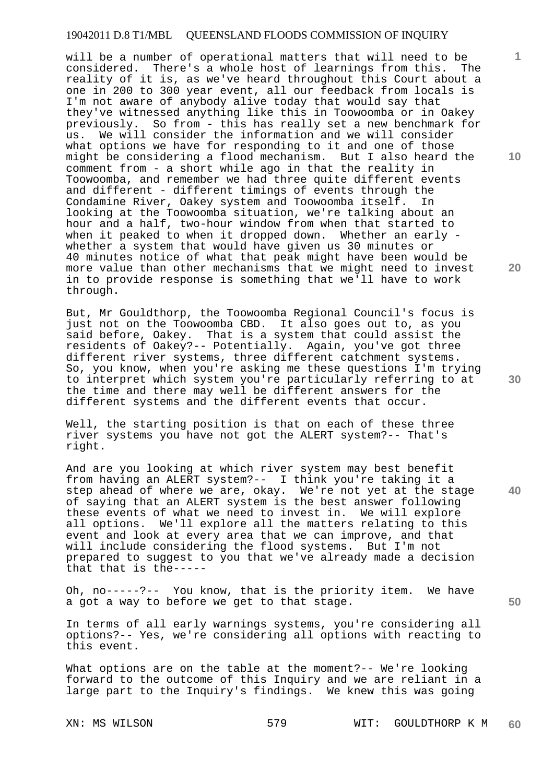will be a number of operational matters that will need to be considered. There's a whole host of learnings from this. The reality of it is, as we've heard throughout this Court about a one in 200 to 300 year event, all our feedback from locals is I'm not aware of anybody alive today that would say that they've witnessed anything like this in Toowoomba or in Oakey previously. So from - this has really set a new benchmark for us. We will consider the information and we will consider what options we have for responding to it and one of those might be considering a flood mechanism. But I also heard the comment from - a short while ago in that the reality in Toowoomba, and remember we had three quite different events and different - different timings of events through the Condamine River, Oakey system and Toowoomba itself. In looking at the Toowoomba situation, we're talking about an hour and a half, two-hour window from when that started to when it peaked to when it dropped down. Whether an early whether a system that would have given us 30 minutes or 40 minutes notice of what that peak might have been would be more value than other mechanisms that we might need to invest in to provide response is something that we'll have to work through.

But, Mr Gouldthorp, the Toowoomba Regional Council's focus is just not on the Toowoomba CBD. It also goes out to, as you said before, Oakey. That is a system that could assist the residents of Oakey?-- Potentially. Again, you've got three different river systems, three different catchment systems. So, you know, when you're asking me these questions I'm trying to interpret which system you're particularly referring to at the time and there may well be different answers for the different systems and the different events that occur.

Well, the starting position is that on each of these three river systems you have not got the ALERT system?-- That's right.

And are you looking at which river system may best benefit from having an ALERT system?-- I think you're taking it a step ahead of where we are, okay. We're not yet at the stage of saying that an ALERT system is the best answer following these events of what we need to invest in. We will explore all options. We'll explore all the matters relating to this event and look at every area that we can improve, and that will include considering the flood systems. But I'm not prepared to suggest to you that we've already made a decision that that is the-----

Oh, no-----?-- You know, that is the priority item. We have a got a way to before we get to that stage.

In terms of all early warnings systems, you're considering all options?-- Yes, we're considering all options with reacting to this event.

What options are on the table at the moment?-- We're looking forward to the outcome of this Inquiry and we are reliant in a large part to the Inquiry's findings. We knew this was going

**10** 

**1**

**20** 

**30** 

**40**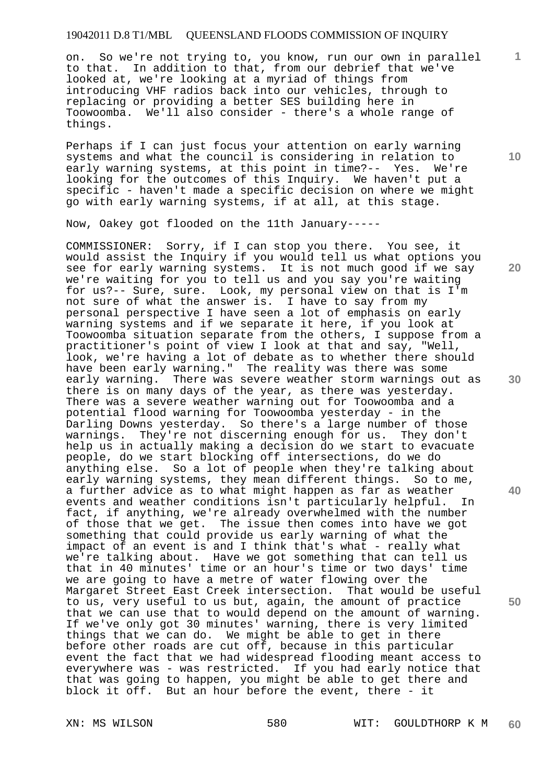on. So we're not trying to, you know, run our own in parallel to that. In addition to that, from our debrief that we've looked at, we're looking at a myriad of things from introducing VHF radios back into our vehicles, through to replacing or providing a better SES building here in Toowoomba. We'll also consider - there's a whole range of things.

Perhaps if I can just focus your attention on early warning systems and what the council is considering in relation to early warning systems, at this point in time?-- Yes. We're looking for the outcomes of this Inquiry. We haven't put a specific - haven't made a specific decision on where we might go with early warning systems, if at all, at this stage.

Now, Oakey got flooded on the 11th January-----

COMMISSIONER: Sorry, if I can stop you there. You see, it would assist the Inquiry if you would tell us what options you see for early warning systems. It is not much good if we say we're waiting for you to tell us and you say you're waiting for us?-- Sure, sure. Look, my personal view on that is I'm not sure of what the answer is. I have to say from my personal perspective I have seen a lot of emphasis on early warning systems and if we separate it here, if you look at Toowoomba situation separate from the others, I suppose from a practitioner's point of view I look at that and say, "Well, look, we're having a lot of debate as to whether there should have been early warning." The reality was there was some early warning. There was severe weather storm warnings out as there is on many days of the year, as there was yesterday. There was a severe weather warning out for Toowoomba and a potential flood warning for Toowoomba yesterday - in the Darling Downs yesterday. So there's a large number of those warnings. They're not discerning enough for us. They don't help us in actually making a decision do we start to evacuate people, do we start blocking off intersections, do we do anything else. So a lot of people when they're talking about early warning systems, they mean different things. So to me, a further advice as to what might happen as far as weather events and weather conditions isn't particularly helpful. In fact, if anything, we're already overwhelmed with the number of those that we get. The issue then comes into have we got something that could provide us early warning of what the impact of an event is and I think that's what - really what we're talking about. Have we got something that can tell us that in 40 minutes' time or an hour's time or two days' time we are going to have a metre of water flowing over the Margaret Street East Creek intersection. That would be useful to us, very useful to us but, again, the amount of practice that we can use that to would depend on the amount of warning. If we've only got 30 minutes' warning, there is very limited things that we can do. We might be able to get in there before other roads are cut off, because in this particular event the fact that we had widespread flooding meant access to everywhere was - was restricted. If you had early notice that that was going to happen, you might be able to get there and block it off. But an hour before the event, there - it

**10** 

**1**

**20** 

**30** 

**40**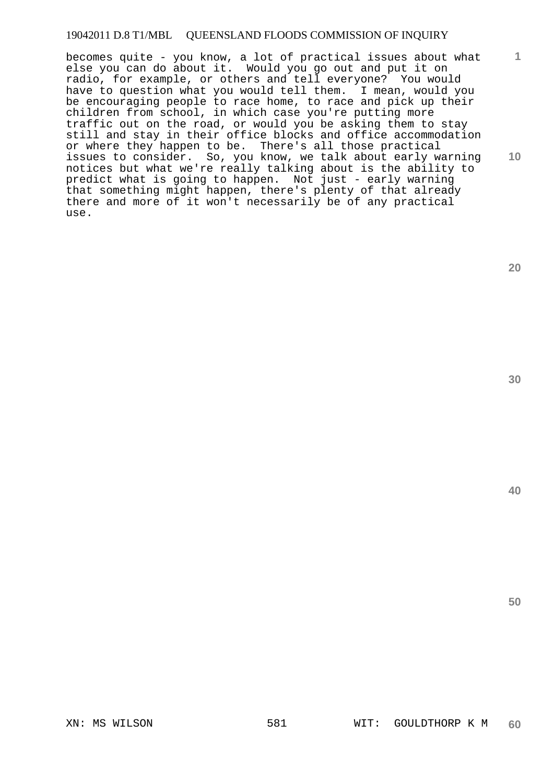**10**  becomes quite - you know, a lot of practical issues about what else you can do about it. Would you go out and put it on radio, for example, or others and tell everyone? You would have to question what you would tell them. I mean, would you be encouraging people to race home, to race and pick up their children from school, in which case you're putting more traffic out on the road, or would you be asking them to stay still and stay in their office blocks and office accommodation or where they happen to be. There's all those practical issues to consider. So, you know, we talk about early warning notices but what we're really talking about is the ability to predict what is going to happen. Not just - early warning that something might happen, there's plenty of that already there and more of it won't necessarily be of any practical use.

**20** 

**1**

**30** 

**40**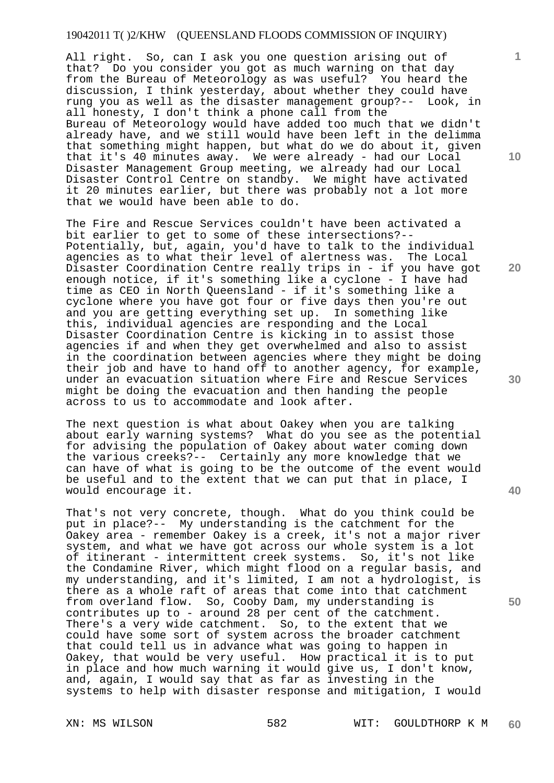All right. So, can I ask you one question arising out of that? Do you consider you got as much warning on that day from the Bureau of Meteorology as was useful? You heard the discussion, I think yesterday, about whether they could have rung you as well as the disaster management group?-- Look, in all honesty, I don't think a phone call from the Bureau of Meteorology would have added too much that we didn't already have, and we still would have been left in the delimma that something might happen, but what do we do about it, given that it's 40 minutes away. We were already - had our Local Disaster Management Group meeting, we already had our Local Disaster Control Centre on standby. We might have activated it 20 minutes earlier, but there was probably not a lot more that we would have been able to do.

The Fire and Rescue Services couldn't have been activated a bit earlier to get to some of these intersections?-- Potentially, but, again, you'd have to talk to the individual agencies as to what their level of alertness was. The Local Disaster Coordination Centre really trips in - if you have got enough notice, if it's something like a cyclone - I have had time as CEO in North Queensland - if it's something like a cyclone where you have got four or five days then you're out and you are getting everything set up. In something like this, individual agencies are responding and the Local Disaster Coordination Centre is kicking in to assist those agencies if and when they get overwhelmed and also to assist in the coordination between agencies where they might be doing their job and have to hand off to another agency, for example, under an evacuation situation where Fire and Rescue Services might be doing the evacuation and then handing the people across to us to accommodate and look after.

The next question is what about Oakey when you are talking about early warning systems? What do you see as the potential for advising the population of Oakey about water coming down the various creeks?-- Certainly any more knowledge that we can have of what is going to be the outcome of the event would be useful and to the extent that we can put that in place, I would encourage it.

That's not very concrete, though. What do you think could be put in place?-- My understanding is the catchment for the Oakey area - remember Oakey is a creek, it's not a major river system, and what we have got across our whole system is a lot of itinerant - intermittent creek systems. So, it's not like the Condamine River, which might flood on a regular basis, and my understanding, and it's limited, I am not a hydrologist, is there as a whole raft of areas that come into that catchment from overland flow. So, Cooby Dam, my understanding is contributes up to - around 28 per cent of the catchment. There's a very wide catchment. So, to the extent that we could have some sort of system across the broader catchment that could tell us in advance what was going to happen in Oakey, that would be very useful. How practical it is to put in place and how much warning it would give us, I don't know, and, again, I would say that as far as investing in the systems to help with disaster response and mitigation, I would

**10** 

**1**

**40**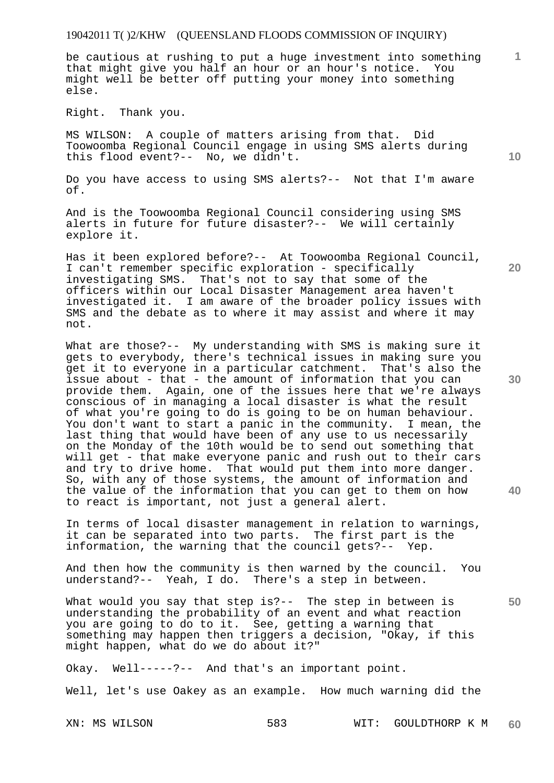be cautious at rushing to put a huge investment into something that might give you half an hour or an hour's notice. You might well be better off putting your money into something else.

Right. Thank you.

MS WILSON: A couple of matters arising from that. Did Toowoomba Regional Council engage in using SMS alerts during this flood event?-- No, we didn't.

Do you have access to using SMS alerts?-- Not that I'm aware of.

And is the Toowoomba Regional Council considering using SMS alerts in future for future disaster?-- We will certainly explore it.

Has it been explored before?-- At Toowoomba Regional Council, I can't remember specific exploration - specifically investigating SMS. That's not to say that some of the officers within our Local Disaster Management area haven't investigated it. I am aware of the broader policy issues with SMS and the debate as to where it may assist and where it may not.

What are those?-- My understanding with SMS is making sure it gets to everybody, there's technical issues in making sure you get it to everyone in a particular catchment. That's also the issue about - that - the amount of information that you can provide them. Again, one of the issues here that we're always conscious of in managing a local disaster is what the result of what you're going to do is going to be on human behaviour. You don't want to start a panic in the community. I mean, the last thing that would have been of any use to us necessarily on the Monday of the 10th would be to send out something that will get - that make everyone panic and rush out to their cars and try to drive home. That would put them into more danger. So, with any of those systems, the amount of information and the value of the information that you can get to them on how to react is important, not just a general alert.

In terms of local disaster management in relation to warnings, it can be separated into two parts. The first part is the information, the warning that the council gets?-- Yep.

And then how the community is then warned by the council. You understand?-- Yeah, I do. There's a step in between.

What would you say that step is?-- The step in between is understanding the probability of an event and what reaction you are going to do to it. See, getting a warning that something may happen then triggers a decision, "Okay, if this might happen, what do we do about it?"

Okay. Well-----?-- And that's an important point.

Well, let's use Oakey as an example. How much warning did the

**10** 

**1**

**30** 

**40** 

**50**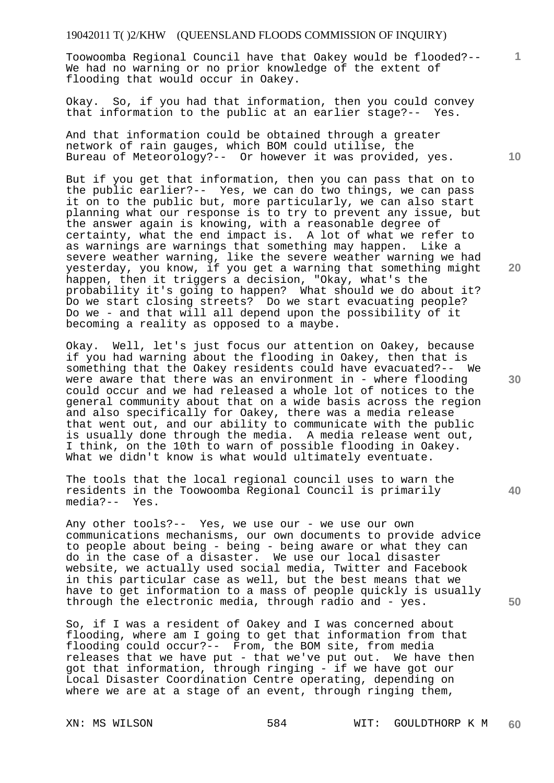Toowoomba Regional Council have that Oakey would be flooded?-- We had no warning or no prior knowledge of the extent of flooding that would occur in Oakey.

Okay. So, if you had that information, then you could convey that information to the public at an earlier stage?-- Yes.

And that information could be obtained through a greater network of rain gauges, which BOM could utilise, the Bureau of Meteorology?-- Or however it was provided, yes.

But if you get that information, then you can pass that on to the public earlier?-- Yes, we can do two things, we can pass it on to the public but, more particularly, we can also start planning what our response is to try to prevent any issue, but the answer again is knowing, with a reasonable degree of certainty, what the end impact is. A lot of what we refer to as warnings are warnings that something may happen. Like a severe weather warning, like the severe weather warning we had yesterday, you know, if you get a warning that something might happen, then it triggers a decision, "Okay, what's the probability it's going to happen? What should we do about it? Do we start closing streets? Do we start evacuating people? Do we - and that will all depend upon the possibility of it becoming a reality as opposed to a maybe.

Okay. Well, let's just focus our attention on Oakey, because if you had warning about the flooding in Oakey, then that is something that the Oakey residents could have evacuated?-- We were aware that there was an environment in - where flooding could occur and we had released a whole lot of notices to the general community about that on a wide basis across the region and also specifically for Oakey, there was a media release that went out, and our ability to communicate with the public is usually done through the media. A media release went out, I think, on the 10th to warn of possible flooding in Oakey. What we didn't know is what would ultimately eventuate.

The tools that the local regional council uses to warn the residents in the Toowoomba Regional Council is primarily media?-- Yes.

Any other tools?-- Yes, we use our - we use our own communications mechanisms, our own documents to provide advice to people about being - being - being aware or what they can do in the case of a disaster. We use our local disaster website, we actually used social media, Twitter and Facebook in this particular case as well, but the best means that we have to get information to a mass of people quickly is usually through the electronic media, through radio and - yes.

So, if I was a resident of Oakey and I was concerned about flooding, where am I going to get that information from that flooding could occur?-- From, the BOM site, from media releases that we have put - that we've put out. We have then got that information, through ringing - if we have got our Local Disaster Coordination Centre operating, depending on where we are at a stage of an event, through ringing them,

**40** 

**50** 

**1**

**20**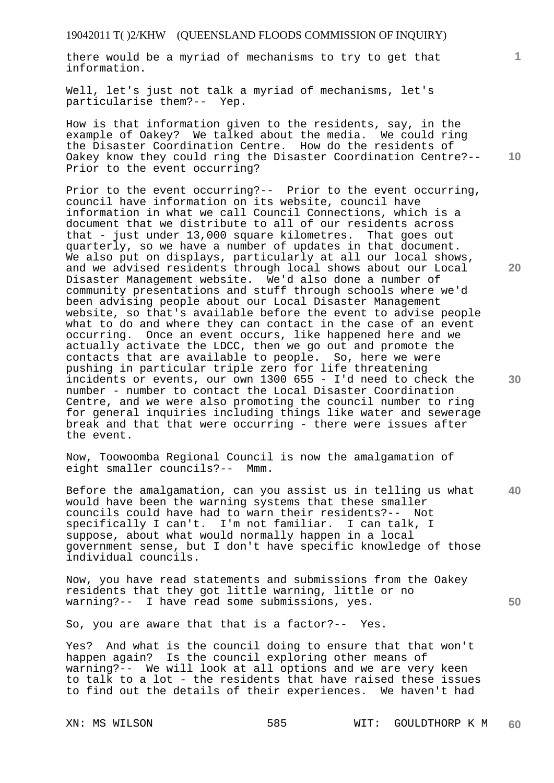there would be a myriad of mechanisms to try to get that information.

Well, let's just not talk a myriad of mechanisms, let's particularise them?-- Yep.

**10**  How is that information given to the residents, say, in the example of Oakey? We talked about the media. We could ring the Disaster Coordination Centre. How do the residents of Oakey know they could ring the Disaster Coordination Centre?-- Prior to the event occurring?

Prior to the event occurring?-- Prior to the event occurring, council have information on its website, council have information in what we call Council Connections, which is a document that we distribute to all of our residents across that - just under 13,000 square kilometres. That goes out quarterly, so we have a number of updates in that document. We also put on displays, particularly at all our local shows, and we advised residents through local shows about our Local Disaster Management website. We'd also done a number of community presentations and stuff through schools where we'd been advising people about our Local Disaster Management website, so that's available before the event to advise people what to do and where they can contact in the case of an event occurring. Once an event occurs, like happened here and we actually activate the LDCC, then we go out and promote the contacts that are available to people. So, here we were pushing in particular triple zero for life threatening incidents or events, our own 1300 655 - I'd need to check the number - number to contact the Local Disaster Coordination Centre, and we were also promoting the council number to ring for general inquiries including things like water and sewerage break and that that were occurring - there were issues after the event.

Now, Toowoomba Regional Council is now the amalgamation of eight smaller councils?-- Mmm.

**40**  Before the amalgamation, can you assist us in telling us what would have been the warning systems that these smaller councils could have had to warn their residents?-- Not specifically I can't. I'm not familiar. I can talk, I suppose, about what would normally happen in a local government sense, but I don't have specific knowledge of those individual councils.

Now, you have read statements and submissions from the Oakey residents that they got little warning, little or no warning?-- I have read some submissions, yes.

So, you are aware that that is a factor?-- Yes.

Yes? And what is the council doing to ensure that that won't happen again? Is the council exploring other means of warning?-- We will look at all options and we are very keen to talk to a lot - the residents that have raised these issues to find out the details of their experiences. We haven't had

**1**

**20**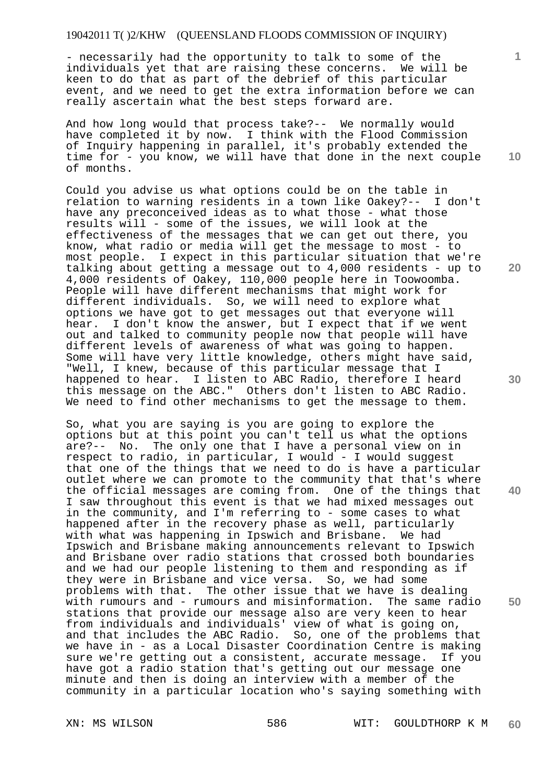- necessarily had the opportunity to talk to some of the individuals yet that are raising these concerns. We will be keen to do that as part of the debrief of this particular event, and we need to get the extra information before we can really ascertain what the best steps forward are.

And how long would that process take?-- We normally would have completed it by now. I think with the Flood Commission of Inquiry happening in parallel, it's probably extended the time for - you know, we will have that done in the next couple of months.

Could you advise us what options could be on the table in relation to warning residents in a town like Oakey?-- I don't have any preconceived ideas as to what those - what those results will - some of the issues, we will look at the effectiveness of the messages that we can get out there, you know, what radio or media will get the message to most - to most people. I expect in this particular situation that we're talking about getting a message out to 4,000 residents - up to 4,000 residents of Oakey, 110,000 people here in Toowoomba. People will have different mechanisms that might work for different individuals. So, we will need to explore what options we have got to get messages out that everyone will<br>hear. I don't know the answer, but I expect that if we we I don't know the answer, but I expect that if we went out and talked to community people now that people will have different levels of awareness of what was going to happen. Some will have very little knowledge, others might have said, "Well, I knew, because of this particular message that I happened to hear. I listen to ABC Radio, therefore I heard this message on the ABC." Others don't listen to ABC Radio. We need to find other mechanisms to get the message to them.

So, what you are saying is you are going to explore the options but at this point you can't tell us what the options are?-- No. The only one that I have a personal view on in respect to radio, in particular, I would - I would suggest that one of the things that we need to do is have a particular outlet where we can promote to the community that that's where the official messages are coming from. One of the things that I saw throughout this event is that we had mixed messages out in the community, and I'm referring to - some cases to what happened after in the recovery phase as well, particularly with what was happening in Ipswich and Brisbane. We had Ipswich and Brisbane making announcements relevant to Ipswich and Brisbane over radio stations that crossed both boundaries and we had our people listening to them and responding as if they were in Brisbane and vice versa. So, we had some problems with that. The other issue that we have is dealing with rumours and - rumours and misinformation. The same radio stations that provide our message also are very keen to hear from individuals and individuals' view of what is going on, and that includes the ABC Radio. So, one of the problems that we have in - as a Local Disaster Coordination Centre is making sure we're getting out a consistent, accurate message. If you have got a radio station that's getting out our message one minute and then is doing an interview with a member of the community in a particular location who's saying something with

**10** 

**1**

**20** 

**30** 

**40**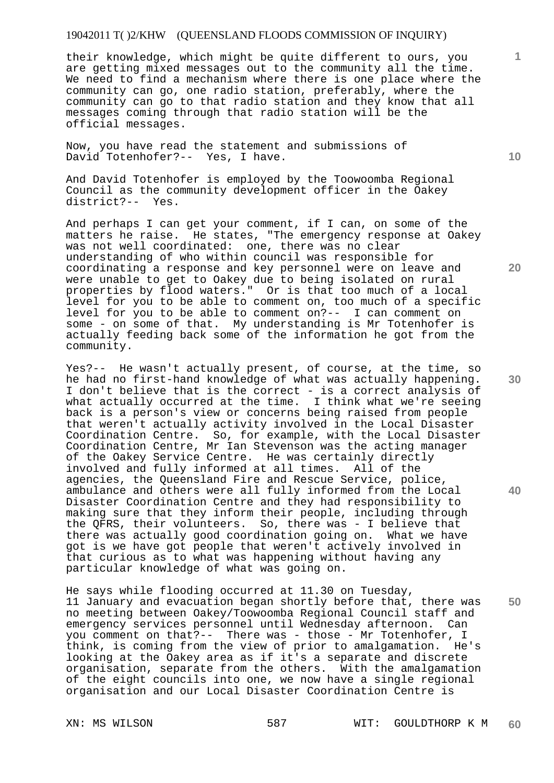their knowledge, which might be quite different to ours, you are getting mixed messages out to the community all the time. We need to find a mechanism where there is one place where the community can go, one radio station, preferably, where the community can go to that radio station and they know that all messages coming through that radio station will be the official messages.

Now, you have read the statement and submissions of David Totenhofer?-- Yes, I have.

And David Totenhofer is employed by the Toowoomba Regional Council as the community development officer in the Oakey district?-- Yes.

And perhaps I can get your comment, if I can, on some of the matters he raise. He states, "The emergency response at Oakey was not well coordinated: one, there was no clear understanding of who within council was responsible for coordinating a response and key personnel were on leave and were unable to get to Oakey due to being isolated on rural properties by flood waters." Or is that too much of a local level for you to be able to comment on, too much of a specific level for you to be able to comment on?-- I can comment on some - on some of that. My understanding is Mr Totenhofer is actually feeding back some of the information he got from the community.

Yes?-- He wasn't actually present, of course, at the time, so he had no first-hand knowledge of what was actually happening. I don't believe that is the correct - is a correct analysis of what actually occurred at the time. I think what we're seeing back is a person's view or concerns being raised from people that weren't actually activity involved in the Local Disaster Coordination Centre. So, for example, with the Local Disaster Coordination Centre, Mr Ian Stevenson was the acting manager of the Oakey Service Centre. He was certainly directly involved and fully informed at all times. All of the agencies, the Queensland Fire and Rescue Service, police, ambulance and others were all fully informed from the Local Disaster Coordination Centre and they had responsibility to making sure that they inform their people, including through the QFRS, their volunteers. So, there was - I believe that there was actually good coordination going on. What we have got is we have got people that weren't actively involved in that curious as to what was happening without having any particular knowledge of what was going on.

**50**  He says while flooding occurred at 11.30 on Tuesday, 11 January and evacuation began shortly before that, there was no meeting between Oakey/Toowoomba Regional Council staff and emergency services personnel until Wednesday afternoon. Can you comment on that?-- There was - those - Mr Totenhofer, I think, is coming from the view of prior to amalgamation. He's looking at the Oakey area as if it's a separate and discrete organisation, separate from the others. With the amalgamation of the eight councils into one, we now have a single regional organisation and our Local Disaster Coordination Centre is

**10** 

**20** 

**1**

**30**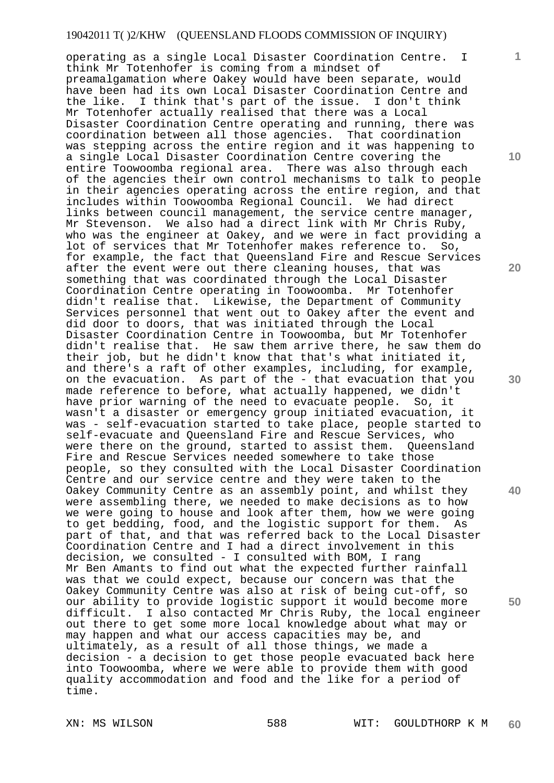operating as a single Local Disaster Coordination Centre. I think Mr Totenhofer is coming from a mindset of preamalgamation where Oakey would have been separate, would have been had its own Local Disaster Coordination Centre and the like. I think that's part of the issue. I don't think Mr Totenhofer actually realised that there was a Local Disaster Coordination Centre operating and running, there was coordination between all those agencies. That coordination was stepping across the entire region and it was happening to a single Local Disaster Coordination Centre covering the entire Toowoomba regional area. There was also through each of the agencies their own control mechanisms to talk to people in their agencies operating across the entire region, and that includes within Toowoomba Regional Council. We had direct links between council management, the service centre manager, Mr Stevenson. We also had a direct link with Mr Chris Ruby, who was the engineer at Oakey, and we were in fact providing a lot of services that Mr Totenhofer makes reference to. So, for example, the fact that Queensland Fire and Rescue Services after the event were out there cleaning houses, that was something that was coordinated through the Local Disaster Coordination Centre operating in Toowoomba. Mr Totenhofer didn't realise that. Likewise, the Department of Community Services personnel that went out to Oakey after the event and did door to doors, that was initiated through the Local Disaster Coordination Centre in Toowoomba, but Mr Totenhofer didn't realise that. He saw them arrive there, he saw them do their job, but he didn't know that that's what initiated it, and there's a raft of other examples, including, for example, on the evacuation. As part of the - that evacuation that you made reference to before, what actually happened, we didn't have prior warning of the need to evacuate people. So, it wasn't a disaster or emergency group initiated evacuation, it was - self-evacuation started to take place, people started to self-evacuate and Queensland Fire and Rescue Services, who were there on the ground, started to assist them. Queensland Fire and Rescue Services needed somewhere to take those people, so they consulted with the Local Disaster Coordination Centre and our service centre and they were taken to the Oakey Community Centre as an assembly point, and whilst they were assembling there, we needed to make decisions as to how we were going to house and look after them, how we were going to get bedding, food, and the logistic support for them. As part of that, and that was referred back to the Local Disaster Coordination Centre and I had a direct involvement in this decision, we consulted - I consulted with BOM, I rang Mr Ben Amants to find out what the expected further rainfall was that we could expect, because our concern was that the Oakey Community Centre was also at risk of being cut-off, so our ability to provide logistic support it would become more difficult. I also contacted Mr Chris Ruby, the local engineer out there to get some more local knowledge about what may or may happen and what our access capacities may be, and ultimately, as a result of all those things, we made a decision - a decision to get those people evacuated back here into Toowoomba, where we were able to provide them with good quality accommodation and food and the like for a period of time.

**1**

**10** 

**20** 

**30** 

**40**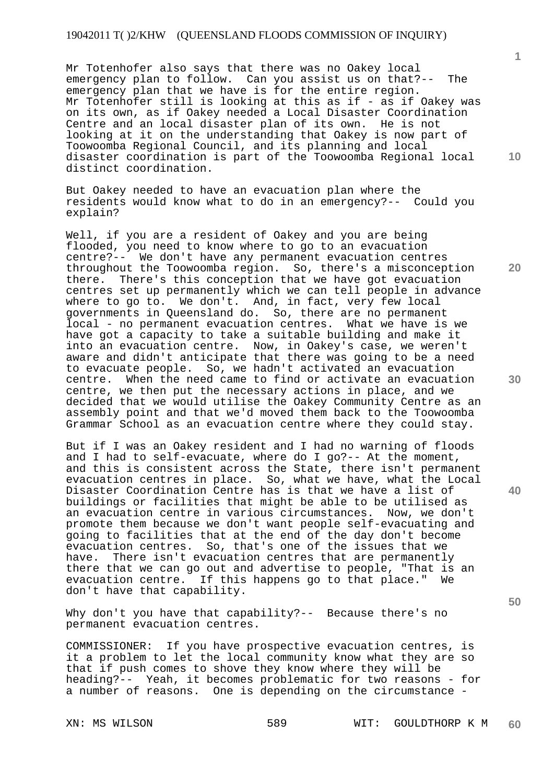Mr Totenhofer also says that there was no Oakey local emergency plan to follow. Can you assist us on that?-- The emergency plan that we have is for the entire region. Mr Totenhofer still is looking at this as if - as if Oakey was on its own, as if Oakey needed a Local Disaster Coordination Centre and an local disaster plan of its own. He is not looking at it on the understanding that Oakey is now part of Toowoomba Regional Council, and its planning and local disaster coordination is part of the Toowoomba Regional local distinct coordination.

But Oakey needed to have an evacuation plan where the residents would know what to do in an emergency?-- Could you explain?

Well, if you are a resident of Oakey and you are being flooded, you need to know where to go to an evacuation centre?-- We don't have any permanent evacuation centres throughout the Toowoomba region. So, there's a misconception there. There's this conception that we have got evacuation centres set up permanently which we can tell people in advance where to go to. We don't. And, in fact, very few local governments in Queensland do. So, there are no permanent local - no permanent evacuation centres. What we have is we have got a capacity to take a suitable building and make it into an evacuation centre. Now, in Oakey's case, we weren't aware and didn't anticipate that there was going to be a need to evacuate people. So, we hadn't activated an evacuation centre. When the need came to find or activate an evacuation centre, we then put the necessary actions in place, and we decided that we would utilise the Oakey Community Centre as an assembly point and that we'd moved them back to the Toowoomba Grammar School as an evacuation centre where they could stay.

But if I was an Oakey resident and I had no warning of floods and I had to self-evacuate, where do I go?-- At the moment, and this is consistent across the State, there isn't permanent evacuation centres in place. So, what we have, what the Local Disaster Coordination Centre has is that we have a list of buildings or facilities that might be able to be utilised as an evacuation centre in various circumstances. Now, we don't promote them because we don't want people self-evacuating and going to facilities that at the end of the day don't become evacuation centres. So, that's one of the issues that we have. There isn't evacuation centres that are permanently there that we can go out and advertise to people, "That is an evacuation centre. If this happens go to that place." We don't have that capability.

Why don't you have that capability?-- Because there's no permanent evacuation centres.

COMMISSIONER: If you have prospective evacuation centres, is it a problem to let the local community know what they are so that if push comes to shove they know where they will be heading?-- Yeah, it becomes problematic for two reasons - for a number of reasons. One is depending on the circumstance -

**1**

**20** 

**10** 

**30** 

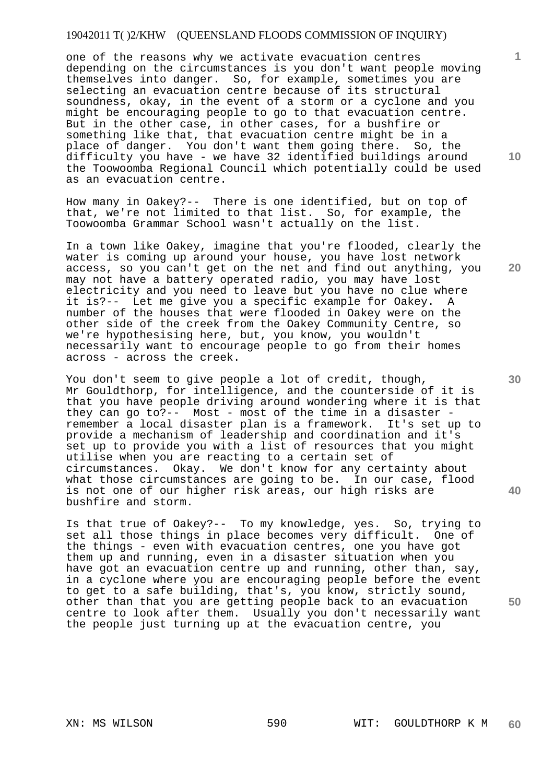one of the reasons why we activate evacuation centres depending on the circumstances is you don't want people moving themselves into danger. So, for example, sometimes you are selecting an evacuation centre because of its structural soundness, okay, in the event of a storm or a cyclone and you might be encouraging people to go to that evacuation centre. But in the other case, in other cases, for a bushfire or something like that, that evacuation centre might be in a place of danger. You don't want them going there. So, the difficulty you have - we have 32 identified buildings around the Toowoomba Regional Council which potentially could be used as an evacuation centre.

How many in Oakey?-- There is one identified, but on top of that, we're not limited to that list. So, for example, the Toowoomba Grammar School wasn't actually on the list.

In a town like Oakey, imagine that you're flooded, clearly the water is coming up around your house, you have lost network access, so you can't get on the net and find out anything, you may not have a battery operated radio, you may have lost electricity and you need to leave but you have no clue where it is?-- Let me give you a specific example for Oakey. A number of the houses that were flooded in Oakey were on the other side of the creek from the Oakey Community Centre, so we're hypothesising here, but, you know, you wouldn't necessarily want to encourage people to go from their homes across - across the creek.

You don't seem to give people a lot of credit, though, Mr Gouldthorp, for intelligence, and the counterside of it is that you have people driving around wondering where it is that they can go to?-- Most - most of the time in a disaster remember a local disaster plan is a framework. It's set up to provide a mechanism of leadership and coordination and it's set up to provide you with a list of resources that you might utilise when you are reacting to a certain set of circumstances. Okay. We don't know for any certainty about what those circumstances are going to be. In our case, flood is not one of our higher risk areas, our high risks are bushfire and storm.

Is that true of Oakey?-- To my knowledge, yes. So, trying to set all those things in place becomes very difficult. One of the things - even with evacuation centres, one you have got them up and running, even in a disaster situation when you have got an evacuation centre up and running, other than, say, in a cyclone where you are encouraging people before the event to get to a safe building, that's, you know, strictly sound, other than that you are getting people back to an evacuation centre to look after them. Usually you don't necessarily want the people just turning up at the evacuation centre, you

**10** 

**1**

**30** 

**20** 

**40**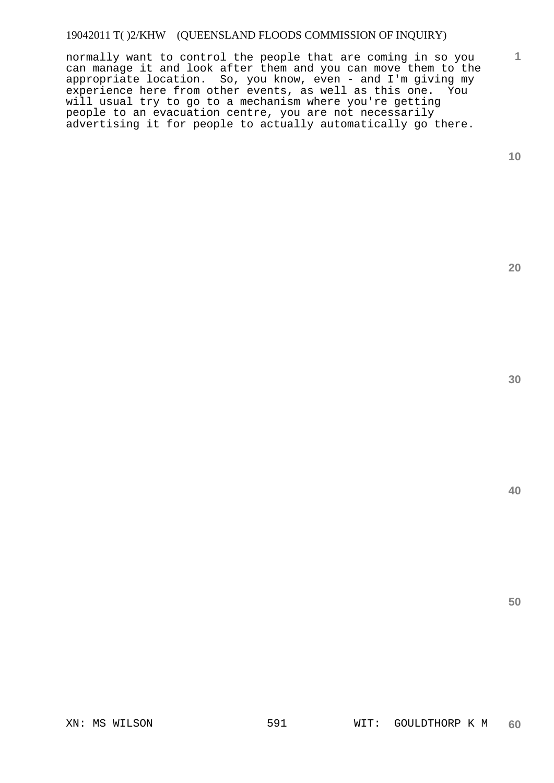normally want to control the people that are coming in so you can manage it and look after them and you can move them to the appropriate location. So, you know, even - and I'm giving my experience here from other events, as well as this one. You will usual try to go to a mechanism where you're getting people to an evacuation centre, you are not necessarily advertising it for people to actually automatically go there.

**10** 

**1**

**20** 

**30**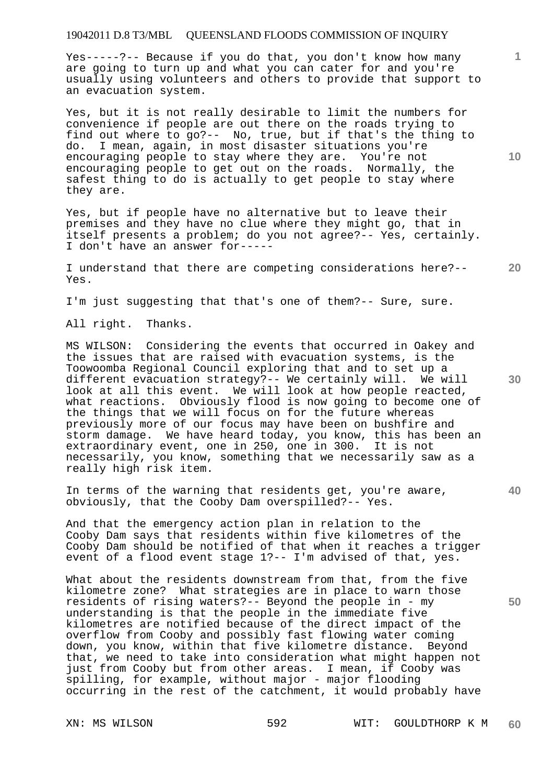Yes-----?-- Because if you do that, you don't know how many are going to turn up and what you can cater for and you're usually using volunteers and others to provide that support to an evacuation system.

Yes, but it is not really desirable to limit the numbers for convenience if people are out there on the roads trying to find out where to go?-- No, true, but if that's the thing to do. I mean, again, in most disaster situations you're encouraging people to stay where they are. You're not encouraging people to get out on the roads. Normally, the safest thing to do is actually to get people to stay where they are.

Yes, but if people have no alternative but to leave their premises and they have no clue where they might go, that in itself presents a problem; do you not agree?-- Yes, certainly. I don't have an answer for-----

**20**  I understand that there are competing considerations here?-- Yes.

I'm just suggesting that that's one of them?-- Sure, sure.

All right. Thanks.

MS WILSON: Considering the events that occurred in Oakey and the issues that are raised with evacuation systems, is the Toowoomba Regional Council exploring that and to set up a different evacuation strategy?-- We certainly will. We will look at all this event. We will look at how people reacted, what reactions. Obviously flood is now going to become one of the things that we will focus on for the future whereas previously more of our focus may have been on bushfire and storm damage. We have heard today, you know, this has been an extraordinary event, one in 250, one in 300. It is not necessarily, you know, something that we necessarily saw as a really high risk item.

In terms of the warning that residents get, you're aware, obviously, that the Cooby Dam overspilled?-- Yes.

And that the emergency action plan in relation to the Cooby Dam says that residents within five kilometres of the Cooby Dam should be notified of that when it reaches a trigger event of a flood event stage 1?-- I'm advised of that, yes.

What about the residents downstream from that, from the five kilometre zone? What strategies are in place to warn those residents of rising waters?-- Beyond the people in - my understanding is that the people in the immediate five kilometres are notified because of the direct impact of the overflow from Cooby and possibly fast flowing water coming down, you know, within that five kilometre distance. Beyond that, we need to take into consideration what might happen not just from Cooby but from other areas. I mean, if Cooby was spilling, for example, without major - major flooding occurring in the rest of the catchment, it would probably have

**10** 

**1**

**30**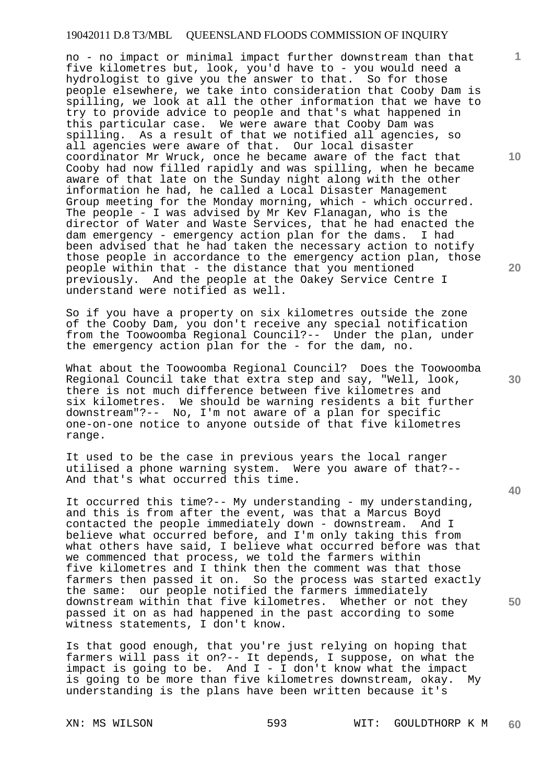no - no impact or minimal impact further downstream than that five kilometres but, look, you'd have to - you would need a hydrologist to give you the answer to that. So for those people elsewhere, we take into consideration that Cooby Dam is spilling, we look at all the other information that we have to try to provide advice to people and that's what happened in this particular case. We were aware that Cooby Dam was spilling. As a result of that we notified all agencies, so all agencies were aware of that. Our local disaster coordinator Mr Wruck, once he became aware of the fact that Cooby had now filled rapidly and was spilling, when he became aware of that late on the Sunday night along with the other information he had, he called a Local Disaster Management Group meeting for the Monday morning, which - which occurred. The people - I was advised by Mr Kev Flanagan, who is the director of Water and Waste Services, that he had enacted the dam emergency - emergency action plan for the dams. I had been advised that he had taken the necessary action to notify those people in accordance to the emergency action plan, those people within that - the distance that you mentioned previously. And the people at the Oakey Service Centre I understand were notified as well.

So if you have a property on six kilometres outside the zone of the Cooby Dam, you don't receive any special notification from the Toowoomba Regional Council?-- Under the plan, under the emergency action plan for the - for the dam, no.

What about the Toowoomba Regional Council? Does the Toowoomba Regional Council take that extra step and say, "Well, look, there is not much difference between five kilometres and six kilometres. We should be warning residents a bit further downstream"?-- No, I'm not aware of a plan for specific one-on-one notice to anyone outside of that five kilometres range.

It used to be the case in previous years the local ranger utilised a phone warning system. Were you aware of that?-- And that's what occurred this time.

It occurred this time?-- My understanding - my understanding, and this is from after the event, was that a Marcus Boyd contacted the people immediately down - downstream. And I believe what occurred before, and I'm only taking this from what others have said, I believe what occurred before was that we commenced that process, we told the farmers within five kilometres and I think then the comment was that those farmers then passed it on. So the process was started exactly the same: our people notified the farmers immediately downstream within that five kilometres. Whether or not they passed it on as had happened in the past according to some witness statements, I don't know.

Is that good enough, that you're just relying on hoping that farmers will pass it on?-- It depends, I suppose, on what the impact is going to be. And I - I don't know what the impact is going to be more than five kilometres downstream, okay. My understanding is the plans have been written because it's

XN: MS WILSON 593 WIT: GOULDTHORP K M **60** 

**30** 

**20** 

**40** 

**50** 

**10**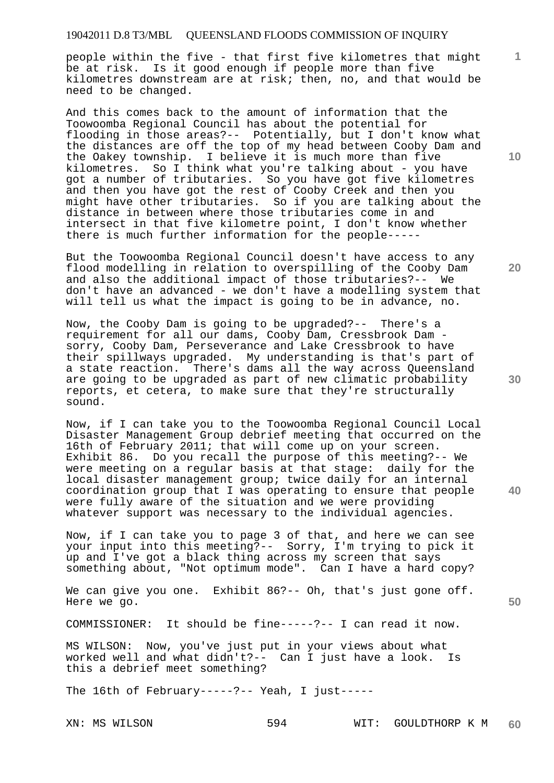people within the five - that first five kilometres that might be at risk. Is it good enough if people more than five kilometres downstream are at risk; then, no, and that would be need to be changed.

And this comes back to the amount of information that the Toowoomba Regional Council has about the potential for flooding in those areas?-- Potentially, but I don't know what the distances are off the top of my head between Cooby Dam and the Oakey township. I believe it is much more than five kilometres. So I think what you're talking about - you have got a number of tributaries. So you have got five kilometres and then you have got the rest of Cooby Creek and then you might have other tributaries. So if you are talking about the distance in between where those tributaries come in and intersect in that five kilometre point, I don't know whether there is much further information for the people-----

But the Toowoomba Regional Council doesn't have access to any flood modelling in relation to overspilling of the Cooby Dam and also the additional impact of those tributaries?-- We don't have an advanced - we don't have a modelling system that will tell us what the impact is going to be in advance, no.

Now, the Cooby Dam is going to be upgraded?-- There's a requirement for all our dams, Cooby Dam, Cressbrook Dam sorry, Cooby Dam, Perseverance and Lake Cressbrook to have their spillways upgraded. My understanding is that's part of a state reaction. There's dams all the way across Queensland are going to be upgraded as part of new climatic probability reports, et cetera, to make sure that they're structurally sound.

Now, if I can take you to the Toowoomba Regional Council Local Disaster Management Group debrief meeting that occurred on the 16th of February 2011; that will come up on your screen. Exhibit 86. Do you recall the purpose of this meeting?-- We were meeting on a regular basis at that stage: daily for the local disaster management group; twice daily for an internal coordination group that I was operating to ensure that people were fully aware of the situation and we were providing whatever support was necessary to the individual agencies.

Now, if I can take you to page 3 of that, and here we can see your input into this meeting?-- Sorry, I'm trying to pick it up and I've got a black thing across my screen that says something about, "Not optimum mode". Can I have a hard copy?

We can give you one. Exhibit 86?-- Oh, that's just gone off. Here we go.

COMMISSIONER: It should be fine-----?-- I can read it now.

MS WILSON: Now, you've just put in your views about what worked well and what didn't?-- Can I just have a look. Is this a debrief meet something?

The 16th of February-----?-- Yeah, I just-----

XN: MS WILSON 594 WIT: GOULDTHORP K M **60** 

**10** 

**1**

**20** 

**30** 

**40**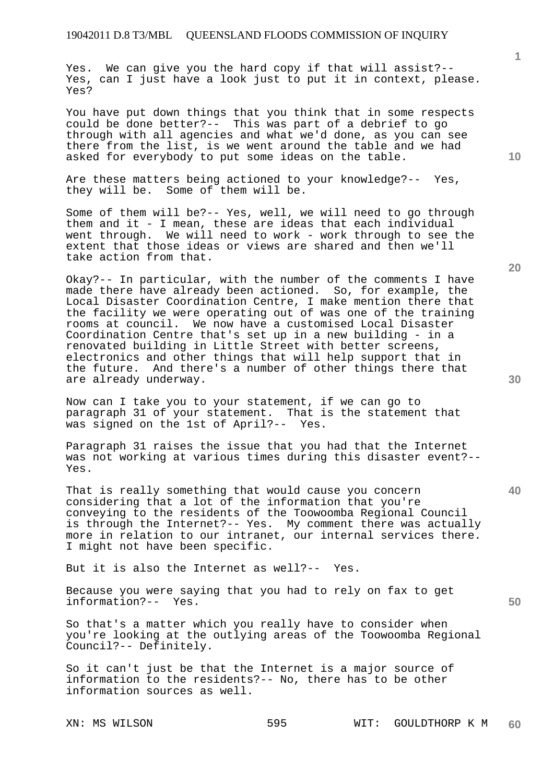Yes. We can give you the hard copy if that will assist?-- Yes, can I just have a look just to put it in context, please. Yes?

You have put down things that you think that in some respects could be done better?-- This was part of a debrief to go through with all agencies and what we'd done, as you can see there from the list, is we went around the table and we had asked for everybody to put some ideas on the table.

Are these matters being actioned to your knowledge?-- Yes, they will be. Some of them will be.

Some of them will be?-- Yes, well, we will need to go through them and it - I mean, these are ideas that each individual went through. We will need to work - work through to see the extent that those ideas or views are shared and then we'll take action from that.

Okay?-- In particular, with the number of the comments I have made there have already been actioned. So, for example, the Local Disaster Coordination Centre, I make mention there that the facility we were operating out of was one of the training rooms at council. We now have a customised Local Disaster Coordination Centre that's set up in a new building - in a renovated building in Little Street with better screens, electronics and other things that will help support that in the future. And there's a number of other things there that are already underway.

Now can I take you to your statement, if we can go to paragraph 31 of your statement. That is the statement that was signed on the 1st of April?-- Yes.

Paragraph 31 raises the issue that you had that the Internet was not working at various times during this disaster event?-- Yes.

That is really something that would cause you concern considering that a lot of the information that you're conveying to the residents of the Toowoomba Regional Council is through the Internet?-- Yes. My comment there was actually more in relation to our intranet, our internal services there. I might not have been specific.

But it is also the Internet as well?-- Yes.

Because you were saying that you had to rely on fax to get information?-- Yes.

So that's a matter which you really have to consider when you're looking at the outlying areas of the Toowoomba Regional Council?-- Definitely.

So it can't just be that the Internet is a major source of information to the residents?-- No, there has to be other information sources as well.

**40** 

**50** 

**10**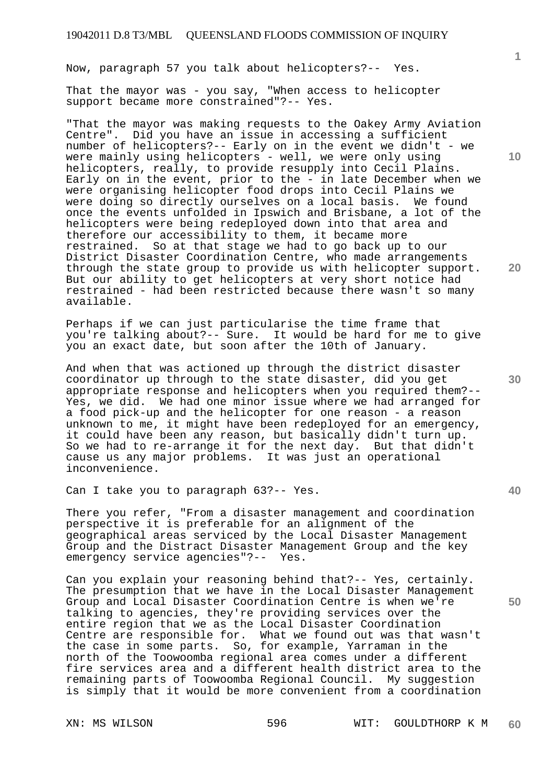Now, paragraph 57 you talk about helicopters?-- Yes.

That the mayor was - you say, "When access to helicopter support became more constrained"?-- Yes.

"That the mayor was making requests to the Oakey Army Aviation Centre". Did you have an issue in accessing a sufficient number of helicopters?-- Early on in the event we didn't - we were mainly using helicopters - well, we were only using helicopters, really, to provide resupply into Cecil Plains. Early on in the event, prior to the - in late December when we were organising helicopter food drops into Cecil Plains we were doing so directly ourselves on a local basis. We found once the events unfolded in Ipswich and Brisbane, a lot of the helicopters were being redeployed down into that area and therefore our accessibility to them, it became more<br>restrained. So at that stage we had to go back up So at that stage we had to go back up to our District Disaster Coordination Centre, who made arrangements through the state group to provide us with helicopter support. But our ability to get helicopters at very short notice had restrained - had been restricted because there wasn't so many available.

Perhaps if we can just particularise the time frame that you're talking about?-- Sure. It would be hard for me to give you an exact date, but soon after the 10th of January.

And when that was actioned up through the district disaster coordinator up through to the state disaster, did you get appropriate response and helicopters when you required them?-- Yes, we did. We had one minor issue where we had arranged for a food pick-up and the helicopter for one reason - a reason unknown to me, it might have been redeployed for an emergency, it could have been any reason, but basically didn't turn up. So we had to re-arrange it for the next day. But that didn't cause us any major problems. It was just an operational inconvenience.

Can I take you to paragraph 63?-- Yes.

There you refer, "From a disaster management and coordination perspective it is preferable for an alignment of the geographical areas serviced by the Local Disaster Management Group and the Distract Disaster Management Group and the key emergency service agencies"?-- Yes.

Can you explain your reasoning behind that?-- Yes, certainly. The presumption that we have in the Local Disaster Management Group and Local Disaster Coordination Centre is when we're talking to agencies, they're providing services over the entire region that we as the Local Disaster Coordination Centre are responsible for. What we found out was that wasn't the case in some parts. So, for example, Yarraman in the north of the Toowoomba regional area comes under a different fire services area and a different health district area to the remaining parts of Toowoomba Regional Council. My suggestion is simply that it would be more convenient from a coordination

**1**

**30** 

**20**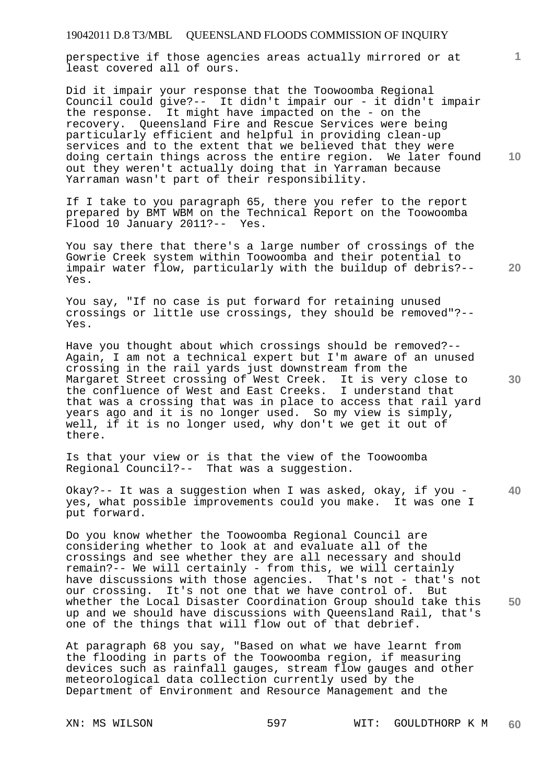perspective if those agencies areas actually mirrored or at least covered all of ours.

Did it impair your response that the Toowoomba Regional Council could give?-- It didn't impair our - it didn't impair the response. It might have impacted on the - on the recovery. Queensland Fire and Rescue Services were being particularly efficient and helpful in providing clean-up services and to the extent that we believed that they were doing certain things across the entire region. We later found out they weren't actually doing that in Yarraman because Yarraman wasn't part of their responsibility.

If I take to you paragraph 65, there you refer to the report prepared by BMT WBM on the Technical Report on the Toowoomba Flood 10 January 2011?-- Yes.

You say there that there's a large number of crossings of the Gowrie Creek system within Toowoomba and their potential to impair water flow, particularly with the buildup of debris?-- Yes.

You say, "If no case is put forward for retaining unused crossings or little use crossings, they should be removed"?-- Yes.

Have you thought about which crossings should be removed?-- Again, I am not a technical expert but I'm aware of an unused crossing in the rail yards just downstream from the Margaret Street crossing of West Creek. It is very close to the confluence of West and East Creeks. I understand that that was a crossing that was in place to access that rail yard years ago and it is no longer used. So my view is simply, well, if it is no longer used, why don't we get it out of there.

Is that your view or is that the view of the Toowoomba Regional Council?-- That was a suggestion.

**40**  Okay?-- It was a suggestion when I was asked, okay, if you yes, what possible improvements could you make. It was one I put forward.

Do you know whether the Toowoomba Regional Council are considering whether to look at and evaluate all of the crossings and see whether they are all necessary and should remain?-- We will certainly - from this, we will certainly have discussions with those agencies. That's not - that's not our crossing. It's not one that we have control of. But whether the Local Disaster Coordination Group should take this up and we should have discussions with Queensland Rail, that's one of the things that will flow out of that debrief.

At paragraph 68 you say, "Based on what we have learnt from the flooding in parts of the Toowoomba region, if measuring devices such as rainfall gauges, stream flow gauges and other meteorological data collection currently used by the Department of Environment and Resource Management and the

**10** 

**1**

**30** 

**50**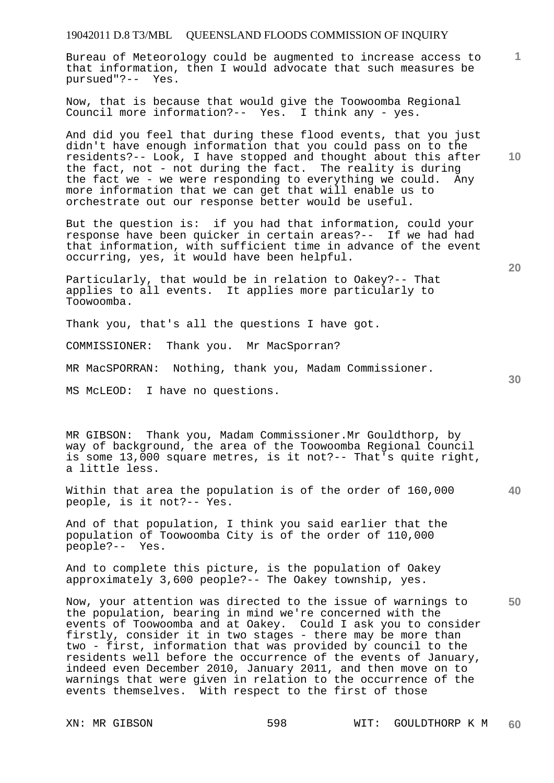Bureau of Meteorology could be augmented to increase access to that information, then I would advocate that such measures be pursued"?-- Yes.

Now, that is because that would give the Toowoomba Regional Council more information?-- Yes. I think any - yes.

And did you feel that during these flood events, that you just didn't have enough information that you could pass on to the residents?-- Look, I have stopped and thought about this after the fact, not - not during the fact. The reality is during the fact we - we were responding to everything we could. Any more information that we can get that will enable us to orchestrate out our response better would be useful.

But the question is: if you had that information, could your response have been quicker in certain areas?-- If we had had that information, with sufficient time in advance of the event occurring, yes, it would have been helpful.

Particularly, that would be in relation to Oakey?-- That applies to all events. It applies more particularly to Toowoomba.

Thank you, that's all the questions I have got.

COMMISSIONER: Thank you. Mr MacSporran?

MR MacSPORRAN: Nothing, thank you, Madam Commissioner.

MS McLEOD: I have no questions.

MR GIBSON: Thank you, Madam Commissioner.Mr Gouldthorp, by way of background, the area of the Toowoomba Regional Council is some 13,000 square metres, is it not?-- That's quite right, a little less.

Within that area the population is of the order of 160,000 people, is it not?-- Yes.

And of that population, I think you said earlier that the population of Toowoomba City is of the order of 110,000 people?-- Yes.

And to complete this picture, is the population of Oakey approximately 3,600 people?-- The Oakey township, yes.

Now, your attention was directed to the issue of warnings to the population, bearing in mind we're concerned with the events of Toowoomba and at Oakey. Could I ask you to consider firstly, consider it in two stages - there may be more than two - first, information that was provided by council to the residents well before the occurrence of the events of January, indeed even December 2010, January 2011, and then move on to warnings that were given in relation to the occurrence of the events themselves. With respect to the first of those

**10** 

**1**

**40** 

**50**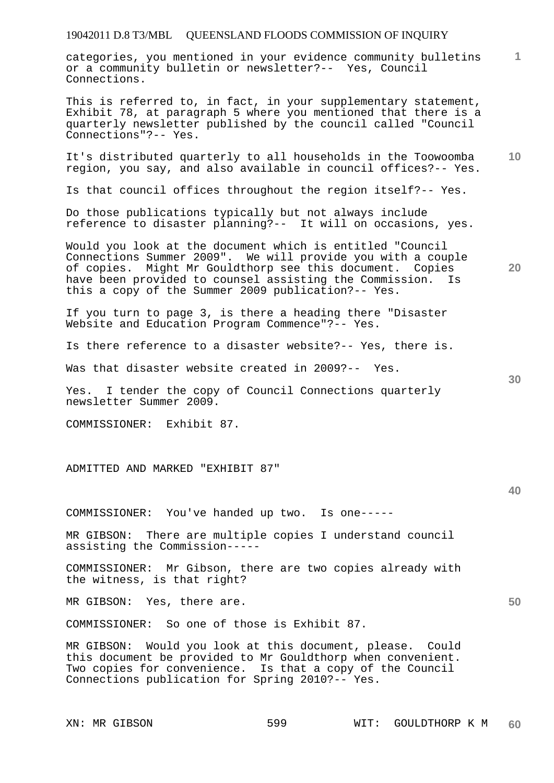categories, you mentioned in your evidence community bulletins or a community bulletin or newsletter?-- Yes, Council Connections.

This is referred to, in fact, in your supplementary statement, Exhibit 78, at paragraph 5 where you mentioned that there is a quarterly newsletter published by the council called "Council Connections"?-- Yes.

It's distributed quarterly to all households in the Toowoomba region, you say, and also available in council offices?-- Yes.

Is that council offices throughout the region itself?-- Yes.

Do those publications typically but not always include reference to disaster planning?-- It will on occasions, yes.

Would you look at the document which is entitled "Council Connections Summer 2009". We will provide you with a couple of copies. Might Mr Gouldthorp see this document. Copies have been provided to counsel assisting the Commission. Is this a copy of the Summer 2009 publication?-- Yes.

If you turn to page 3, is there a heading there "Disaster Website and Education Program Commence"?-- Yes.

Is there reference to a disaster website?-- Yes, there is.

Was that disaster website created in 2009?-- Yes.

Yes. I tender the copy of Council Connections quarterly newsletter Summer 2009.

COMMISSIONER: Exhibit 87.

ADMITTED AND MARKED "EXHIBIT 87"

COMMISSIONER: You've handed up two. Is one-----

MR GIBSON: There are multiple copies I understand council assisting the Commission-----

COMMISSIONER: Mr Gibson, there are two copies already with the witness, is that right?

MR GIBSON: Yes, there are.

COMMISSIONER: So one of those is Exhibit 87.

MR GIBSON: Would you look at this document, please. Could this document be provided to Mr Gouldthorp when convenient. Two copies for convenience. Is that a copy of the Council Connections publication for Spring 2010?-- Yes.

### **40**

**50** 

**10** 

**1**

**20**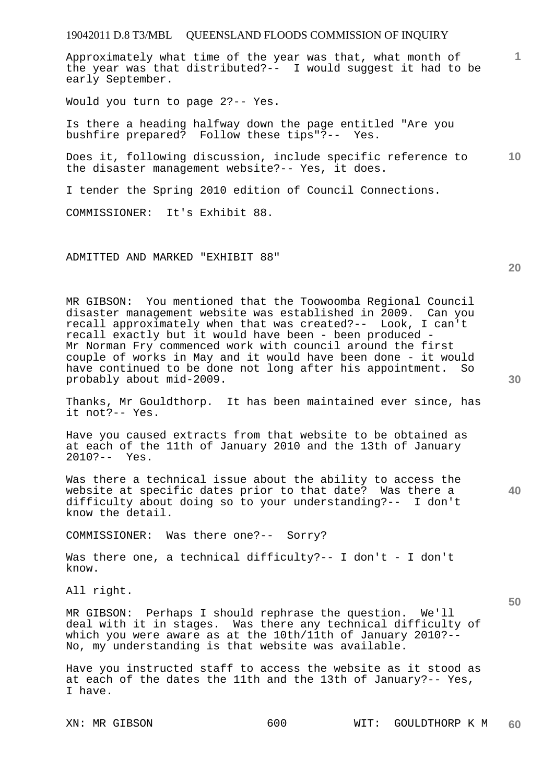Approximately what time of the year was that, what month of the year was that distributed?-- I would suggest it had to be early September.

Would you turn to page 2?-- Yes.

Is there a heading halfway down the page entitled "Are you bushfire prepared? Follow these tips"?-- Yes.

**10**  Does it, following discussion, include specific reference to the disaster management website?-- Yes, it does.

I tender the Spring 2010 edition of Council Connections.

COMMISSIONER: It's Exhibit 88.

ADMITTED AND MARKED "EXHIBIT 88"

MR GIBSON: You mentioned that the Toowoomba Regional Council disaster management website was established in 2009. Can you recall approximately when that was created?-- Look, I can't recall exactly but it would have been - been produced - Mr Norman Fry commenced work with council around the first couple of works in May and it would have been done - it would have continued to be done not long after his appointment. So probably about mid-2009.

Thanks, Mr Gouldthorp. It has been maintained ever since, has it not?-- Yes.

Have you caused extracts from that website to be obtained as at each of the 11th of January 2010 and the 13th of January<br>2010?-- Yes.  $2010? --$ 

Was there a technical issue about the ability to access the website at specific dates prior to that date? Was there a difficulty about doing so to your understanding?-- I don't know the detail.

COMMISSIONER: Was there one?-- Sorry?

Was there one, a technical difficulty?-- I don't - I don't know.

All right.

MR GIBSON: Perhaps I should rephrase the question. We'll deal with it in stages. Was there any technical difficulty of which you were aware as at the 10th/11th of January 2010?-- No, my understanding is that website was available.

Have you instructed staff to access the website as it stood as at each of the dates the 11th and the 13th of January?-- Yes, I have.

**30** 

**20** 

**50** 

**40**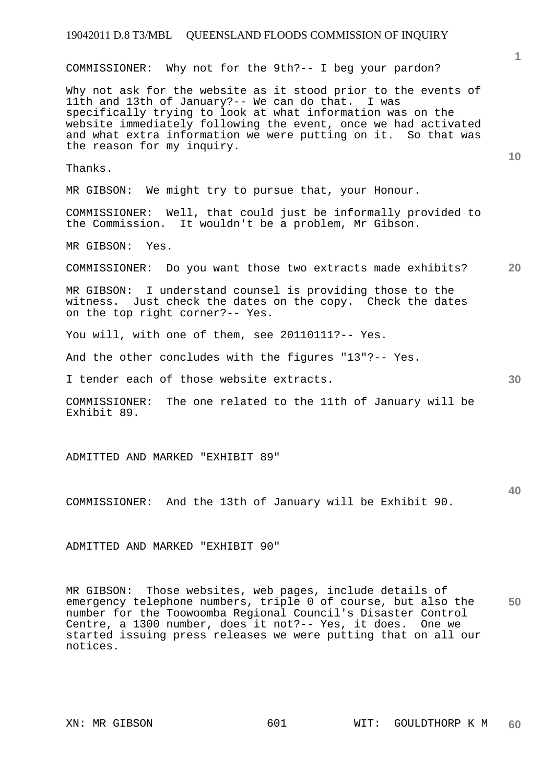**1 10 20**  COMMISSIONER: Why not for the 9th?-- I beg your pardon? Why not ask for the website as it stood prior to the events of 11th and 13th of January?-- We can do that. I was specifically trying to look at what information was on the website immediately following the event, once we had activated and what extra information we were putting on it. So that was the reason for my inquiry. Thanks. MR GIBSON: We might try to pursue that, your Honour. COMMISSIONER: Well, that could just be informally provided to the Commission. It wouldn't be a problem, Mr Gibson. MR GIBSON: Yes. COMMISSIONER: Do you want those two extracts made exhibits? MR GIBSON: I understand counsel is providing those to the witness. Just check the dates on the copy. Check the dates

You will, with one of them, see 20110111?-- Yes.

And the other concludes with the figures "13"?-- Yes.

I tender each of those website extracts.

COMMISSIONER: The one related to the 11th of January will be Exhibit 89.

ADMITTED AND MARKED "EXHIBIT 89"

on the top right corner?-- Yes.

COMMISSIONER: And the 13th of January will be Exhibit 90.

ADMITTED AND MARKED "EXHIBIT 90"

**50**  MR GIBSON: Those websites, web pages, include details of emergency telephone numbers, triple 0 of course, but also the number for the Toowoomba Regional Council's Disaster Control Centre, a 1300 number, does it not?-- Yes, it does. One we started issuing press releases we were putting that on all our notices.

**40**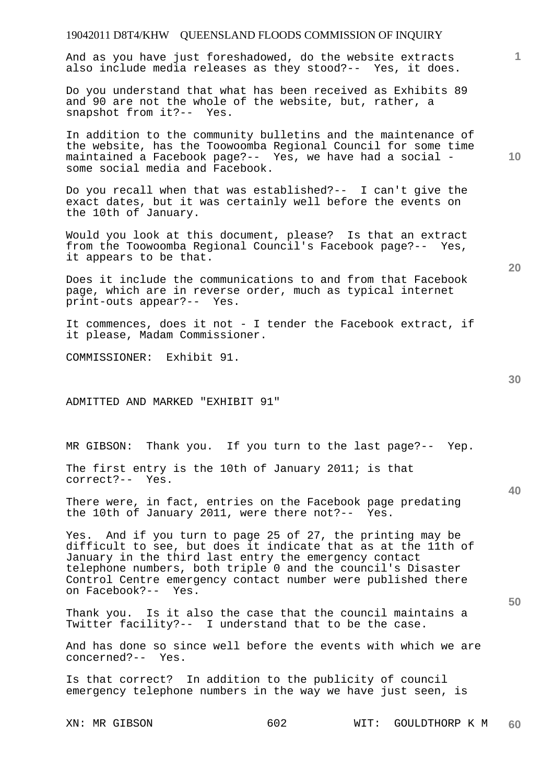| 19042011 D8T4/KHW QUEENSLAND FLOODS COMMISSION OF INQUIRY                                                                                                                                                                                                                                                                                  |     |      |                |    |
|--------------------------------------------------------------------------------------------------------------------------------------------------------------------------------------------------------------------------------------------------------------------------------------------------------------------------------------------|-----|------|----------------|----|
| And as you have just foreshadowed, do the website extracts<br>also include media releases as they stood?-- Yes, it does.                                                                                                                                                                                                                   |     |      |                | 1. |
| Do you understand that what has been received as Exhibits 89<br>and 90 are not the whole of the website, but, rather, a<br>snapshot from it ?-- Yes.                                                                                                                                                                                       |     |      |                |    |
| In addition to the community bulletins and the maintenance of<br>the website, has the Toowoomba Regional Council for some time<br>maintained a Facebook page?-- Yes, we have had a social -<br>some social media and Facebook.                                                                                                             |     |      |                | 10 |
| Do you recall when that was established?-- I can't give the<br>exact dates, but it was certainly well before the events on<br>the 10th of January.                                                                                                                                                                                         |     |      |                |    |
| Would you look at this document, please? Is that an extract<br>from the Toowoomba Regional Council's Facebook page?-- Yes,<br>it appears to be that.                                                                                                                                                                                       |     |      |                | 20 |
| Does it include the communications to and from that Facebook<br>page, which are in reverse order, much as typical internet<br>print-outs appear?-- Yes.                                                                                                                                                                                    |     |      |                |    |
| It commences, does it not - I tender the Facebook extract, if<br>it please, Madam Commissioner.                                                                                                                                                                                                                                            |     |      |                |    |
| COMMISSIONER: Exhibit 91.                                                                                                                                                                                                                                                                                                                  |     |      |                |    |
| ADMITTED AND MARKED "EXHIBIT 91"                                                                                                                                                                                                                                                                                                           |     |      |                | 30 |
| MR GIBSON: Thank you. If you turn to the last page?-- Yep.                                                                                                                                                                                                                                                                                 |     |      |                |    |
| The first entry is the 10th of January 2011; is that<br>correct?-- Yes.                                                                                                                                                                                                                                                                    |     |      |                | 40 |
| There were, in fact, entries on the Facebook page predating<br>the 10th of January 2011, were there not?-- Yes.                                                                                                                                                                                                                            |     |      |                |    |
| Yes. And if you turn to page 25 of 27, the printing may be<br>difficult to see, but does it indicate that as at the 11th of<br>January in the third last entry the emergency contact<br>telephone numbers, both triple 0 and the council's Disaster<br>Control Centre emergency contact number were published there<br>on Facebook?-- Yes. |     |      |                |    |
| Thank you. Is it also the case that the council maintains a<br>Twitter facility?-- I understand that to be the case.                                                                                                                                                                                                                       |     |      |                | 50 |
| And has done so since well before the events with which we are<br>concerned?-- Yes.                                                                                                                                                                                                                                                        |     |      |                |    |
| Is that correct? In addition to the publicity of council<br>emergency telephone numbers in the way we have just seen, is                                                                                                                                                                                                                   |     |      |                |    |
| XN: MR GIBSON                                                                                                                                                                                                                                                                                                                              | 602 | WIT: | GOULDTHORP K M | 60 |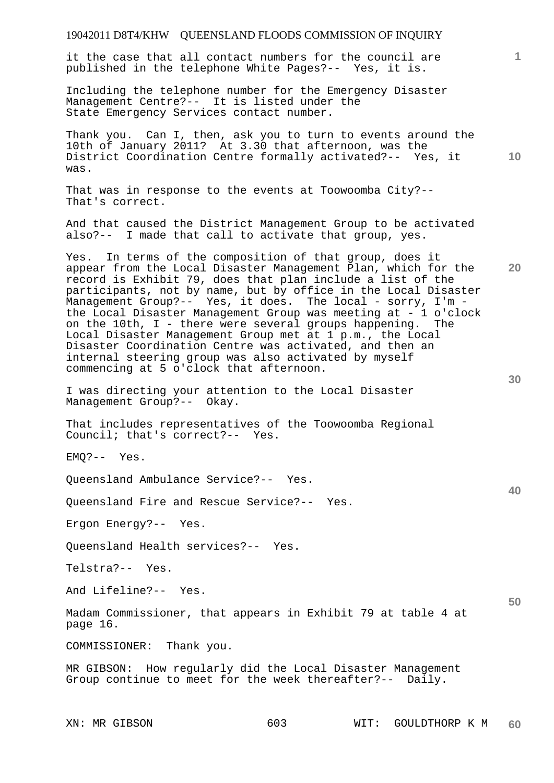| 19042011 D8T4/KHW QUEENSLAND FLOODS COMMISSION OF INQUIRY                                                                                                                                                                                                                                                                                                                                                                                             |              |
|-------------------------------------------------------------------------------------------------------------------------------------------------------------------------------------------------------------------------------------------------------------------------------------------------------------------------------------------------------------------------------------------------------------------------------------------------------|--------------|
| it the case that all contact numbers for the council are<br>published in the telephone White Pages?-- Yes, it is.                                                                                                                                                                                                                                                                                                                                     | $\mathbf{1}$ |
| Including the telephone number for the Emergency Disaster<br>Management Centre?-- It is listed under the<br>State Emergency Services contact number.                                                                                                                                                                                                                                                                                                  |              |
| Thank you. Can I, then, ask you to turn to events around the<br>10th of January 2011? At 3.30 that afternoon, was the<br>District Coordination Centre formally activated?-- Yes, it<br>was.                                                                                                                                                                                                                                                           | 10           |
| That was in response to the events at Toowoomba City?--<br>That's correct.                                                                                                                                                                                                                                                                                                                                                                            |              |
| And that caused the District Management Group to be activated<br>also?-- I made that call to activate that group, yes.                                                                                                                                                                                                                                                                                                                                |              |
| Yes. In terms of the composition of that group, does it<br>appear from the Local Disaster Management Plan, which for the<br>record is Exhibit 79, does that plan include a list of the<br>participants, not by name, but by office in the Local Disaster<br>Management Group?-- Yes, it does. The local - sorry, I'm -<br>the Local Disaster Management Group was meeting at - 1 o'clock<br>on the 10th, I - there were several groups happening. The | 20           |
| Local Disaster Management Group met at 1 p.m., the Local<br>Disaster Coordination Centre was activated, and then an<br>internal steering group was also activated by myself<br>commencing at 5 o'clock that afternoon.                                                                                                                                                                                                                                |              |
| I was directing your attention to the Local Disaster<br>Management Group?-- Okay.                                                                                                                                                                                                                                                                                                                                                                     | 30           |
| That includes representatives of the Toowoomba Regional<br>Council; that's correct?-- Yes.                                                                                                                                                                                                                                                                                                                                                            |              |
| $EMQ$ ?-- Yes.                                                                                                                                                                                                                                                                                                                                                                                                                                        |              |
| Queensland Ambulance Service?-- Yes.                                                                                                                                                                                                                                                                                                                                                                                                                  | 40           |
| Queensland Fire and Rescue Service?-- Yes.                                                                                                                                                                                                                                                                                                                                                                                                            |              |
| Ergon Energy?-- Yes.                                                                                                                                                                                                                                                                                                                                                                                                                                  |              |
| Queensland Health services?-- Yes.                                                                                                                                                                                                                                                                                                                                                                                                                    |              |
| Telstra?-- Yes.                                                                                                                                                                                                                                                                                                                                                                                                                                       |              |
| And Lifeline?-- Yes.                                                                                                                                                                                                                                                                                                                                                                                                                                  | 50           |
| Madam Commissioner, that appears in Exhibit 79 at table 4 at<br>page 16.                                                                                                                                                                                                                                                                                                                                                                              |              |
| COMMISSIONER: Thank you.                                                                                                                                                                                                                                                                                                                                                                                                                              |              |
| MR GIBSON: How regularly did the Local Disaster Management<br>Group continue to meet for the week thereafter?-- Daily.                                                                                                                                                                                                                                                                                                                                |              |
|                                                                                                                                                                                                                                                                                                                                                                                                                                                       |              |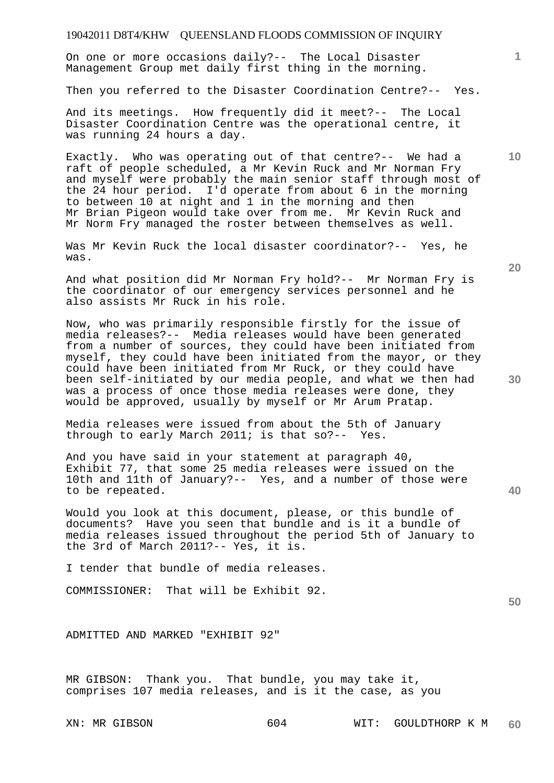On one or more occasions daily?-- The Local Disaster Management Group met daily first thing in the morning.

Then you referred to the Disaster Coordination Centre?-- Yes.

And its meetings. How frequently did it meet?-- The Local Disaster Coordination Centre was the operational centre, it was running 24 hours a day.

Exactly. Who was operating out of that centre?-- We had a raft of people scheduled, a Mr Kevin Ruck and Mr Norman Fry and myself were probably the main senior staff through most of the 24 hour period. I'd operate from about 6 in the morning to between 10 at night and 1 in the morning and then Mr Brian Pigeon would take over from me. Mr Kevin Ruck and Mr Norm Fry managed the roster between themselves as well.

Was Mr Kevin Ruck the local disaster coordinator?-- Yes, he was.

And what position did Mr Norman Fry hold?-- Mr Norman Fry is the coordinator of our emergency services personnel and he also assists Mr Ruck in his role.

Now, who was primarily responsible firstly for the issue of media releases?-- Media releases would have been generated from a number of sources, they could have been initiated from myself, they could have been initiated from the mayor, or they could have been initiated from Mr Ruck, or they could have been self-initiated by our media people, and what we then had was a process of once those media releases were done, they would be approved, usually by myself or Mr Arum Pratap.

Media releases were issued from about the 5th of January through to early March 2011; is that so?-- Yes.

And you have said in your statement at paragraph 40, Exhibit 77, that some 25 media releases were issued on the 10th and 11th of January?-- Yes, and a number of those were to be repeated.

Would you look at this document, please, or this bundle of documents? Have you seen that bundle and is it a bundle of media releases issued throughout the period 5th of January to the 3rd of March 2011?-- Yes, it is.

I tender that bundle of media releases.

COMMISSIONER: That will be Exhibit 92.

ADMITTED AND MARKED "EXHIBIT 92"

MR GIBSON: Thank you. That bundle, you may take it, comprises 107 media releases, and is it the case, as you

**10** 

**1**

**30** 

**20** 

**40** 

#### **50**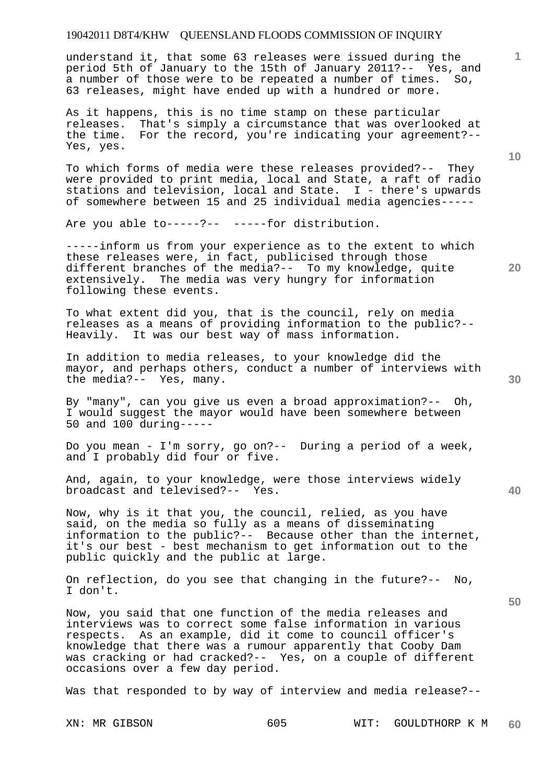understand it, that some 63 releases were issued during the period 5th of January to the 15th of January 2011?-- Yes, and a number of those were to be repeated a number of times. So, 63 releases, might have ended up with a hundred or more.

As it happens, this is no time stamp on these particular releases. That's simply a circumstance that was overlooked at the time. For the record, you're indicating your agreement?-- Yes, yes.

To which forms of media were these releases provided?-- They were provided to print media, local and State, a raft of radio stations and television, local and State. I - there's upwards of somewhere between 15 and 25 individual media agencies-----

Are you able to-----?-- -----for distribution.

-----inform us from your experience as to the extent to which these releases were, in fact, publicised through those different branches of the media?-- To my knowledge, quite extensively. The media was very hungry for information following these events.

To what extent did you, that is the council, rely on media releases as a means of providing information to the public?-- Heavily. It was our best way of mass information.

In addition to media releases, to your knowledge did the mayor, and perhaps others, conduct a number of interviews with the media?-- Yes, many.

By "many", can you give us even a broad approximation?-- Oh, I would suggest the mayor would have been somewhere between 50 and 100 during-----

Do you mean - I'm sorry, go on?-- During a period of a week, and I probably did four or five.

And, again, to your knowledge, were those interviews widely broadcast and televised?-- Yes.

Now, why is it that you, the council, relied, as you have said, on the media so fully as a means of disseminating information to the public?-- Because other than the internet, it's our best - best mechanism to get information out to the public quickly and the public at large.

On reflection, do you see that changing in the future?-- No, I don't.

Now, you said that one function of the media releases and interviews was to correct some false information in various respects. As an example, did it come to council officer's knowledge that there was a rumour apparently that Cooby Dam was cracking or had cracked?-- Yes, on a couple of different occasions over a few day period.

Was that responded to by way of interview and media release?--

**20** 





**50** 

**10**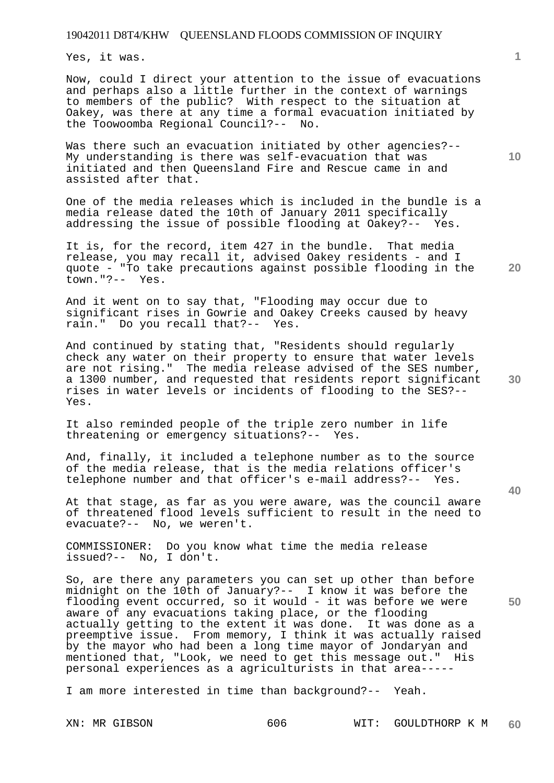Yes, it was.

Now, could I direct your attention to the issue of evacuations and perhaps also a little further in the context of warnings to members of the public? With respect to the situation at Oakey, was there at any time a formal evacuation initiated by the Toowoomba Regional Council?-- No.

Was there such an evacuation initiated by other agencies?-- My understanding is there was self-evacuation that was initiated and then Queensland Fire and Rescue came in and assisted after that.

One of the media releases which is included in the bundle is a media release dated the 10th of January 2011 specifically addressing the issue of possible flooding at Oakey?-- Yes.

It is, for the record, item 427 in the bundle. That media release, you may recall it, advised Oakey residents - and I quote - "To take precautions against possible flooding in the town."?-- Yes.

And it went on to say that, "Flooding may occur due to significant rises in Gowrie and Oakey Creeks caused by heavy rain." Do you recall that?-- Yes.

And continued by stating that, "Residents should regularly check any water on their property to ensure that water levels are not rising." The media release advised of the SES number, a 1300 number, and requested that residents report significant rises in water levels or incidents of flooding to the SES?-- Yes.

It also reminded people of the triple zero number in life threatening or emergency situations?-- Yes.

And, finally, it included a telephone number as to the source of the media release, that is the media relations officer's telephone number and that officer's e-mail address?-- Yes.

At that stage, as far as you were aware, was the council aware of threatened flood levels sufficient to result in the need to evacuate?-- No, we weren't.

COMMISSIONER: Do you know what time the media release issued?-- No, I don't.

So, are there any parameters you can set up other than before midnight on the 10th of January?-- I know it was before the flooding event occurred, so it would - it was before we were aware of any evacuations taking place, or the flooding actually getting to the extent it was done. It was done as a preemptive issue. From memory, I think it was actually raised by the mayor who had been a long time mayor of Jondaryan and mentioned that, "Look, we need to get this message out." His personal experiences as a agriculturists in that area-----

I am more interested in time than background?-- Yeah.

XN: MR GIBSON 606 WIT: GOULDTHORP K M **60** 

**50** 

**10** 

**20** 

**1**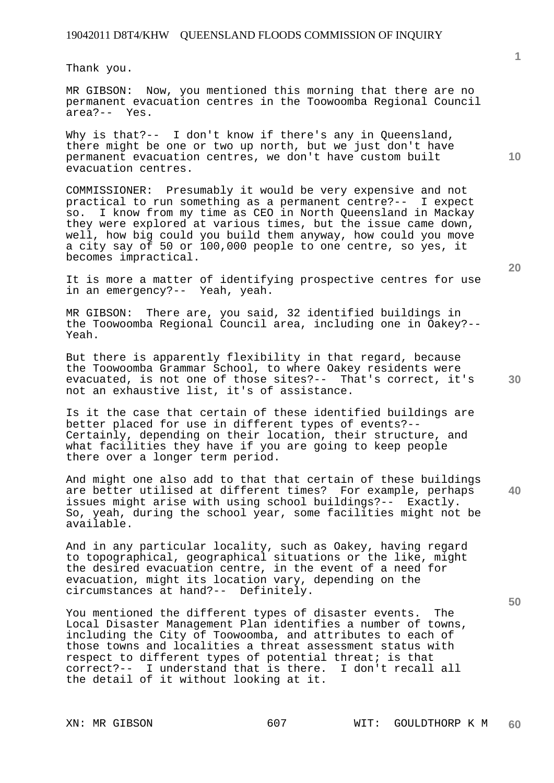Thank you.

MR GIBSON: Now, you mentioned this morning that there are no permanent evacuation centres in the Toowoomba Regional Council area?-- Yes.

Why is that?-- I don't know if there's any in Queensland, there might be one or two up north, but we just don't have permanent evacuation centres, we don't have custom built evacuation centres.

COMMISSIONER: Presumably it would be very expensive and not practical to run something as a permanent centre?-- I expect so. I know from my time as CEO in North Queensland in Mackay they were explored at various times, but the issue came down, well, how big could you build them anyway, how could you move a city say of 50 or 100,000 people to one centre, so yes, it becomes impractical.

It is more a matter of identifying prospective centres for use in an emergency?-- Yeah, yeah.

MR GIBSON: There are, you said, 32 identified buildings in the Toowoomba Regional Council area, including one in Oakey?-- Yeah.

But there is apparently flexibility in that regard, because the Toowoomba Grammar School, to where Oakey residents were evacuated, is not one of those sites?-- That's correct, it's not an exhaustive list, it's of assistance.

Is it the case that certain of these identified buildings are better placed for use in different types of events?-- Certainly, depending on their location, their structure, and what facilities they have if you are going to keep people there over a longer term period.

**40**  And might one also add to that that certain of these buildings are better utilised at different times? For example, perhaps issues might arise with using school buildings?-- Exactly. So, yeah, during the school year, some facilities might not be available.

And in any particular locality, such as Oakey, having regard to topographical, geographical situations or the like, might the desired evacuation centre, in the event of a need for evacuation, might its location vary, depending on the circumstances at hand?-- Definitely.

You mentioned the different types of disaster events. The Local Disaster Management Plan identifies a number of towns, including the City of Toowoomba, and attributes to each of those towns and localities a threat assessment status with respect to different types of potential threat; is that correct?-- I understand that is there. I don't recall all the detail of it without looking at it.

**1**

**20**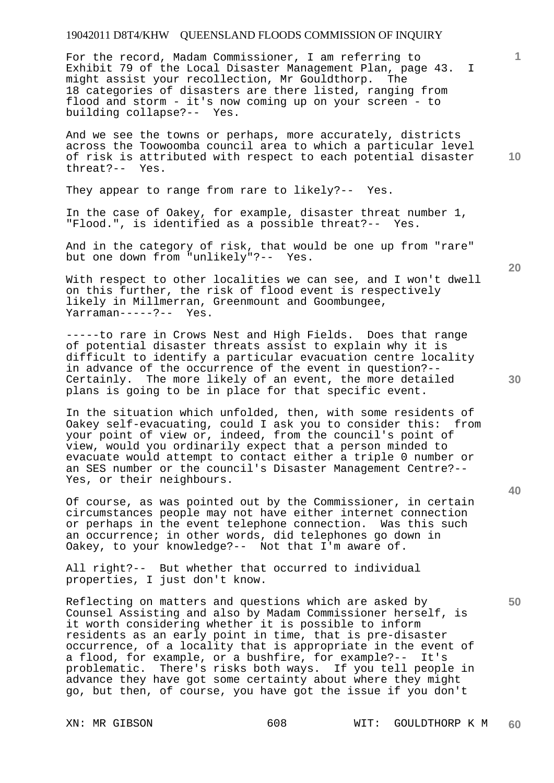For the record, Madam Commissioner, I am referring to Exhibit 79 of the Local Disaster Management Plan, page 43. I might assist your recollection, Mr Gouldthorp. The 18 categories of disasters are there listed, ranging from flood and storm - it's now coming up on your screen - to building collapse?-- Yes.

And we see the towns or perhaps, more accurately, districts across the Toowoomba council area to which a particular level of risk is attributed with respect to each potential disaster threat?-- Yes.

They appear to range from rare to likely?-- Yes.

In the case of Oakey, for example, disaster threat number 1, "Flood.", is identified as a possible threat?-- Yes.

And in the category of risk, that would be one up from "rare" but one down from "unlikely"?-- Yes.

With respect to other localities we can see, and I won't dwell on this further, the risk of flood event is respectively likely in Millmerran, Greenmount and Goombungee, Yarraman-----?-- Yes.

-----to rare in Crows Nest and High Fields. Does that range of potential disaster threats assist to explain why it is difficult to identify a particular evacuation centre locality in advance of the occurrence of the event in question?-- Certainly. The more likely of an event, the more detailed plans is going to be in place for that specific event.

In the situation which unfolded, then, with some residents of Oakey self-evacuating, could I ask you to consider this: from your point of view or, indeed, from the council's point of view, would you ordinarily expect that a person minded to evacuate would attempt to contact either a triple 0 number or an SES number or the council's Disaster Management Centre?-- Yes, or their neighbours.

Of course, as was pointed out by the Commissioner, in certain circumstances people may not have either internet connection or perhaps in the event telephone connection. Was this such an occurrence; in other words, did telephones go down in Oakey, to your knowledge?-- Not that I'm aware of.

All right?-- But whether that occurred to individual properties, I just don't know.

Reflecting on matters and questions which are asked by Counsel Assisting and also by Madam Commissioner herself, is it worth considering whether it is possible to inform residents as an early point in time, that is pre-disaster occurrence, of a locality that is appropriate in the event of a flood, for example, or a bushfire, for example?-- It's problematic. There's risks both ways. If you tell people in advance they have got some certainty about where they might go, but then, of course, you have got the issue if you don't

**20** 

**10** 

**1**

**30**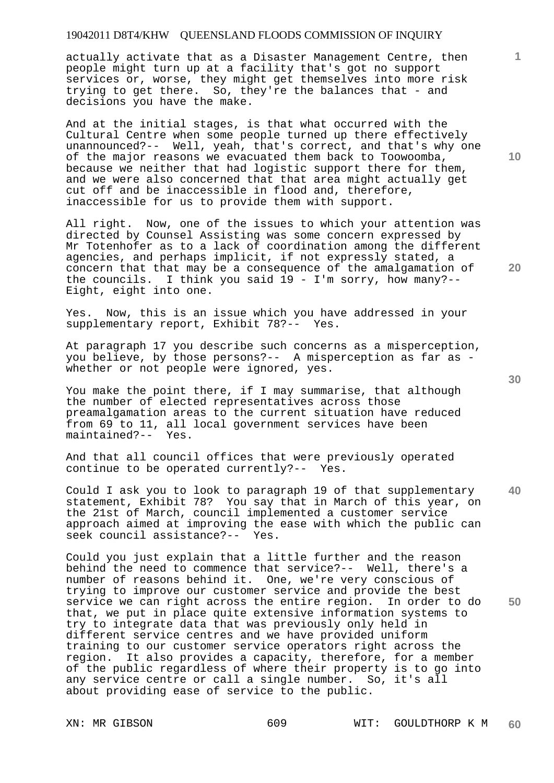actually activate that as a Disaster Management Centre, then people might turn up at a facility that's got no support services or, worse, they might get themselves into more risk trying to get there. So, they're the balances that - and decisions you have the make.

And at the initial stages, is that what occurred with the Cultural Centre when some people turned up there effectively unannounced?-- Well, yeah, that's correct, and that's why one of the major reasons we evacuated them back to Toowoomba, because we neither that had logistic support there for them, and we were also concerned that that area might actually get cut off and be inaccessible in flood and, therefore, inaccessible for us to provide them with support.

All right. Now, one of the issues to which your attention was directed by Counsel Assisting was some concern expressed by Mr Totenhofer as to a lack of coordination among the different agencies, and perhaps implicit, if not expressly stated, a concern that that may be a consequence of the amalgamation of the councils. I think you said 19 - I'm sorry, how many?-- Eight, eight into one.

Yes. Now, this is an issue which you have addressed in your supplementary report, Exhibit 78?-- Yes.

At paragraph 17 you describe such concerns as a misperception, you believe, by those persons?-- A misperception as far as whether or not people were ignored, yes.

You make the point there, if I may summarise, that although the number of elected representatives across those preamalgamation areas to the current situation have reduced from 69 to 11, all local government services have been maintained?-- Yes.

And that all council offices that were previously operated continue to be operated currently?-- Yes.

**40**  Could I ask you to look to paragraph 19 of that supplementary statement, Exhibit 78? You say that in March of this year, on the 21st of March, council implemented a customer service approach aimed at improving the ease with which the public can seek council assistance?-- Yes.

Could you just explain that a little further and the reason behind the need to commence that service?-- Well, there's a number of reasons behind it. One, we're very conscious of trying to improve our customer service and provide the best service we can right across the entire region. In order to do that, we put in place quite extensive information systems to try to integrate data that was previously only held in different service centres and we have provided uniform training to our customer service operators right across the region. It also provides a capacity, therefore, for a member of the public regardless of where their property is to go into any service centre or call a single number. So, it's all about providing ease of service to the public.

**50** 

**10** 

**20**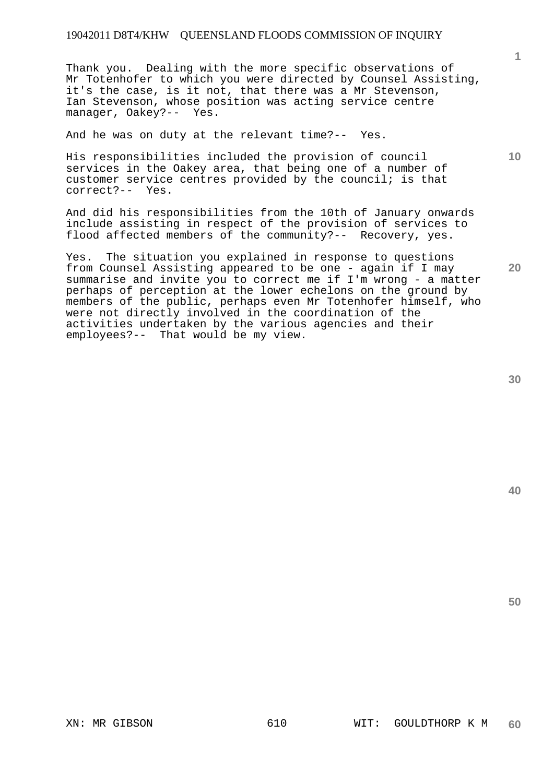Thank you. Dealing with the more specific observations of Mr Totenhofer to which you were directed by Counsel Assisting, it's the case, is it not, that there was a Mr Stevenson, Ian Stevenson, whose position was acting service centre manager, Oakey?-- Yes.

And he was on duty at the relevant time?-- Yes.

His responsibilities included the provision of council services in the Oakey area, that being one of a number of customer service centres provided by the council; is that correct?-- Yes.

And did his responsibilities from the 10th of January onwards include assisting in respect of the provision of services to flood affected members of the community?-- Recovery, yes.

Yes. The situation you explained in response to questions from Counsel Assisting appeared to be one - again if I may summarise and invite you to correct me if I'm wrong - a matter perhaps of perception at the lower echelons on the ground by members of the public, perhaps even Mr Totenhofer himself, who were not directly involved in the coordination of the activities undertaken by the various agencies and their employees?-- That would be my view.

**20** 

**10** 

**1**

**50**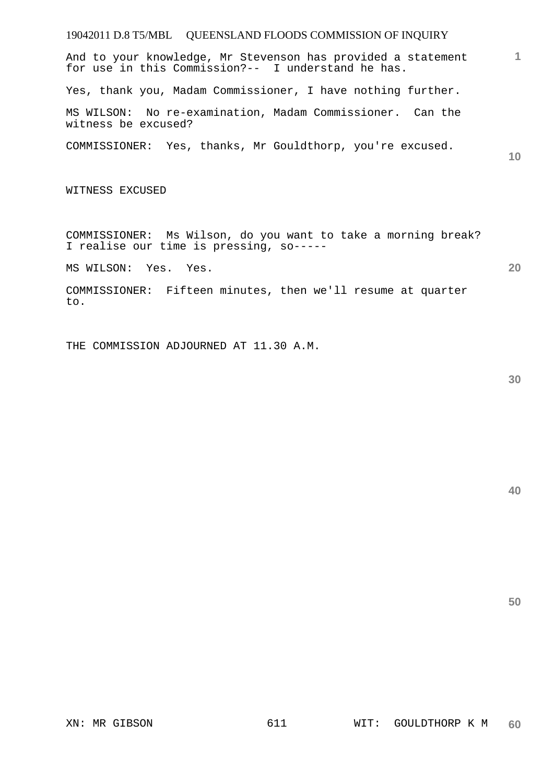# 19042011 D.8 T5/MBL QUEENSLAND FLOODS COMMISSION OF INQUIRY

And to your knowledge, Mr Stevenson has provided a statement for use in this Commission?-- I understand he has.

Yes, thank you, Madam Commissioner, I have nothing further.

MS WILSON: No re-examination, Madam Commissioner. Can the witness be excused?

COMMISSIONER: Yes, thanks, Mr Gouldthorp, you're excused.

**10** 

**1**

WITNESS EXCUSED

COMMISSIONER: Ms Wilson, do you want to take a morning break? I realise our time is pressing, so-----

MS WILSON: Yes. Yes.

COMMISSIONER: Fifteen minutes, then we'll resume at quarter to.

THE COMMISSION ADJOURNED AT 11.30 A.M.

**30** 

**20**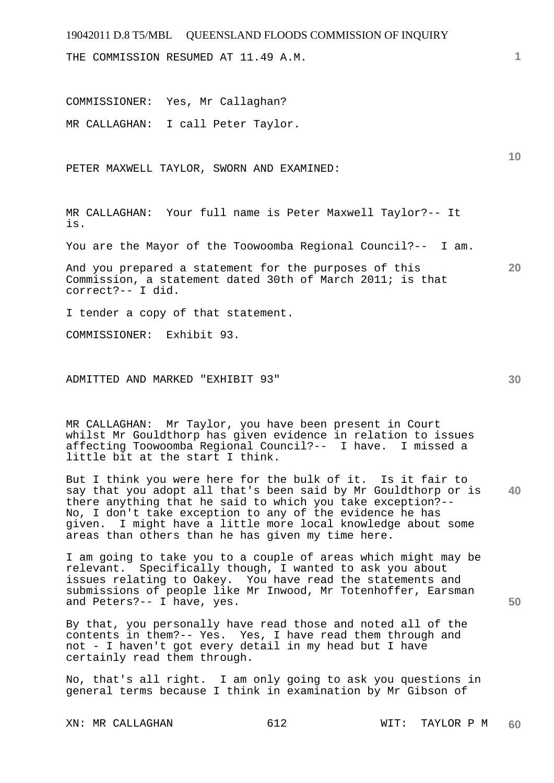# 19042011 D.8 T5/MBL QUEENSLAND FLOODS COMMISSION OF INQUIRY **1 10 20 30 40**  THE COMMISSION RESUMED AT 11.49 A.M. COMMISSIONER: Yes, Mr Callaghan? MR CALLAGHAN: I call Peter Taylor. PETER MAXWELL TAYLOR, SWORN AND EXAMINED: MR CALLAGHAN: Your full name is Peter Maxwell Taylor?-- It is. You are the Mayor of the Toowoomba Regional Council?-- I am. And you prepared a statement for the purposes of this Commission, a statement dated 30th of March 2011; is that correct?-- I did. I tender a copy of that statement. COMMISSIONER: Exhibit 93. ADMITTED AND MARKED "EXHIBIT 93" MR CALLAGHAN: Mr Taylor, you have been present in Court whilst Mr Gouldthorp has given evidence in relation to issues affecting Toowoomba Regional Council?-- I have. I missed a little bit at the start I think. But I think you were here for the bulk of it. Is it fair to say that you adopt all that's been said by Mr Gouldthorp or is there anything that he said to which you take exception?-- No, I don't take exception to any of the evidence he has given. I might have a little more local knowledge about some areas than others than he has given my time here. I am going to take you to a couple of areas which might may be relevant. Specifically though, I wanted to ask you about issues relating to Oakey. You have read the statements and submissions of people like Mr Inwood, Mr Totenhoffer, Earsman

By that, you personally have read those and noted all of the contents in them?-- Yes. Yes, I have read them through and not - I haven't got every detail in my head but I have certainly read them through.

No, that's all right. I am only going to ask you questions in general terms because I think in examination by Mr Gibson of

XN: MR CALLAGHAN 612 612 WIT: TAYLOR P M

and Peters?-- I have, yes.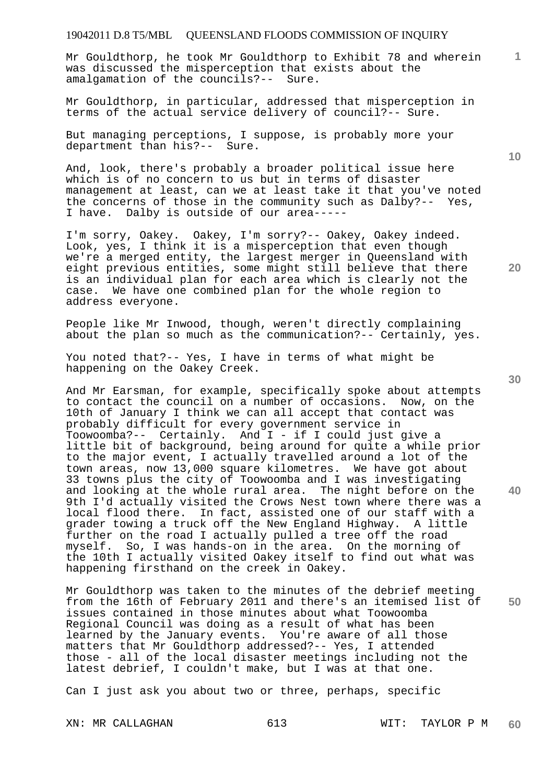# 19042011 D.8 T5/MBL QUEENSLAND FLOODS COMMISSION OF INQUIRY

Mr Gouldthorp, he took Mr Gouldthorp to Exhibit 78 and wherein was discussed the misperception that exists about the amalgamation of the councils?-- Sure.

Mr Gouldthorp, in particular, addressed that misperception in terms of the actual service delivery of council?-- Sure.

But managing perceptions, I suppose, is probably more your department than his?-- Sure.

And, look, there's probably a broader political issue here which is of no concern to us but in terms of disaster management at least, can we at least take it that you've noted the concerns of those in the community such as Dalby?-- Yes, I have. Dalby is outside of our area-----

I'm sorry, Oakey. Oakey, I'm sorry?-- Oakey, Oakey indeed. Look, yes, I think it is a misperception that even though we're a merged entity, the largest merger in Queensland with eight previous entities, some might still believe that there is an individual plan for each area which is clearly not the case. We have one combined plan for the whole region to address everyone.

People like Mr Inwood, though, weren't directly complaining about the plan so much as the communication?-- Certainly, yes.

You noted that?-- Yes, I have in terms of what might be happening on the Oakey Creek.

And Mr Earsman, for example, specifically spoke about attempts to contact the council on a number of occasions. Now, on the 10th of January I think we can all accept that contact was probably difficult for every government service in Toowoomba?-- Certainly. And I - if I could just give a little bit of background, being around for quite a while prior to the major event, I actually travelled around a lot of the town areas, now 13,000 square kilometres. We have got about 33 towns plus the city of Toowoomba and I was investigating and looking at the whole rural area. The night before on the 9th I'd actually visited the Crows Nest town where there was a local flood there. In fact, assisted one of our staff with a grader towing a truck off the New England Highway. A little further on the road I actually pulled a tree off the road myself. So, I was hands-on in the area. On the morning of the 10th I actually visited Oakey itself to find out what was happening firsthand on the creek in Oakey.

Mr Gouldthorp was taken to the minutes of the debrief meeting from the 16th of February 2011 and there's an itemised list of issues contained in those minutes about what Toowoomba Regional Council was doing as a result of what has been learned by the January events. You're aware of all those matters that Mr Gouldthorp addressed?-- Yes, I attended those - all of the local disaster meetings including not the latest debrief, I couldn't make, but I was at that one.

Can I just ask you about two or three, perhaps, specific

**30** 

**20** 

**40** 

**50** 

**10**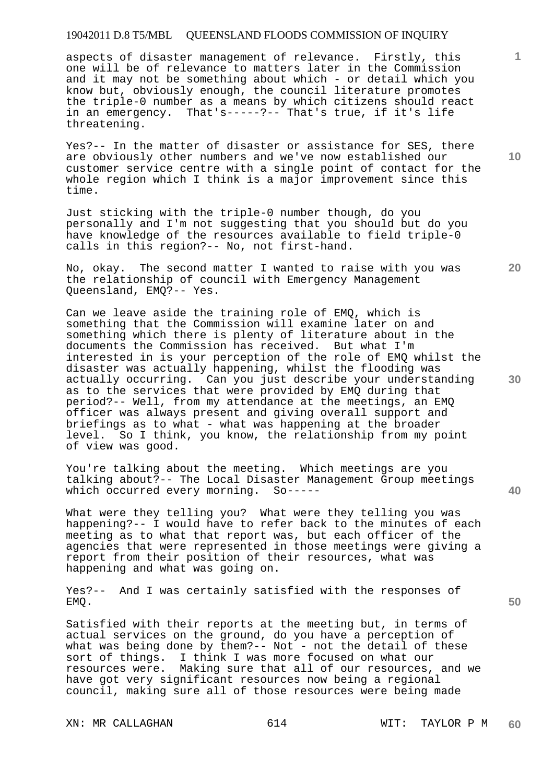# 19042011 D.8 T5/MBL QUEENSLAND FLOODS COMMISSION OF INQUIRY

aspects of disaster management of relevance. Firstly, this one will be of relevance to matters later in the Commission and it may not be something about which - or detail which you know but, obviously enough, the council literature promotes the triple-0 number as a means by which citizens should react in an emergency. That's-----?-- That's true, if it's life threatening.

Yes?-- In the matter of disaster or assistance for SES, there are obviously other numbers and we've now established our customer service centre with a single point of contact for the whole region which I think is a major improvement since this time.

Just sticking with the triple-0 number though, do you personally and I'm not suggesting that you should but do you have knowledge of the resources available to field triple-0 calls in this region?-- No, not first-hand.

No, okay. The second matter I wanted to raise with you was the relationship of council with Emergency Management Queensland, EMQ?-- Yes.

Can we leave aside the training role of EMQ, which is something that the Commission will examine later on and something which there is plenty of literature about in the documents the Commission has received. But what I'm interested in is your perception of the role of EMQ whilst the disaster was actually happening, whilst the flooding was actually occurring. Can you just describe your understanding as to the services that were provided by EMQ during that period?-- Well, from my attendance at the meetings, an EMQ officer was always present and giving overall support and briefings as to what - what was happening at the broader level. So I think, you know, the relationship from my point of view was good.

You're talking about the meeting. Which meetings are you talking about?-- The Local Disaster Management Group meetings which occurred every morning. So-----

What were they telling you? What were they telling you was happening?-- I would have to refer back to the minutes of each meeting as to what that report was, but each officer of the agencies that were represented in those meetings were giving a report from their position of their resources, what was happening and what was going on.

Yes?-- And I was certainly satisfied with the responses of EMQ.

Satisfied with their reports at the meeting but, in terms of actual services on the ground, do you have a perception of what was being done by them?-- Not - not the detail of these sort of things. I think I was more focused on what our resources were. Making sure that all of our resources, and we have got very significant resources now being a regional council, making sure all of those resources were being made

**10** 

**1**

**30** 

**20** 

**40**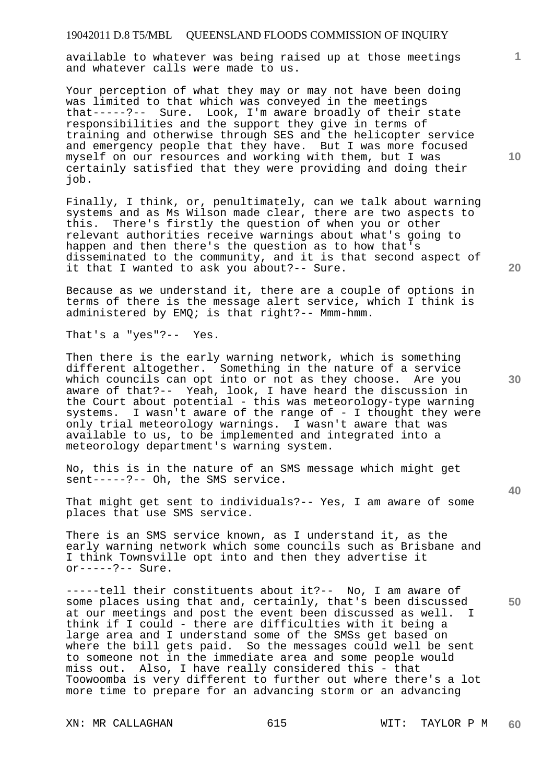available to whatever was being raised up at those meetings and whatever calls were made to us.

Your perception of what they may or may not have been doing was limited to that which was conveyed in the meetings that-----?-- Sure. Look, I'm aware broadly of their state responsibilities and the support they give in terms of training and otherwise through SES and the helicopter service and emergency people that they have. But I was more focused myself on our resources and working with them, but I was certainly satisfied that they were providing and doing their job.

Finally, I think, or, penultimately, can we talk about warning systems and as Ms Wilson made clear, there are two aspects to this. There's firstly the question of when you or other relevant authorities receive warnings about what's going to happen and then there's the question as to how that's disseminated to the community, and it is that second aspect of it that I wanted to ask you about?-- Sure.

Because as we understand it, there are a couple of options in terms of there is the message alert service, which I think is administered by EMQ; is that right?-- Mmm-hmm.

That's a "yes"?-- Yes.

Then there is the early warning network, which is something different altogether. Something in the nature of a service which councils can opt into or not as they choose. Are you aware of that?-- Yeah, look, I have heard the discussion in the Court about potential - this was meteorology-type warning systems. I wasn't aware of the range of - I thought they were only trial meteorology warnings. I wasn't aware that was available to us, to be implemented and integrated into a meteorology department's warning system.

No, this is in the nature of an SMS message which might get sent----- ?-- Oh, the SMS service.

That might get sent to individuals?-- Yes, I am aware of some places that use SMS service.

There is an SMS service known, as I understand it, as the early warning network which some councils such as Brisbane and I think Townsville opt into and then they advertise it or-----?-- Sure.

-----tell their constituents about it?-- No, I am aware of some places using that and, certainly, that's been discussed at our meetings and post the event been discussed as well. think if I could - there are difficulties with it being a large area and I understand some of the SMSs get based on where the bill gets paid. So the messages could well be sent to someone not in the immediate area and some people would miss out. Also, I have really considered this - that Toowoomba is very different to further out where there's a lot more time to prepare for an advancing storm or an advancing

**1**

**30** 

**40** 

**50**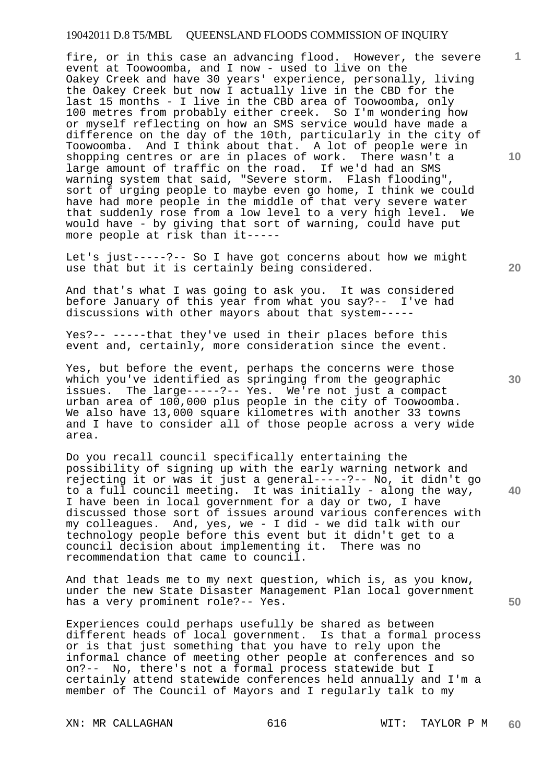# 19042011 D.8 T5/MBL QUEENSLAND FLOODS COMMISSION OF INQUIRY

fire, or in this case an advancing flood. However, the severe event at Toowoomba, and I now - used to live on the Oakey Creek and have 30 years' experience, personally, living the Oakey Creek but now I actually live in the CBD for the last 15 months - I live in the CBD area of Toowoomba, only 100 metres from probably either creek. So I'm wondering how or myself reflecting on how an SMS service would have made a difference on the day of the 10th, particularly in the city of Toowoomba. And I think about that. A lot of people were in shopping centres or are in places of work. There wasn't a large amount of traffic on the road. If we'd had an SMS warning system that said, "Severe storm. Flash flooding", sort of urging people to maybe even go home, I think we could have had more people in the middle of that very severe water that suddenly rose from a low level to a very high level. We would have - by giving that sort of warning, could have put more people at risk than it-----

Let's just-----?-- So I have got concerns about how we might use that but it is certainly being considered.

And that's what I was going to ask you. It was considered before January of this year from what you say?-- I've had discussions with other mayors about that system-----

Yes?-- -----that they've used in their places before this event and, certainly, more consideration since the event.

Yes, but before the event, perhaps the concerns were those which you've identified as springing from the geographic issues. The large-----?-- Yes. We're not just a compact urban area of 100,000 plus people in the city of Toowoomba. We also have 13,000 square kilometres with another 33 towns and I have to consider all of those people across a very wide area.

Do you recall council specifically entertaining the possibility of signing up with the early warning network and rejecting it or was it just a general-----?-- No, it didn't go to a full council meeting. It was initially - along the way, I have been in local government for a day or two, I have discussed those sort of issues around various conferences with my colleagues. And, yes, we - I did - we did talk with our technology people before this event but it didn't get to a council decision about implementing it. There was no recommendation that came to council.

And that leads me to my next question, which is, as you know, under the new State Disaster Management Plan local government has a very prominent role?-- Yes.

Experiences could perhaps usefully be shared as between different heads of local government. Is that a formal process or is that just something that you have to rely upon the informal chance of meeting other people at conferences and so on?-- No, there's not a formal process statewide but I certainly attend statewide conferences held annually and I'm a member of The Council of Mayors and I regularly talk to my

**20** 

**10** 

**1**

**40**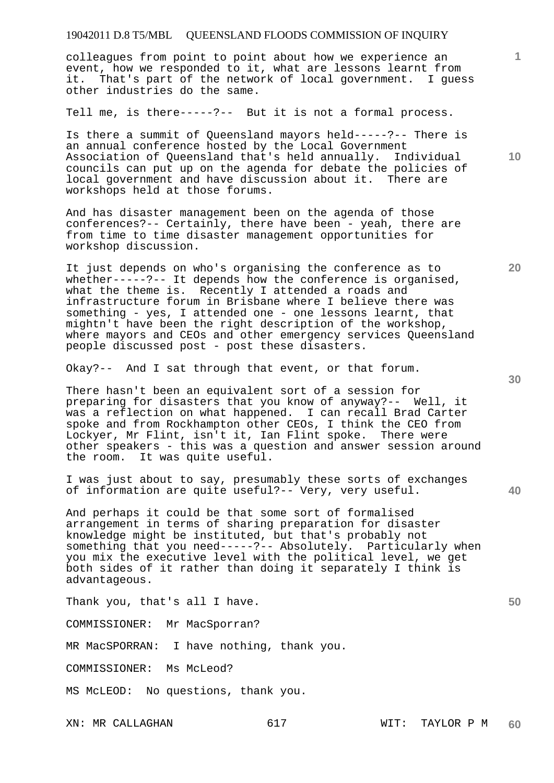# 19042011 D.8 T5/MBL QUEENSLAND FLOODS COMMISSION OF INQUIRY

colleagues from point to point about how we experience an event, how we responded to it, what are lessons learnt from it. That's part of the network of local government. I guess other industries do the same.

Tell me, is there-----?-- But it is not a formal process.

Is there a summit of Queensland mayors held-----?-- There is an annual conference hosted by the Local Government Association of Queensland that's held annually. Individual councils can put up on the agenda for debate the policies of local government and have discussion about it. There are workshops held at those forums.

And has disaster management been on the agenda of those conferences?-- Certainly, there have been - yeah, there are from time to time disaster management opportunities for workshop discussion.

It just depends on who's organising the conference as to whether-----?-- It depends how the conference is organised, what the theme is. Recently I attended a roads and infrastructure forum in Brisbane where I believe there was something - yes, I attended one - one lessons learnt, that mightn't have been the right description of the workshop, where mayors and CEOs and other emergency services Queensland people discussed post - post these disasters.

Okay?-- And I sat through that event, or that forum.

There hasn't been an equivalent sort of a session for preparing for disasters that you know of anyway?-- Well, it was a reflection on what happened. I can recall Brad Carter spoke and from Rockhampton other CEOs, I think the CEO from Lockyer, Mr Flint, isn't it, Ian Flint spoke. There were other speakers - this was a question and answer session around the room. It was quite useful. It was quite useful.

I was just about to say, presumably these sorts of exchanges of information are quite useful?-- Very, very useful.

And perhaps it could be that some sort of formalised arrangement in terms of sharing preparation for disaster knowledge might be instituted, but that's probably not something that you need-----?-- Absolutely. Particularly when you mix the executive level with the political level, we get both sides of it rather than doing it separately I think is advantageous.

Thank you, that's all I have.

COMMISSIONER: Mr MacSporran?

MR MacSPORRAN: I have nothing, thank you.

COMMISSIONER: Ms McLeod?

MS McLEOD: No questions, thank you.

**30** 

**40** 

**50** 

**20** 

**1**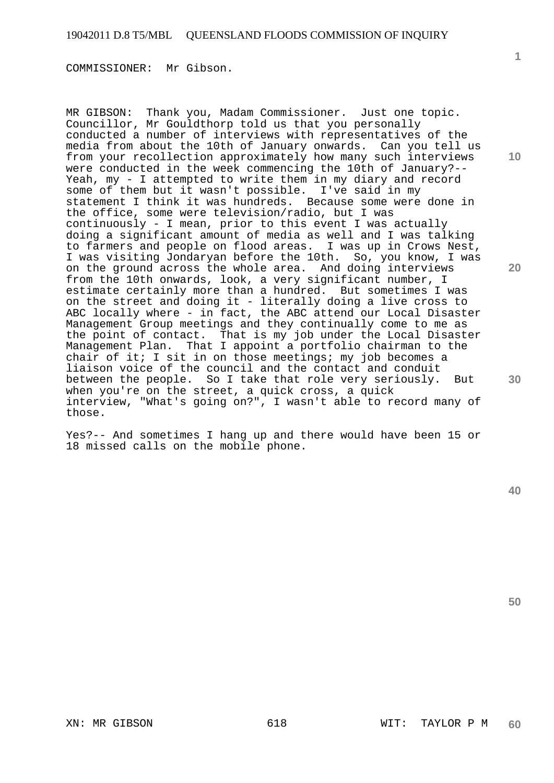COMMISSIONER: Mr Gibson.

MR GIBSON: Thank you, Madam Commissioner. Just one topic. Councillor, Mr Gouldthorp told us that you personally conducted a number of interviews with representatives of the media from about the 10th of January onwards. Can you tell us from your recollection approximately how many such interviews were conducted in the week commencing the 10th of January?-- Yeah, my - I attempted to write them in my diary and record some of them but it wasn't possible. I've said in my statement I think it was hundreds. Because some were done in the office, some were television/radio, but I was continuously - I mean, prior to this event I was actually doing a significant amount of media as well and I was talking to farmers and people on flood areas. I was up in Crows Nest, I was visiting Jondaryan before the 10th. So, you know, I was on the ground across the whole area. And doing interviews from the 10th onwards, look, a very significant number, I estimate certainly more than a hundred. But sometimes I was on the street and doing it - literally doing a live cross to ABC locally where - in fact, the ABC attend our Local Disaster Management Group meetings and they continually come to me as the point of contact. That is my job under the Local Disaster Management Plan. That I appoint a portfolio chairman to the chair of it; I sit in on those meetings; my job becomes a liaison voice of the council and the contact and conduit between the people. So I take that role very seriously. But when you're on the street, a quick cross, a quick interview, "What's going on?", I wasn't able to record many of those.

Yes?-- And sometimes I hang up and there would have been 15 or 18 missed calls on the mobile phone.

**10** 

**1**

**20** 

**30** 

**40**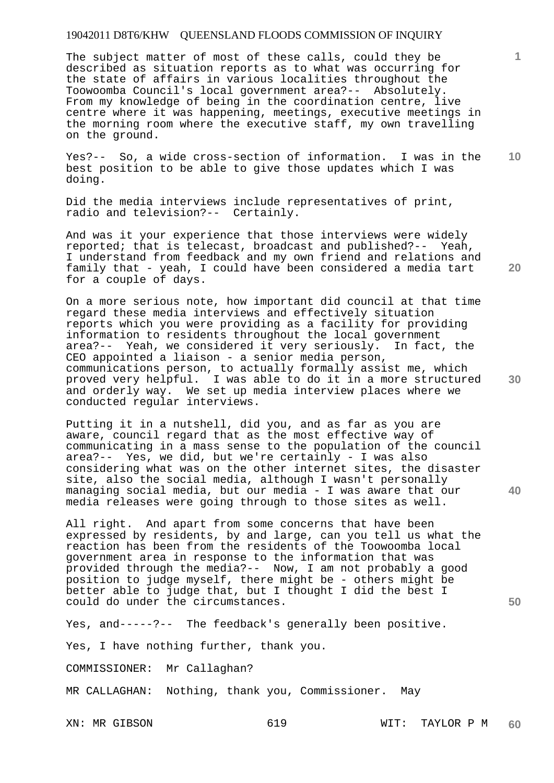The subject matter of most of these calls, could they be described as situation reports as to what was occurring for the state of affairs in various localities throughout the Toowoomba Council's local government area?-- Absolutely. From my knowledge of being in the coordination centre, live centre where it was happening, meetings, executive meetings in the morning room where the executive staff, my own travelling on the ground.

**10**  Yes?-- So, a wide cross-section of information. I was in the best position to be able to give those updates which I was doing.

Did the media interviews include representatives of print, radio and television?-- Certainly.

And was it your experience that those interviews were widely reported; that is telecast, broadcast and published?-- Yeah, I understand from feedback and my own friend and relations and family that - yeah, I could have been considered a media tart for a couple of days.

On a more serious note, how important did council at that time regard these media interviews and effectively situation reports which you were providing as a facility for providing information to residents throughout the local government area?-- Yeah, we considered it very seriously. In fact, the CEO appointed a liaison - a senior media person, communications person, to actually formally assist me, which proved very helpful. I was able to do it in a more structured and orderly way. We set up media interview places where we conducted regular interviews.

Putting it in a nutshell, did you, and as far as you are aware, council regard that as the most effective way of communicating in a mass sense to the population of the council area?-- Yes, we did, but we're certainly - I was also considering what was on the other internet sites, the disaster site, also the social media, although I wasn't personally managing social media, but our media - I was aware that our media releases were going through to those sites as well.

All right. And apart from some concerns that have been expressed by residents, by and large, can you tell us what the reaction has been from the residents of the Toowoomba local government area in response to the information that was provided through the media?-- Now, I am not probably a good position to judge myself, there might be - others might be better able to judge that, but I thought I did the best I could do under the circumstances.

Yes, and-----?-- The feedback's generally been positive.

Yes, I have nothing further, thank you.

COMMISSIONER: Mr Callaghan?

MR CALLAGHAN: Nothing, thank you, Commissioner. May

XN: MR GIBSON 619 619 WIT: TAYLOR P M **60** 

**30** 

**40** 

**50** 

**1**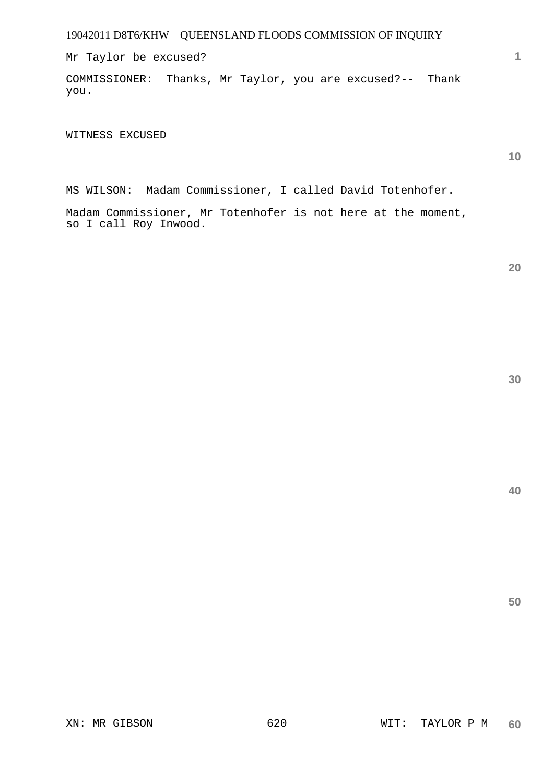Mr Taylor be excused?

COMMISSIONER: Thanks, Mr Taylor, you are excused?-- Thank you.

WITNESS EXCUSED

**10** 

**1**

MS WILSON: Madam Commissioner, I called David Totenhofer.

Madam Commissioner, Mr Totenhofer is not here at the moment, so I call Roy Inwood.

**30** 

**20** 

**40**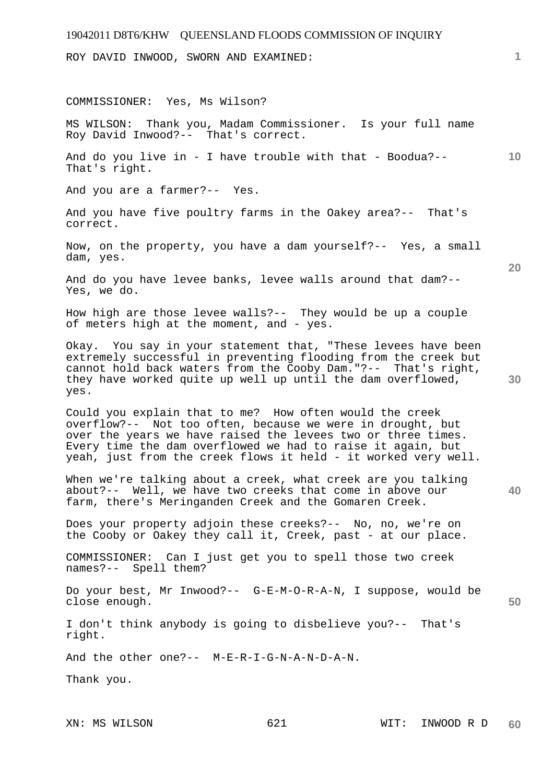ROY DAVID INWOOD, SWORN AND EXAMINED:

**10 20 30 40 50**  COMMISSIONER: Yes, Ms Wilson? MS WILSON: Thank you, Madam Commissioner. Is your full name Roy David Inwood?-- That's correct. And do you live in - I have trouble with that - Boodua?--That's right. And you are a farmer?-- Yes. And you have five poultry farms in the Oakey area?-- That's correct. Now, on the property, you have a dam yourself?-- Yes, a small dam, yes. And do you have levee banks, levee walls around that dam?-- Yes, we do. How high are those levee walls?-- They would be up a couple of meters high at the moment, and - yes. Okay. You say in your statement that, "These levees have been extremely successful in preventing flooding from the creek but cannot hold back waters from the Cooby Dam."?-- That's right, they have worked quite up well up until the dam overflowed, yes. Could you explain that to me? How often would the creek overflow?-- Not too often, because we were in drought, but over the years we have raised the levees two or three times. Every time the dam overflowed we had to raise it again, but yeah, just from the creek flows it held - it worked very well. When we're talking about a creek, what creek are you talking about?-- Well, we have two creeks that come in above our farm, there's Meringanden Creek and the Gomaren Creek. Does your property adjoin these creeks?-- No, no, we're on the Cooby or Oakey they call it, Creek, past - at our place. COMMISSIONER: Can I just get you to spell those two creek names?-- Spell them? Do your best, Mr Inwood?-- G-E-M-O-R-A-N, I suppose, would be close enough. I don't think anybody is going to disbelieve you?-- That's right. And the other one?-- M-E-R-I-G-N-A-N-D-A-N. Thank you.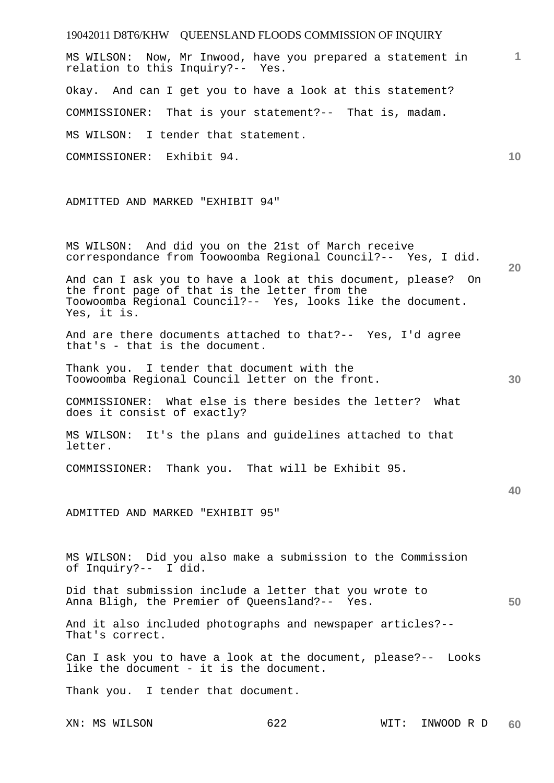19042011 D8T6/KHW QUEENSLAND FLOODS COMMISSION OF INQUIRY **1 10 20 30 40 50**  MS WILSON: Now, Mr Inwood, have you prepared a statement in relation to this Inquiry?-- Yes. Okay. And can I get you to have a look at this statement? COMMISSIONER: That is your statement?-- That is, madam. MS WILSON: I tender that statement. COMMISSIONER: Exhibit 94. ADMITTED AND MARKED "EXHIBIT 94" MS WILSON: And did you on the 21st of March receive correspondance from Toowoomba Regional Council?-- Yes, I did. And can I ask you to have a look at this document, please? On the front page of that is the letter from the Toowoomba Regional Council?-- Yes, looks like the document. Yes, it is. And are there documents attached to that?-- Yes, I'd agree that's - that is the document. Thank you. I tender that document with the Toowoomba Regional Council letter on the front. COMMISSIONER: What else is there besides the letter? What does it consist of exactly? MS WILSON: It's the plans and guidelines attached to that letter. COMMISSIONER: Thank you. That will be Exhibit 95. ADMITTED AND MARKED "EXHIBIT 95" MS WILSON: Did you also make a submission to the Commission of Inquiry?-- I did. Did that submission include a letter that you wrote to Anna Bligh, the Premier of Queensland?-- Yes. And it also included photographs and newspaper articles?-- That's correct. Can I ask you to have a look at the document, please?-- Looks like the document - it is the document. Thank you. I tender that document.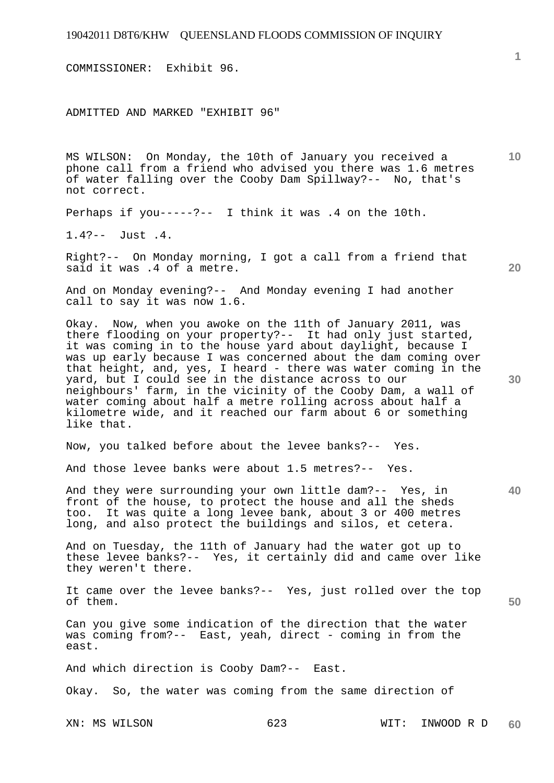COMMISSIONER: Exhibit 96.

ADMITTED AND MARKED "EXHIBIT 96"

MS WILSON: On Monday, the 10th of January you received a phone call from a friend who advised you there was 1.6 metres of water falling over the Cooby Dam Spillway?-- No, that's not correct.

Perhaps if you-----?-- I think it was .4 on the 10th.

1.4?-- Just .4.

Right?-- On Monday morning, I got a call from a friend that said it was .4 of a metre.

And on Monday evening?-- And Monday evening I had another call to say it was now 1.6.

Okay. Now, when you awoke on the 11th of January 2011, was there flooding on your property?-- It had only just started, it was coming in to the house yard about daylight, because I was up early because I was concerned about the dam coming over that height, and, yes, I heard - there was water coming in the yard, but I could see in the distance across to our neighbours' farm, in the vicinity of the Cooby Dam, a wall of water coming about half a metre rolling across about half a kilometre wide, and it reached our farm about 6 or something like that.

Now, you talked before about the levee banks?-- Yes.

And those levee banks were about 1.5 metres?-- Yes.

And they were surrounding your own little dam?-- Yes, in front of the house, to protect the house and all the sheds too. It was quite a long levee bank, about 3 or 400 metres long, and also protect the buildings and silos, et cetera.

And on Tuesday, the 11th of January had the water got up to these levee banks?-- Yes, it certainly did and came over like they weren't there.

It came over the levee banks?-- Yes, just rolled over the top of them.

Can you give some indication of the direction that the water was coming from?-- East, yeah, direct - coming in from the east.

And which direction is Cooby Dam?-- East.

Okay. So, the water was coming from the same direction of

**1**

**10** 

**20** 

**30** 

**40**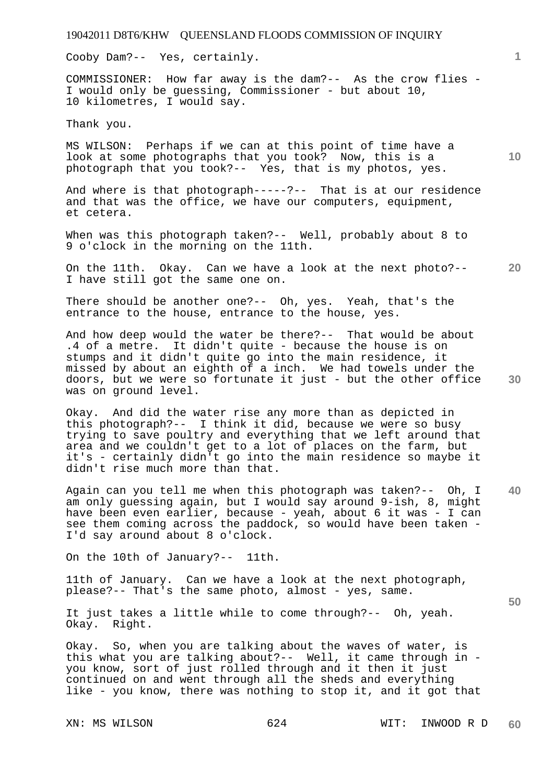Cooby Dam?-- Yes, certainly.

COMMISSIONER: How far away is the dam?-- As the crow flies - I would only be guessing, Commissioner - but about 10, 10 kilometres, I would say.

Thank you.

MS WILSON: Perhaps if we can at this point of time have a look at some photographs that you took? Now, this is a photograph that you took?-- Yes, that is my photos, yes.

And where is that photograph-----?-- That is at our residence and that was the office, we have our computers, equipment, et cetera.

When was this photograph taken?-- Well, probably about 8 to 9 o'clock in the morning on the 11th.

**20**  On the 11th. Okay. Can we have a look at the next photo?-- I have still got the same one on.

There should be another one?-- Oh, yes. Yeah, that's the entrance to the house, entrance to the house, yes.

And how deep would the water be there?-- That would be about .4 of a metre. It didn't quite - because the house is on stumps and it didn't quite go into the main residence, it missed by about an eighth of a inch. We had towels under the doors, but we were so fortunate it just - but the other office was on ground level.

Okay. And did the water rise any more than as depicted in this photograph?-- I think it did, because we were so busy trying to save poultry and everything that we left around that area and we couldn't get to a lot of places on the farm, but it's - certainly didn't go into the main residence so maybe it didn't rise much more than that.

**40**  Again can you tell me when this photograph was taken?-- Oh, I am only guessing again, but I would say around 9-ish, 8, might have been even earlier, because - yeah, about 6 it was - I can see them coming across the paddock, so would have been taken - I'd say around about 8 o'clock.

On the 10th of January?-- 11th.

11th of January. Can we have a look at the next photograph, please?-- That's the same photo, almost - yes, same.

It just takes a little while to come through?-- Oh, yeah. Okay. Right.

Okay. So, when you are talking about the waves of water, is this what you are talking about?-- Well, it came through in you know, sort of just rolled through and it then it just continued on and went through all the sheds and everything like - you know, there was nothing to stop it, and it got that

XN: MS WILSON 624 WIT: INWOOD R D **60** 

**10** 

**1**

**30**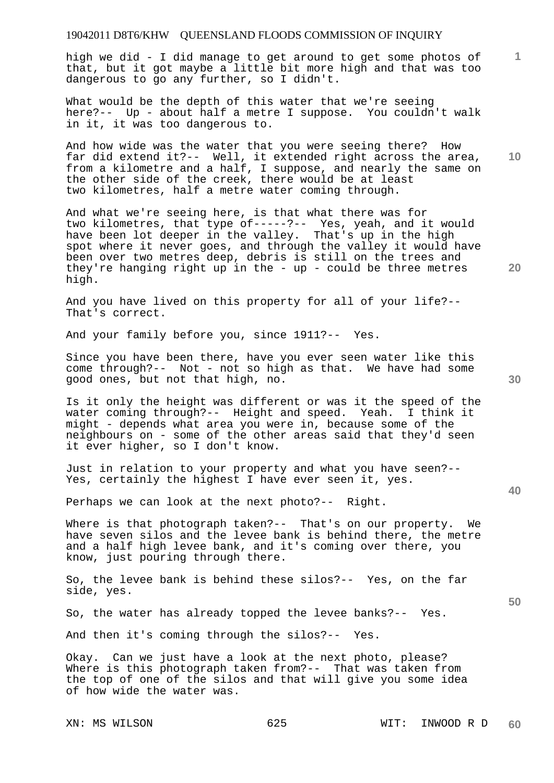high we did - I did manage to get around to get some photos of that, but it got maybe a little bit more high and that was too dangerous to go any further, so I didn't.

What would be the depth of this water that we're seeing here?-- Up - about half a metre I suppose. You couldn't walk in it, it was too dangerous to.

And how wide was the water that you were seeing there? How far did extend it?-- Well, it extended right across the area, from a kilometre and a half, I suppose, and nearly the same on the other side of the creek, there would be at least two kilometres, half a metre water coming through.

And what we're seeing here, is that what there was for two kilometres, that type of-----?-- Yes, yeah, and it would have been lot deeper in the valley. That's up in the high spot where it never goes, and through the valley it would have been over two metres deep, debris is still on the trees and they're hanging right up in the - up - could be three metres high.

And you have lived on this property for all of your life?-- That's correct.

And your family before you, since 1911?-- Yes.

Since you have been there, have you ever seen water like this come through?-- Not - not so high as that. We have had some good ones, but not that high, no.

Is it only the height was different or was it the speed of the water coming through?-- Height and speed. Yeah. I think it might - depends what area you were in, because some of the neighbours on - some of the other areas said that they'd seen it ever higher, so I don't know.

Just in relation to your property and what you have seen?-- Yes, certainly the highest I have ever seen it, yes.

Perhaps we can look at the next photo?-- Right.

Where is that photograph taken?-- That's on our property. We have seven silos and the levee bank is behind there, the metre and a half high levee bank, and it's coming over there, you know, just pouring through there.

So, the levee bank is behind these silos?-- Yes, on the far side, yes.

So, the water has already topped the levee banks?-- Yes.

And then it's coming through the silos?-- Yes.

Okay. Can we just have a look at the next photo, please? Where is this photograph taken from?-- That was taken from the top of one of the silos and that will give you some idea of how wide the water was.

**30** 

**20** 

**40** 

**50** 

**10**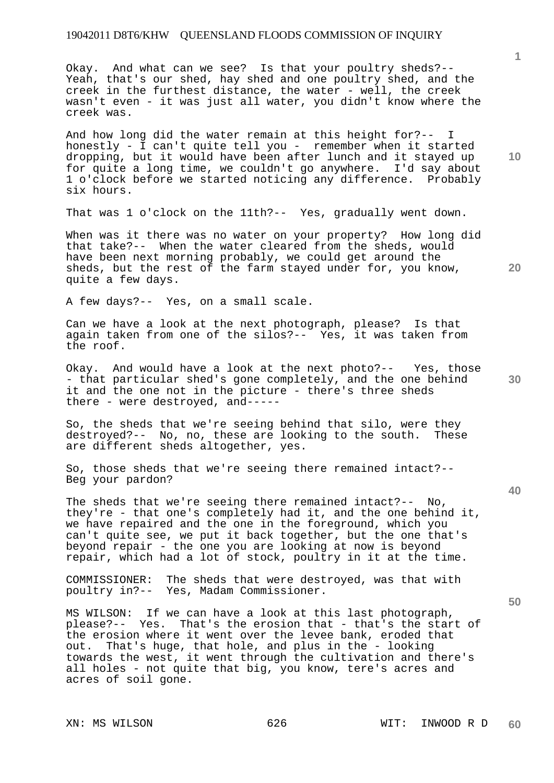Okay. And what can we see? Is that your poultry sheds?-- Yeah, that's our shed, hay shed and one poultry shed, and the creek in the furthest distance, the water - well, the creek wasn't even - it was just all water, you didn't know where the creek was.

And how long did the water remain at this height for?-- I honestly - I can't quite tell you - remember when it started dropping, but it would have been after lunch and it stayed up for quite a long time, we couldn't go anywhere. I'd say about 1 o'clock before we started noticing any difference. Probably six hours.

That was 1 o'clock on the 11th?-- Yes, gradually went down.

When was it there was no water on your property? How long did that take?-- When the water cleared from the sheds, would have been next morning probably, we could get around the sheds, but the rest of the farm stayed under for, you know, quite a few days.

A few days?-- Yes, on a small scale.

Can we have a look at the next photograph, please? Is that again taken from one of the silos?-- Yes, it was taken from the roof.

Okay. And would have a look at the next photo?-- Yes, those - that particular shed's gone completely, and the one behind it and the one not in the picture - there's three sheds there - were destroyed, and-----

So, the sheds that we're seeing behind that silo, were they destroyed?-- No, no, these are looking to the south. These are different sheds altogether, yes.

So, those sheds that we're seeing there remained intact?-- Beg your pardon?

The sheds that we're seeing there remained intact?-- No, they're - that one's completely had it, and the one behind it, we have repaired and the one in the foreground, which you can't quite see, we put it back together, but the one that's beyond repair - the one you are looking at now is beyond repair, which had a lot of stock, poultry in it at the time.

COMMISSIONER: The sheds that were destroyed, was that with poultry in?-- Yes, Madam Commissioner.

MS WILSON: If we can have a look at this last photograph, please?-- Yes. That's the erosion that - that's the start of the erosion where it went over the levee bank, eroded that out. That's huge, that hole, and plus in the - looking towards the west, it went through the cultivation and there's all holes - not quite that big, you know, tere's acres and acres of soil gone.

**10** 

**20** 

**1**

**40** 

**50**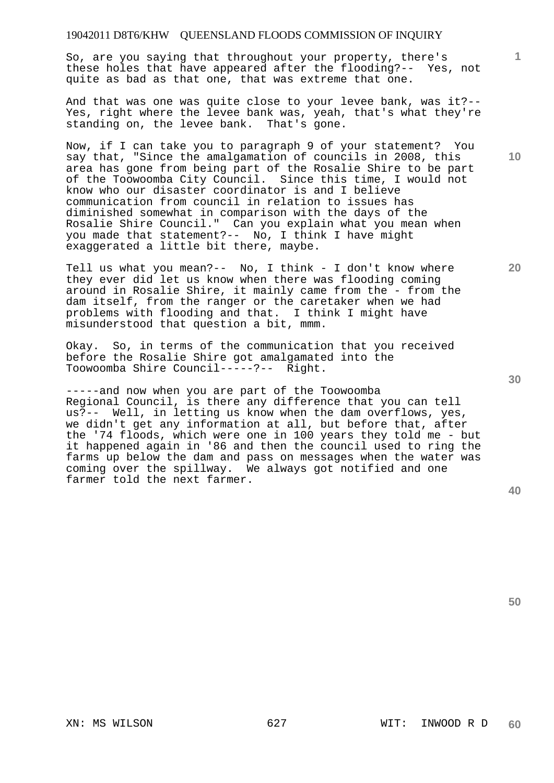So, are you saying that throughout your property, there's these holes that have appeared after the flooding?-- Yes, not quite as bad as that one, that was extreme that one.

And that was one was quite close to your levee bank, was it?-- Yes, right where the levee bank was, yeah, that's what they're standing on, the levee bank. That's gone.

Now, if I can take you to paragraph 9 of your statement? You say that, "Since the amalgamation of councils in 2008, this area has gone from being part of the Rosalie Shire to be part of the Toowoomba City Council. Since this time, I would not know who our disaster coordinator is and I believe communication from council in relation to issues has diminished somewhat in comparison with the days of the Rosalie Shire Council." Can you explain what you mean when you made that statement?-- No, I think I have might exaggerated a little bit there, maybe.

Tell us what you mean?-- No, I think - I don't know where they ever did let us know when there was flooding coming around in Rosalie Shire, it mainly came from the - from the dam itself, from the ranger or the caretaker when we had problems with flooding and that. I think I might have misunderstood that question a bit, mmm.

Okay. So, in terms of the communication that you received before the Rosalie Shire got amalgamated into the Toowoomba Shire Council-----?-- Right.

-----and now when you are part of the Toowoomba Regional Council, is there any difference that you can tell us?-- Well, in letting us know when the dam overflows, yes, we didn't get any information at all, but before that, after the '74 floods, which were one in 100 years they told me - but it happened again in '86 and then the council used to ring the farms up below the dam and pass on messages when the water was coming over the spillway. We always got notified and one farmer told the next farmer.

**40** 

**50** 

**10** 

**20** 

**1**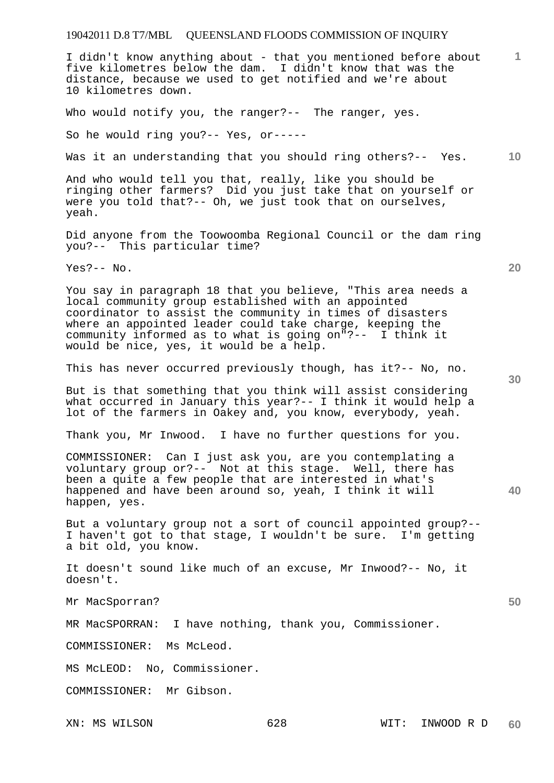# 19042011 D.8 T7/MBL QUEENSLAND FLOODS COMMISSION OF INQUIRY

XN: MS WILSON 628 WIT: INWOOD R D **1 10 20 30 40 50**  I didn't know anything about - that you mentioned before about five kilometres below the dam. I didn't know that was the distance, because we used to get notified and we're about 10 kilometres down. Who would notify you, the ranger?-- The ranger, yes. So he would ring you?-- Yes, or----- Was it an understanding that you should ring others?-- Yes. And who would tell you that, really, like you should be ringing other farmers? Did you just take that on yourself or were you told that?-- Oh, we just took that on ourselves, yeah. Did anyone from the Toowoomba Regional Council or the dam ring you?-- This particular time? Yes?-- No. You say in paragraph 18 that you believe, "This area needs a local community group established with an appointed coordinator to assist the community in times of disasters where an appointed leader could take charge, keeping the community informed as to what is going on"?-- I think it would be nice, yes, it would be a help. This has never occurred previously though, has it?-- No, no. But is that something that you think will assist considering what occurred in January this year?-- I think it would help a lot of the farmers in Oakey and, you know, everybody, yeah. Thank you, Mr Inwood. I have no further questions for you. COMMISSIONER: Can I just ask you, are you contemplating a voluntary group or?-- Not at this stage. Well, there has been a quite a few people that are interested in what's happened and have been around so, yeah, I think it will happen, yes. But a voluntary group not a sort of council appointed group?-- I haven't got to that stage, I wouldn't be sure. I'm getting a bit old, you know. It doesn't sound like much of an excuse, Mr Inwood?-- No, it doesn't. Mr MacSporran? MR MacSPORRAN: I have nothing, thank you, Commissioner. COMMISSIONER: Ms McLeod. MS McLEOD: No, Commissioner. COMMISSIONER: Mr Gibson.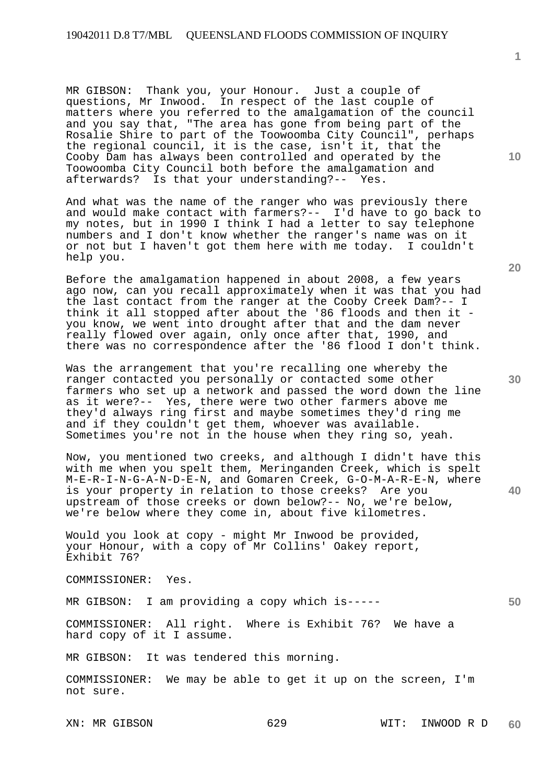MR GIBSON: Thank you, your Honour. Just a couple of questions, Mr Inwood. In respect of the last couple of matters where you referred to the amalgamation of the council and you say that, "The area has gone from being part of the Rosalie Shire to part of the Toowoomba City Council", perhaps the regional council, it is the case, isn't it, that the Cooby Dam has always been controlled and operated by the Toowoomba City Council both before the amalgamation and afterwards? Is that your understanding?-- Yes.

And what was the name of the ranger who was previously there and would make contact with farmers?-- I'd have to go back to my notes, but in 1990 I think I had a letter to say telephone numbers and I don't know whether the ranger's name was on it or not but I haven't got them here with me today. I couldn't help you.

Before the amalgamation happened in about 2008, a few years ago now, can you recall approximately when it was that you had the last contact from the ranger at the Cooby Creek Dam?-- I think it all stopped after about the '86 floods and then it you know, we went into drought after that and the dam never really flowed over again, only once after that, 1990, and there was no correspondence after the '86 flood I don't think.

Was the arrangement that you're recalling one whereby the ranger contacted you personally or contacted some other farmers who set up a network and passed the word down the line as it were?-- Yes, there were two other farmers above me they'd always ring first and maybe sometimes they'd ring me and if they couldn't get them, whoever was available. Sometimes you're not in the house when they ring so, yeah.

Now, you mentioned two creeks, and although I didn't have this with me when you spelt them, Meringanden Creek, which is spelt M-E-R-I-N-G-A-N-D-E-N, and Gomaren Creek, G-O-M-A-R-E-N, where is your property in relation to those creeks? Are you upstream of those creeks or down below?-- No, we're below, we're below where they come in, about five kilometres.

Would you look at copy - might Mr Inwood be provided, your Honour, with a copy of Mr Collins' Oakey report, Exhibit 76?

COMMISSIONER: Yes.

MR GIBSON: I am providing a copy which is-----

COMMISSIONER: All right. Where is Exhibit 76? We have a hard copy of it I assume.

MR GIBSON: It was tendered this morning.

COMMISSIONER: We may be able to get it up on the screen, I'm not sure.

**20** 

**10** 

**1**

**40**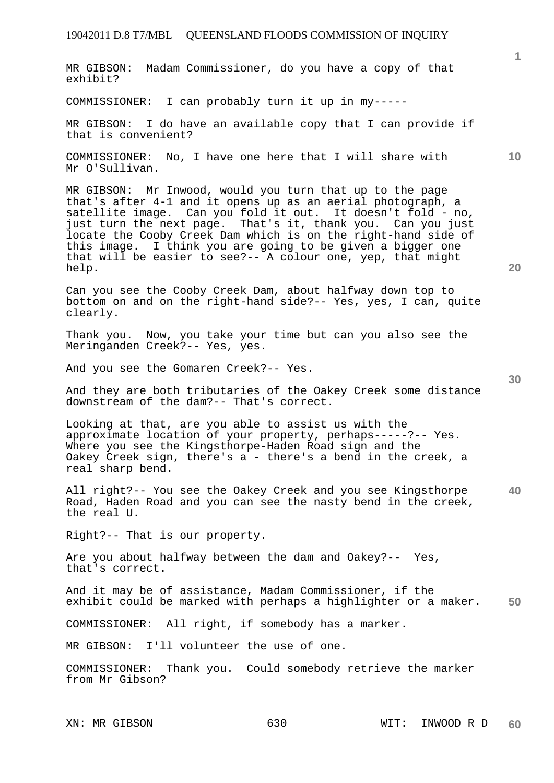## 19042011 D.8 T7/MBL QUEENSLAND FLOODS COMMISSION OF INQUIRY

MR GIBSON: Madam Commissioner, do you have a copy of that exhibit?

COMMISSIONER: I can probably turn it up in my-----

MR GIBSON: I do have an available copy that I can provide if that is convenient?

COMMISSIONER: No, I have one here that I will share with Mr O'Sullivan.

MR GIBSON: Mr Inwood, would you turn that up to the page that's after 4-1 and it opens up as an aerial photograph, a satellite image. Can you fold it out. It doesn't fold - no, just turn the next page. That's it, thank you. Can you just locate the Cooby Creek Dam which is on the right-hand side of this image. I think you are going to be given a bigger one that will be easier to see?-- A colour one, yep, that might help.

Can you see the Cooby Creek Dam, about halfway down top to bottom on and on the right-hand side?-- Yes, yes, I can, quite clearly.

Thank you. Now, you take your time but can you also see the Meringanden Creek?-- Yes, yes.

And you see the Gomaren Creek?-- Yes.

And they are both tributaries of the Oakey Creek some distance downstream of the dam?-- That's correct.

Looking at that, are you able to assist us with the approximate location of your property, perhaps-----?-- Yes. Where you see the Kingsthorpe-Haden Road sign and the Oakey Creek sign, there's a - there's a bend in the creek, a real sharp bend.

**40**  All right?-- You see the Oakey Creek and you see Kingsthorpe Road, Haden Road and you can see the nasty bend in the creek, the real U.

Right?-- That is our property.

Are you about halfway between the dam and Oakey?-- Yes, that's correct.

**50**  And it may be of assistance, Madam Commissioner, if the exhibit could be marked with perhaps a highlighter or a maker.

COMMISSIONER: All right, if somebody has a marker.

MR GIBSON: I'll volunteer the use of one.

COMMISSIONER: Thank you. Could somebody retrieve the marker from Mr Gibson?

**20** 

**10**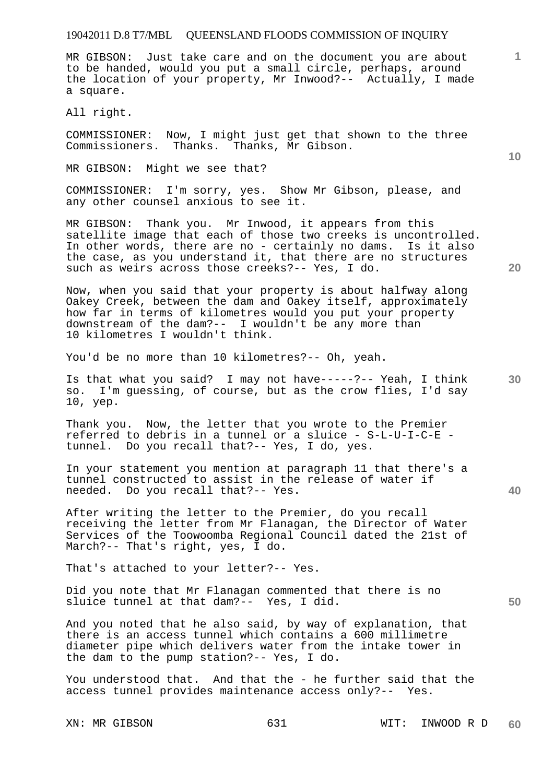#### 19042011 D.8 T7/MBL QUEENSLAND FLOODS COMMISSION OF INQUIRY

MR GIBSON: Just take care and on the document you are about to be handed, would you put a small circle, perhaps, around the location of your property, Mr Inwood?-- Actually, I made a square.

All right.

COMMISSIONER: Now, I might just get that shown to the three Commissioners. Thanks. Thanks, Mr Gibson.

MR GIBSON: Might we see that?

COMMISSIONER: I'm sorry, yes. Show Mr Gibson, please, and any other counsel anxious to see it.

MR GIBSON: Thank you. Mr Inwood, it appears from this satellite image that each of those two creeks is uncontrolled. In other words, there are no - certainly no dams. Is it also the case, as you understand it, that there are no structures such as weirs across those creeks?-- Yes, I do.

Now, when you said that your property is about halfway along Oakey Creek, between the dam and Oakey itself, approximately how far in terms of kilometres would you put your property downstream of the dam?-- I wouldn't be any more than 10 kilometres I wouldn't think.

You'd be no more than 10 kilometres?-- Oh, yeah.

Is that what you said? I may not have-----?-- Yeah, I think so. I'm guessing, of course, but as the crow flies, I'd say 10, yep.

Thank you. Now, the letter that you wrote to the Premier referred to debris in a tunnel or a sluice - S-L-U-I-C-E tunnel. Do you recall that?-- Yes, I do, yes.

In your statement you mention at paragraph 11 that there's a tunnel constructed to assist in the release of water if needed. Do you recall that?-- Yes.

After writing the letter to the Premier, do you recall receiving the letter from Mr Flanagan, the Director of Water Services of the Toowoomba Regional Council dated the 21st of March?-- That's right, yes, I do.

That's attached to your letter?-- Yes.

Did you note that Mr Flanagan commented that there is no sluice tunnel at that dam?-- Yes, I did.

And you noted that he also said, by way of explanation, that there is an access tunnel which contains a 600 millimetre diameter pipe which delivers water from the intake tower in the dam to the pump station?-- Yes, I do.

You understood that. And that the - he further said that the access tunnel provides maintenance access only?-- Yes.

**10** 

**1**

**40** 

**50**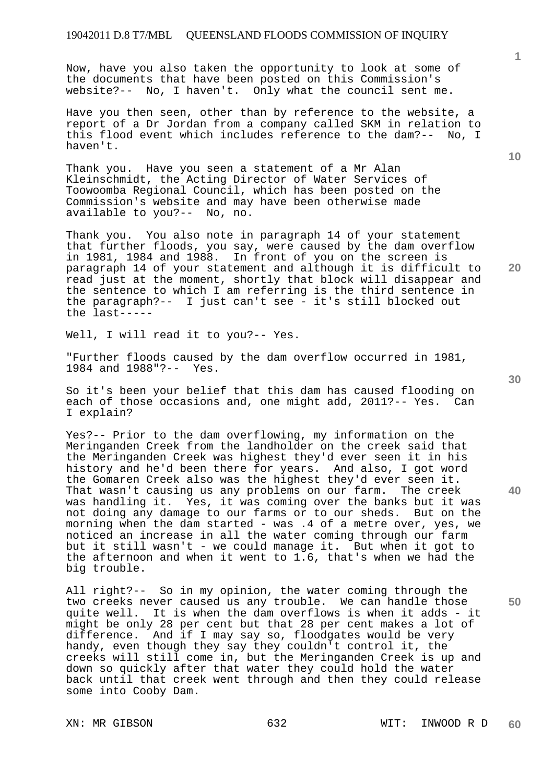Now, have you also taken the opportunity to look at some of the documents that have been posted on this Commission's website?-- No, I haven't. Only what the council sent me.

Have you then seen, other than by reference to the website, a report of a Dr Jordan from a company called SKM in relation to this flood event which includes reference to the dam?-- No, I haven't.

Thank you. Have you seen a statement of a Mr Alan Kleinschmidt, the Acting Director of Water Services of Toowoomba Regional Council, which has been posted on the Commission's website and may have been otherwise made available to you?-- No, no.

Thank you. You also note in paragraph 14 of your statement that further floods, you say, were caused by the dam overflow in 1981, 1984 and 1988. In front of you on the screen is paragraph 14 of your statement and although it is difficult to read just at the moment, shortly that block will disappear and the sentence to which I am referring is the third sentence in the paragraph?-- I just can't see - it's still blocked out the last-----

Well, I will read it to you?-- Yes.

"Further floods caused by the dam overflow occurred in 1981, 1984 and 1988"?-- Yes.

So it's been your belief that this dam has caused flooding on each of those occasions and, one might add, 2011?-- Yes. Can I explain?

Yes?-- Prior to the dam overflowing, my information on the Meringanden Creek from the landholder on the creek said that the Meringanden Creek was highest they'd ever seen it in his history and he'd been there for years. And also, I got word the Gomaren Creek also was the highest they'd ever seen it. That wasn't causing us any problems on our farm. The creek was handling it. Yes, it was coming over the banks but it was not doing any damage to our farms or to our sheds. But on the morning when the dam started - was .4 of a metre over, yes, we noticed an increase in all the water coming through our farm but it still wasn't - we could manage it. But when it got to the afternoon and when it went to 1.6, that's when we had the big trouble.

All right?-- So in my opinion, the water coming through the two creeks never caused us any trouble. We can handle those quite well. It is when the dam overflows is when it adds - it might be only 28 per cent but that 28 per cent makes a lot of difference. And if I may say so, floodgates would be very handy, even though they say they couldn't control it, the creeks will still come in, but the Meringanden Creek is up and down so quickly after that water they could hold the water back until that creek went through and then they could release some into Cooby Dam.

XN: MR GIBSON 632 WIT: INWOOD R D **60** 

**30** 

**20** 

**1**

**10** 

**40**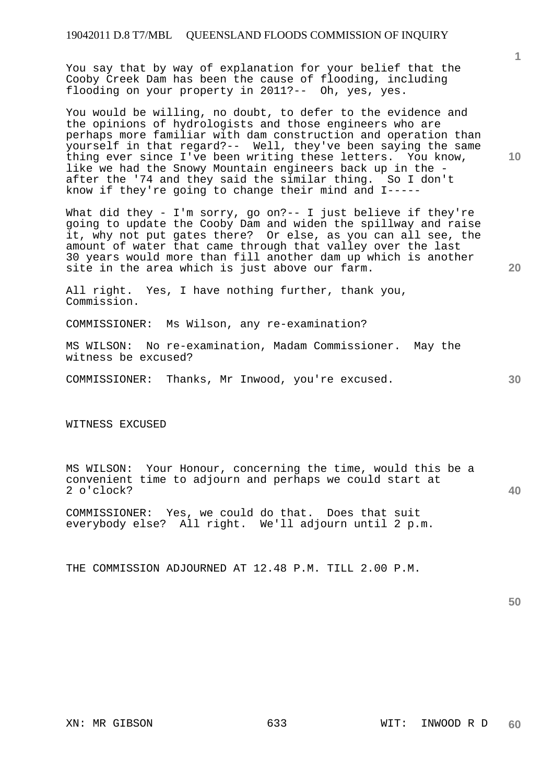## 19042011 D.8 T7/MBL QUEENSLAND FLOODS COMMISSION OF INQUIRY

You say that by way of explanation for your belief that the Cooby Creek Dam has been the cause of flooding, including flooding on your property in 2011?-- Oh, yes, yes.

You would be willing, no doubt, to defer to the evidence and the opinions of hydrologists and those engineers who are perhaps more familiar with dam construction and operation than yourself in that regard?-- Well, they've been saying the same thing ever since I've been writing these letters. You know, like we had the Snowy Mountain engineers back up in the after the '74 and they said the similar thing. So I don't know if they're going to change their mind and I-----

What did they - I'm sorry, go on?-- I just believe if they're going to update the Cooby Dam and widen the spillway and raise it, why not put gates there? Or else, as you can all see, the amount of water that came through that valley over the last 30 years would more than fill another dam up which is another site in the area which is just above our farm.

All right. Yes, I have nothing further, thank you, Commission.

COMMISSIONER: Ms Wilson, any re-examination?

MS WILSON: No re-examination, Madam Commissioner. May the witness be excused?

COMMISSIONER: Thanks, Mr Inwood, you're excused.

WITNESS EXCUSED

MS WILSON: Your Honour, concerning the time, would this be a convenient time to adjourn and perhaps we could start at 2 o'clock?

COMMISSIONER: Yes, we could do that. Does that suit everybody else? All right. We'll adjourn until 2 p.m.

THE COMMISSION ADJOURNED AT 12.48 P.M. TILL 2.00 P.M.

**50** 

**10** 

**1**

**20**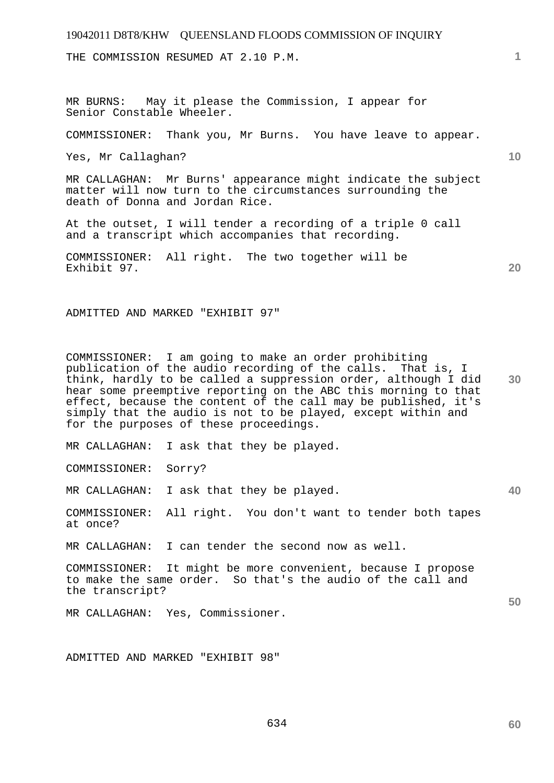THE COMMISSION RESUMED AT 2.10 P.M.

MR BURNS: May it please the Commission, I appear for

COMMISSIONER: Thank you, Mr Burns. You have leave to appear.

Yes, Mr Callaghan?

Senior Constable Wheeler.

MR CALLAGHAN: Mr Burns' appearance might indicate the subject matter will now turn to the circumstances surrounding the death of Donna and Jordan Rice.

At the outset, I will tender a recording of a triple 0 call and a transcript which accompanies that recording.

COMMISSIONER: All right. The two together will be Exhibit 97.

ADMITTED AND MARKED "EXHIBIT 97"

**30**  COMMISSIONER: I am going to make an order prohibiting publication of the audio recording of the calls. That is, I think, hardly to be called a suppression order, although I did hear some preemptive reporting on the ABC this morning to that effect, because the content of the call may be published, it's simply that the audio is not to be played, except within and for the purposes of these proceedings.

MR CALLAGHAN: I ask that they be played.

COMMISSIONER: Sorry?

MR CALLAGHAN: I ask that they be played.

COMMISSIONER: All right. You don't want to tender both tapes at once?

MR CALLAGHAN: I can tender the second now as well.

COMMISSIONER: It might be more convenient, because I propose to make the same order. So that's the audio of the call and the transcript?

MR CALLAGHAN: Yes, Commissioner.

ADMITTED AND MARKED "EXHIBIT 98"

**10** 

**1**

**20**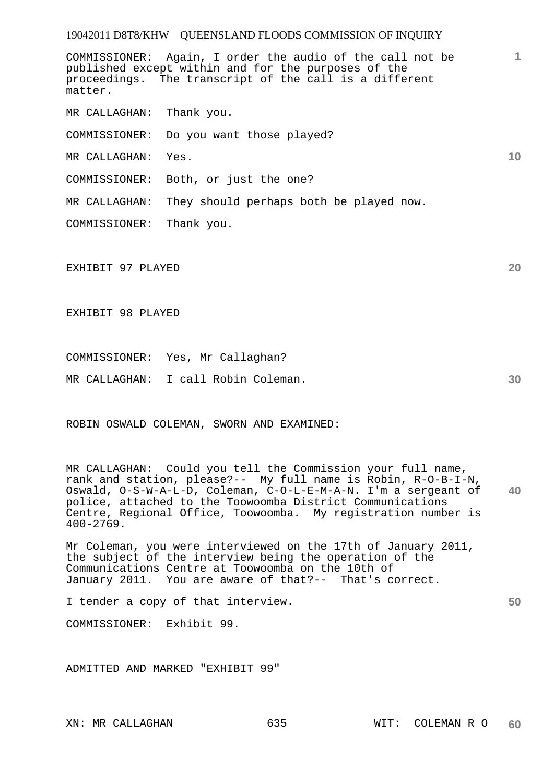COMMISSIONER: Again, I order the audio of the call not be published except within and for the purposes of the proceedings. The transcript of the call is a different matter.

MR CALLAGHAN: Thank you.

COMMISSIONER: Do you want those played?

MR CALLAGHAN: Yes.

COMMISSIONER: Both, or just the one?

MR CALLAGHAN: They should perhaps both be played now.

COMMISSIONER: Thank you.

EXHIBIT 97 PLAYED

EXHIBIT 98 PLAYED

COMMISSIONER: Yes, Mr Callaghan?

MR CALLAGHAN: I call Robin Coleman.

ROBIN OSWALD COLEMAN, SWORN AND EXAMINED:

**40**  MR CALLAGHAN: Could you tell the Commission your full name, rank and station, please?-- My full name is Robin, R-O-B-I-N, Oswald, O-S-W-A-L-D, Coleman, C-O-L-E-M-A-N. I'm a sergeant of police, attached to the Toowoomba District Communications Centre, Regional Office, Toowoomba. My registration number is 400-2769.

Mr Coleman, you were interviewed on the 17th of January 2011, the subject of the interview being the operation of the Communications Centre at Toowoomba on the 10th of January 2011. You are aware of that?-- That's correct.

I tender a copy of that interview.

COMMISSIONER: Exhibit 99.

ADMITTED AND MARKED "EXHIBIT 99"

**20** 

**30** 

**50** 

**10**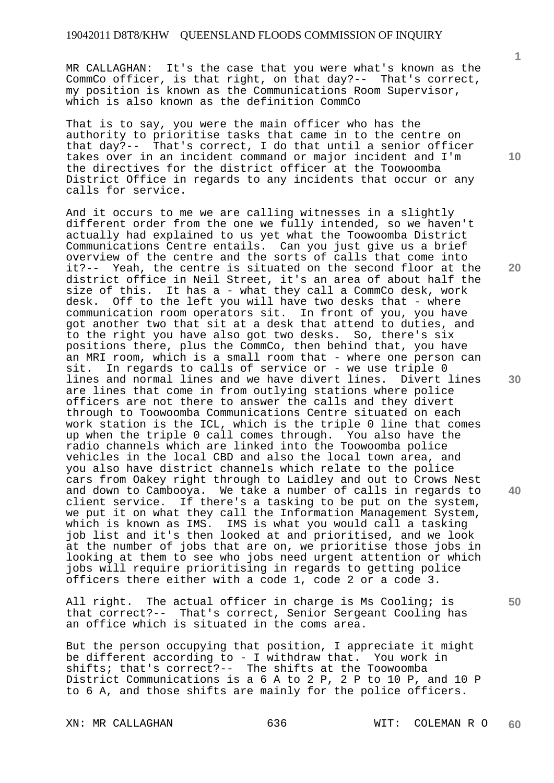MR CALLAGHAN: It's the case that you were what's known as the CommCo officer, is that right, on that day?-- That's correct, my position is known as the Communications Room Supervisor, which is also known as the definition CommCo

That is to say, you were the main officer who has the authority to prioritise tasks that came in to the centre on that day?-- That's correct, I do that until a senior officer takes over in an incident command or major incident and I'm the directives for the district officer at the Toowoomba District Office in regards to any incidents that occur or any calls for service.

And it occurs to me we are calling witnesses in a slightly different order from the one we fully intended, so we haven't actually had explained to us yet what the Toowoomba District Communications Centre entails. Can you just give us a brief overview of the centre and the sorts of calls that come into it?-- Yeah, the centre is situated on the second floor at the district office in Neil Street, it's an area of about half the size of this. It has a - what they call a CommCo desk, work desk. Off to the left you will have two desks that - where communication room operators sit. In front of you, you have got another two that sit at a desk that attend to duties, and to the right you have also got two desks. So, there's six positions there, plus the CommCo, then behind that, you have an MRI room, which is a small room that - where one person can sit. In regards to calls of service or - we use triple 0 lines and normal lines and we have divert lines. Divert lines are lines that come in from outlying stations where police officers are not there to answer the calls and they divert through to Toowoomba Communications Centre situated on each work station is the ICL, which is the triple 0 line that comes up when the triple 0 call comes through. You also have the radio channels which are linked into the Toowoomba police vehicles in the local CBD and also the local town area, and you also have district channels which relate to the police cars from Oakey right through to Laidley and out to Crows Nest and down to Cambooya. We take a number of calls in regards to client service. If there's a tasking to be put on the system, we put it on what they call the Information Management System, which is known as IMS. IMS is what you would call a tasking job list and it's then looked at and prioritised, and we look at the number of jobs that are on, we prioritise those jobs in looking at them to see who jobs need urgent attention or which jobs will require prioritising in regards to getting police officers there either with a code 1, code 2 or a code 3.

All right. The actual officer in charge is Ms Cooling; is that correct?-- That's correct, Senior Sergeant Cooling has an office which is situated in the coms area.

But the person occupying that position, I appreciate it might be different according to - I withdraw that. You work in shifts; that's correct?-- The shifts at the Toowoomba District Communications is a 6 A to 2 P, 2 P to 10 P, and 10 P to 6 A, and those shifts are mainly for the police officers.

XN: MR CALLAGHAN 636 WIT: COLEMAN R O **60** 

**10** 

**20** 

**30** 

**40**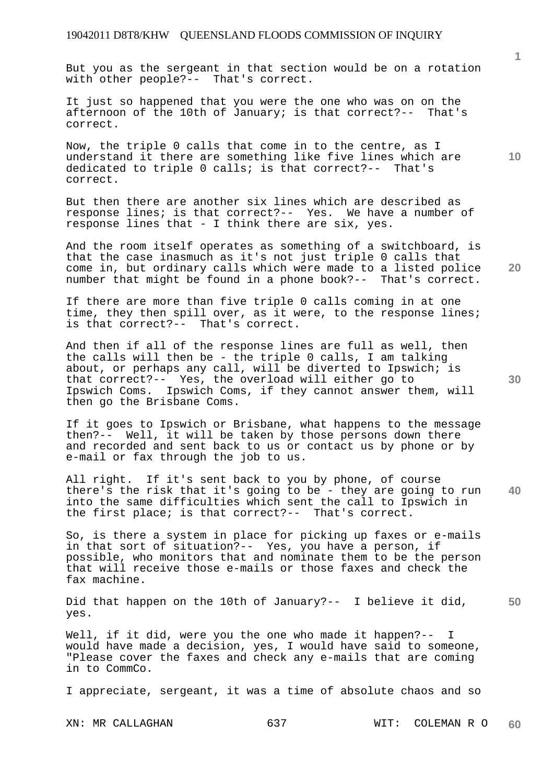But you as the sergeant in that section would be on a rotation with other people?-- That's correct.

It just so happened that you were the one who was on on the afternoon of the 10th of January; is that correct?-- That's correct.

Now, the triple 0 calls that come in to the centre, as I understand it there are something like five lines which are dedicated to triple 0 calls; is that correct?-- That's correct.

But then there are another six lines which are described as response lines; is that correct?-- Yes. We have a number of response lines that - I think there are six, yes.

And the room itself operates as something of a switchboard, is that the case inasmuch as it's not just triple 0 calls that come in, but ordinary calls which were made to a listed police number that might be found in a phone book?-- That's correct.

If there are more than five triple 0 calls coming in at one time, they then spill over, as it were, to the response lines; is that correct?-- That's correct.

And then if all of the response lines are full as well, then the calls will then be - the triple 0 calls, I am talking about, or perhaps any call, will be diverted to Ipswich; is that correct?-- Yes, the overload will either go to Ipswich Coms. Ipswich Coms, if they cannot answer them, will then go the Brisbane Coms.

If it goes to Ipswich or Brisbane, what happens to the message then?-- Well, it will be taken by those persons down there and recorded and sent back to us or contact us by phone or by e-mail or fax through the job to us.

**40**  All right. If it's sent back to you by phone, of course there's the risk that it's going to be - they are going to run into the same difficulties which sent the call to Ipswich in the first place; is that correct?-- That's correct.

So, is there a system in place for picking up faxes or e-mails in that sort of situation?-- Yes, you have a person, if possible, who monitors that and nominate them to be the person that will receive those e-mails or those faxes and check the fax machine.

**50**  Did that happen on the 10th of January?-- I believe it did, yes.

Well, if it did, were you the one who made it happen?-- I would have made a decision, yes, I would have said to someone, "Please cover the faxes and check any e-mails that are coming in to CommCo.

I appreciate, sergeant, it was a time of absolute chaos and so

XN: MR CALLAGHAN 637 WIT: COLEMAN R O **60** 

**30** 

**20** 

**10**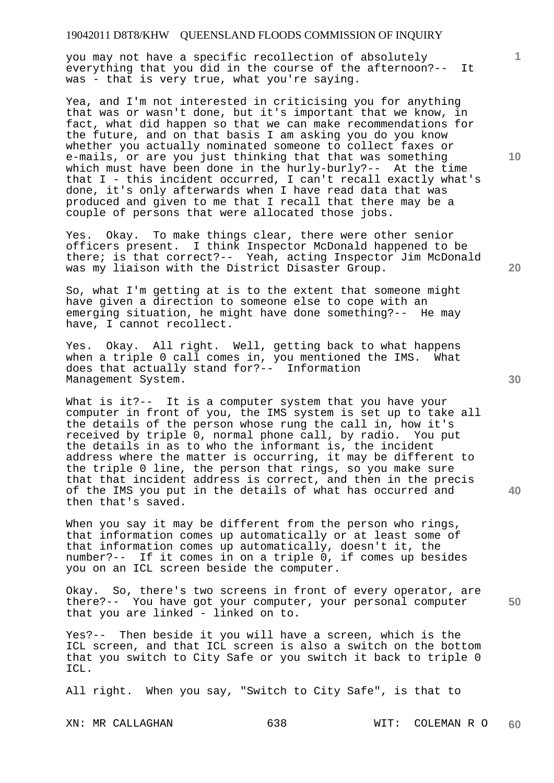you may not have a specific recollection of absolutely everything that you did in the course of the afternoon?-- It was - that is very true, what you're saying.

Yea, and I'm not interested in criticising you for anything that was or wasn't done, but it's important that we know, in fact, what did happen so that we can make recommendations for the future, and on that basis I am asking you do you know whether you actually nominated someone to collect faxes or e-mails, or are you just thinking that that was something which must have been done in the hurly-burly?-- At the time that I - this incident occurred, I can't recall exactly what's done, it's only afterwards when I have read data that was produced and given to me that I recall that there may be a couple of persons that were allocated those jobs.

Yes. Okay. To make things clear, there were other senior officers present. I think Inspector McDonald happened to be there; is that correct?-- Yeah, acting Inspector Jim McDonald was my liaison with the District Disaster Group.

So, what I'm getting at is to the extent that someone might have given a direction to someone else to cope with an emerging situation, he might have done something?-- He may have, I cannot recollect.

Yes. Okay. All right. Well, getting back to what happens when a triple 0 call comes in, you mentioned the IMS. What does that actually stand for?-- Information Management System.

What is it?-- It is a computer system that you have your computer in front of you, the IMS system is set up to take all the details of the person whose rung the call in, how it's received by triple 0, normal phone call, by radio. You put the details in as to who the informant is, the incident address where the matter is occurring, it may be different to the triple 0 line, the person that rings, so you make sure that that incident address is correct, and then in the precis of the IMS you put in the details of what has occurred and then that's saved.

When you say it may be different from the person who rings, that information comes up automatically or at least some of that information comes up automatically, doesn't it, the number?-- If it comes in on a triple 0, if comes up besides you on an ICL screen beside the computer.

Okay. So, there's two screens in front of every operator, are there?-- You have got your computer, your personal computer that you are linked - linked on to.

Yes?-- Then beside it you will have a screen, which is the ICL screen, and that ICL screen is also a switch on the bottom that you switch to City Safe or you switch it back to triple 0 ICL.

All right. When you say, "Switch to City Safe", is that to

XN: MR CALLAGHAN 638 WIT: COLEMAN R O **60** 

**10** 

**1**

**20** 

**50**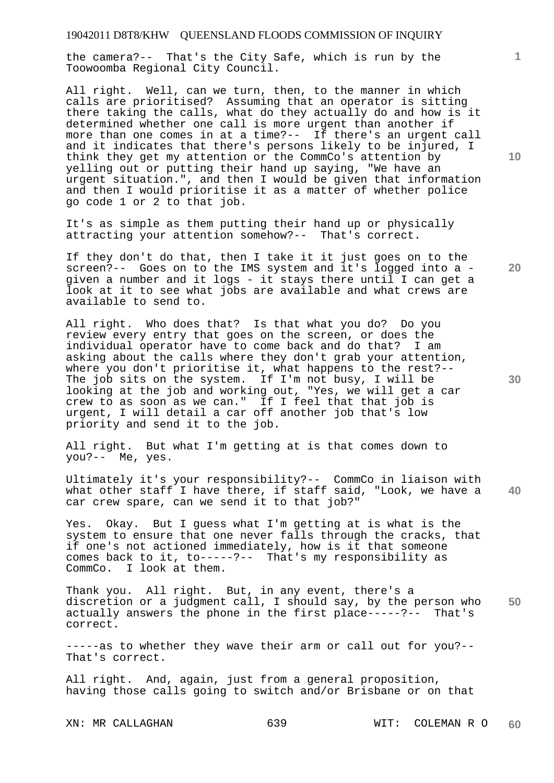the camera?-- That's the City Safe, which is run by the Toowoomba Regional City Council.

All right. Well, can we turn, then, to the manner in which calls are prioritised? Assuming that an operator is sitting there taking the calls, what do they actually do and how is it determined whether one call is more urgent than another if more than one comes in at a time?-- If there's an urgent call and it indicates that there's persons likely to be injured, I think they get my attention or the CommCo's attention by yelling out or putting their hand up saying, "We have an urgent situation.", and then I would be given that information and then I would prioritise it as a matter of whether police go code 1 or 2 to that job.

It's as simple as them putting their hand up or physically attracting your attention somehow?-- That's correct.

If they don't do that, then I take it it just goes on to the screen?-- Goes on to the IMS system and it's logged into a given a number and it logs - it stays there until I can get a look at it to see what jobs are available and what crews are available to send to.

All right. Who does that? Is that what you do? Do you review every entry that goes on the screen, or does the individual operator have to come back and do that? I am asking about the calls where they don't grab your attention, where you don't prioritise it, what happens to the rest?-- The job sits on the system. If I'm not busy, I will be looking at the job and working out, "Yes, we will get a car crew to as soon as we can." If I feel that that job is urgent, I will detail a car off another job that's low priority and send it to the job.

All right. But what I'm getting at is that comes down to you?-- Me, yes.

**40**  Ultimately it's your responsibility?-- CommCo in liaison with what other staff I have there, if staff said, "Look, we have a car crew spare, can we send it to that job?"

Yes. Okay. But I guess what I'm getting at is what is the system to ensure that one never falls through the cracks, that if one's not actioned immediately, how is it that someone comes back to it, to-----?-- That's my responsibility as CommCo. I look at them.

**50**  Thank you. All right. But, in any event, there's a discretion or a judgment call, I should say, by the person who actually answers the phone in the first place-----?-- That's correct.

-----as to whether they wave their arm or call out for you?-- That's correct.

All right. And, again, just from a general proposition, having those calls going to switch and/or Brisbane or on that

**10** 

**1**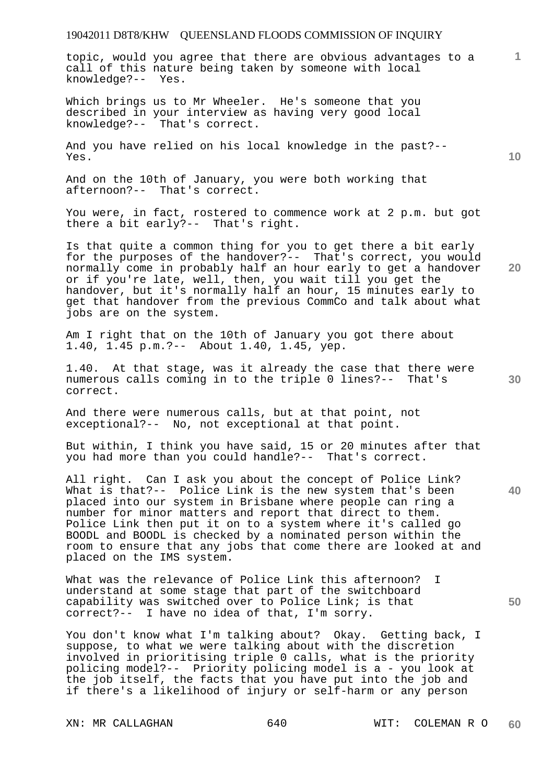topic, would you agree that there are obvious advantages to a call of this nature being taken by someone with local knowledge?-- Yes.

Which brings us to Mr Wheeler. He's someone that you described in your interview as having very good local knowledge?-- That's correct.

And you have relied on his local knowledge in the past?-- Yes.

And on the 10th of January, you were both working that afternoon?-- That's correct.

You were, in fact, rostered to commence work at 2 p.m. but got there a bit early?-- That's right.

Is that quite a common thing for you to get there a bit early for the purposes of the handover?-- That's correct, you would normally come in probably half an hour early to get a handover or if you're late, well, then, you wait till you get the handover, but it's normally half an hour, 15 minutes early to get that handover from the previous CommCo and talk about what jobs are on the system.

Am I right that on the 10th of January you got there about 1.40, 1.45 p.m.?-- About 1.40, 1.45, yep.

1.40. At that stage, was it already the case that there were numerous calls coming in to the triple 0 lines?-- That's correct.

And there were numerous calls, but at that point, not exceptional?-- No, not exceptional at that point.

But within, I think you have said, 15 or 20 minutes after that you had more than you could handle?-- That's correct.

All right. Can I ask you about the concept of Police Link? What is that?-- Police Link is the new system that's been placed into our system in Brisbane where people can ring a number for minor matters and report that direct to them. Police Link then put it on to a system where it's called go BOODL and BOODL is checked by a nominated person within the room to ensure that any jobs that come there are looked at and placed on the IMS system.

What was the relevance of Police Link this afternoon? I understand at some stage that part of the switchboard capability was switched over to Police Link; is that correct?-- I have no idea of that, I'm sorry.

You don't know what I'm talking about? Okay. Getting back, I suppose, to what we were talking about with the discretion involved in prioritising triple 0 calls, what is the priority policing model?-- Priority policing model is a - you look at the job itself, the facts that you have put into the job and if there's a likelihood of injury or self-harm or any person

**10** 

**1**

**20** 

**40**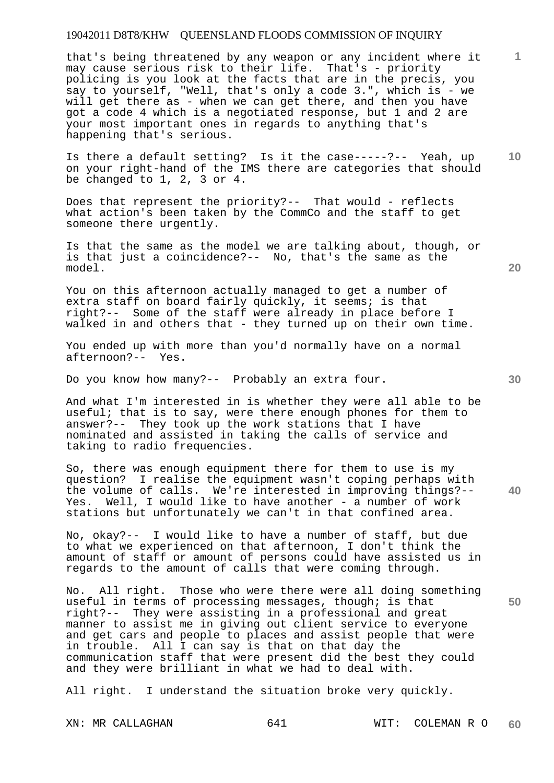# 19042011 D8T8/KHW QUEENSLAND FLOODS COMMISSION OF INQUIRY

that's being threatened by any weapon or any incident where it may cause serious risk to their life. That's - priority policing is you look at the facts that are in the precis, you say to yourself, "Well, that's only a code 3.", which is - we will get there as - when we can get there, and then you have got a code 4 which is a negotiated response, but 1 and 2 are your most important ones in regards to anything that's happening that's serious.

**10**  Is there a default setting? Is it the case-----?-- Yeah, up on your right-hand of the IMS there are categories that should be changed to 1, 2, 3 or 4.

Does that represent the priority?-- That would - reflects what action's been taken by the CommCo and the staff to get someone there urgently.

Is that the same as the model we are talking about, though, or is that just a coincidence?-- No, that's the same as the model.

You on this afternoon actually managed to get a number of extra staff on board fairly quickly, it seems; is that right?-- Some of the staff were already in place before I walked in and others that - they turned up on their own time.

You ended up with more than you'd normally have on a normal afternoon?-- Yes.

Do you know how many?-- Probably an extra four.

And what I'm interested in is whether they were all able to be useful; that is to say, were there enough phones for them to answer?-- They took up the work stations that I have nominated and assisted in taking the calls of service and taking to radio frequencies.

**40**  So, there was enough equipment there for them to use is my question? I realise the equipment wasn't coping perhaps with the volume of calls. We're interested in improving things?-- Yes. Well, I would like to have another - a number of work stations but unfortunately we can't in that confined area.

No, okay?-- I would like to have a number of staff, but due to what we experienced on that afternoon, I don't think the amount of staff or amount of persons could have assisted us in regards to the amount of calls that were coming through.

No. All right. Those who were there were all doing something useful in terms of processing messages, though; is that right?-- They were assisting in a professional and great manner to assist me in giving out client service to everyone and get cars and people to places and assist people that were in trouble. All I can say is that on that day the communication staff that were present did the best they could and they were brilliant in what we had to deal with.

All right. I understand the situation broke very quickly.

**20** 

**30** 

**50**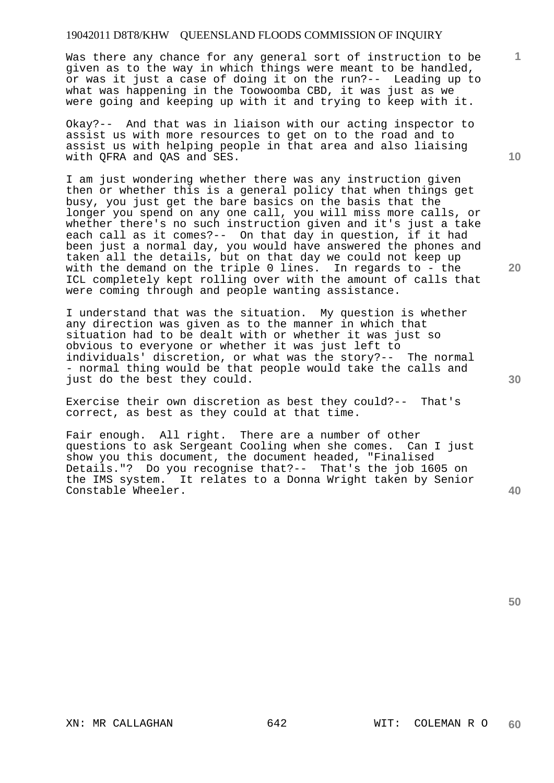# 19042011 D8T8/KHW QUEENSLAND FLOODS COMMISSION OF INQUIRY

Was there any chance for any general sort of instruction to be given as to the way in which things were meant to be handled, or was it just a case of doing it on the run?-- Leading up to what was happening in the Toowoomba CBD, it was just as we were going and keeping up with it and trying to keep with it.

Okay?-- And that was in liaison with our acting inspector to assist us with more resources to get on to the road and to assist us with helping people in that area and also liaising with QFRA and QAS and SES.

I am just wondering whether there was any instruction given then or whether this is a general policy that when things get busy, you just get the bare basics on the basis that the longer you spend on any one call, you will miss more calls, or whether there's no such instruction given and it's just a take each call as it comes?-- On that day in question, if it had been just a normal day, you would have answered the phones and taken all the details, but on that day we could not keep up with the demand on the triple 0 lines. In regards to - the ICL completely kept rolling over with the amount of calls that were coming through and people wanting assistance.

I understand that was the situation. My question is whether any direction was given as to the manner in which that situation had to be dealt with or whether it was just so obvious to everyone or whether it was just left to individuals' discretion, or what was the story?-- The normal - normal thing would be that people would take the calls and just do the best they could.

Exercise their own discretion as best they could?-- That's correct, as best as they could at that time.

Fair enough. All right. There are a number of other questions to ask Sergeant Cooling when she comes. Can I just show you this document, the document headed, "Finalised Details."? Do you recognise that?-- That's the job 1605 on the IMS system. It relates to a Donna Wright taken by Senior Constable Wheeler.

**30** 

**40** 

**10** 

**20**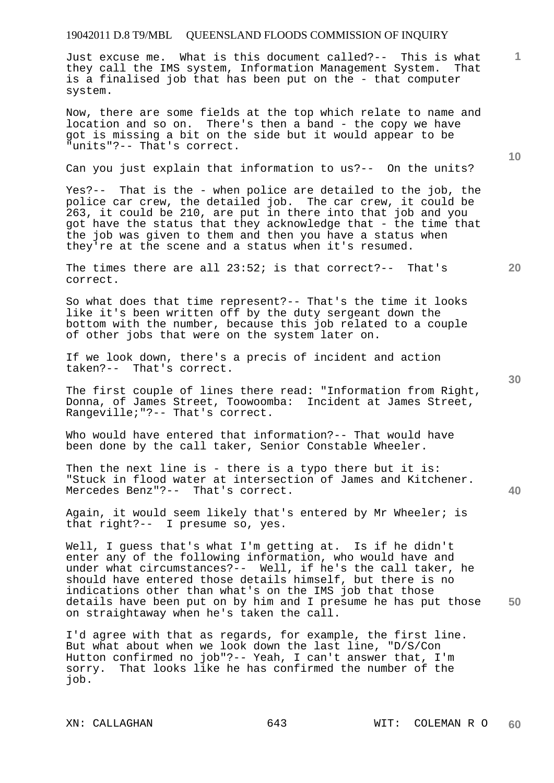Just excuse me. What is this document called?-- This is what they call the IMS system, Information Management System. That is a finalised job that has been put on the - that computer system.

Now, there are some fields at the top which relate to name and location and so on. There's then a band - the copy we have got is missing a bit on the side but it would appear to be "units"?-- That's correct.

Can you just explain that information to us?-- On the units?

Yes?-- That is the - when police are detailed to the job, the police car crew, the detailed job. The car crew, it could be 263, it could be 210, are put in there into that job and you got have the status that they acknowledge that - the time that the job was given to them and then you have a status when they're at the scene and a status when it's resumed.

**20**  The times there are all 23:52; is that correct?-- That's correct.

So what does that time represent?-- That's the time it looks like it's been written off by the duty sergeant down the bottom with the number, because this job related to a couple of other jobs that were on the system later on.

If we look down, there's a precis of incident and action taken?-- That's correct.

The first couple of lines there read: "Information from Right, Donna, of James Street, Toowoomba: Incident at James Street, Rangeville;"?-- That's correct.

Who would have entered that information?-- That would have been done by the call taker, Senior Constable Wheeler.

Then the next line is - there is a typo there but it is: "Stuck in flood water at intersection of James and Kitchener. Mercedes Benz"?-- That's correct.

Again, it would seem likely that's entered by Mr Wheeler; is that right?-- I presume so, yes.

**50**  Well, I guess that's what I'm getting at. Is if he didn't enter any of the following information, who would have and under what circumstances?-- Well, if he's the call taker, he should have entered those details himself, but there is no indications other than what's on the IMS job that those details have been put on by him and I presume he has put those on straightaway when he's taken the call.

I'd agree with that as regards, for example, the first line. But what about when we look down the last line, "D/S/Con Hutton confirmed no job"?-- Yeah, I can't answer that, I'm sorry. That looks like he has confirmed the number of the job.

**10** 

**1**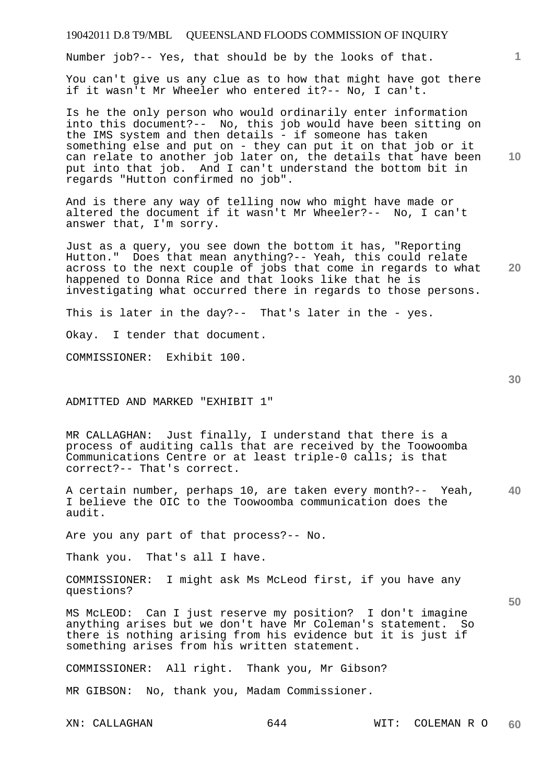Number job?-- Yes, that should be by the looks of that.

You can't give us any clue as to how that might have got there if it wasn't Mr Wheeler who entered it?-- No, I can't.

Is he the only person who would ordinarily enter information into this document?-- No, this job would have been sitting on the IMS system and then details - if someone has taken something else and put on - they can put it on that job or it can relate to another job later on, the details that have been put into that job. And I can't understand the bottom bit in regards "Hutton confirmed no job".

And is there any way of telling now who might have made or altered the document if it wasn't Mr Wheeler?-- No, I can't answer that, I'm sorry.

Just as a query, you see down the bottom it has, "Reporting Hutton." Does that mean anything?-- Yeah, this could relate across to the next couple of jobs that come in regards to what happened to Donna Rice and that looks like that he is investigating what occurred there in regards to those persons.

This is later in the day?-- That's later in the - yes.

Okay. I tender that document.

COMMISSIONER: Exhibit 100.

ADMITTED AND MARKED "EXHIBIT 1"

MR CALLAGHAN: Just finally, I understand that there is a process of auditing calls that are received by the Toowoomba Communications Centre or at least triple-0 calls; is that correct?-- That's correct.

**40**  A certain number, perhaps 10, are taken every month?-- Yeah, I believe the OIC to the Toowoomba communication does the audit.

Are you any part of that process?-- No.

Thank you. That's all I have.

COMMISSIONER: I might ask Ms McLeod first, if you have any questions?

MS McLEOD: Can I just reserve my position? I don't imagine anything arises but we don't have Mr Coleman's statement. So there is nothing arising from his evidence but it is just if something arises from his written statement.

COMMISSIONER: All right. Thank you, Mr Gibson?

MR GIBSON: No, thank you, Madam Commissioner.

**10** 

**1**

**30** 

**20**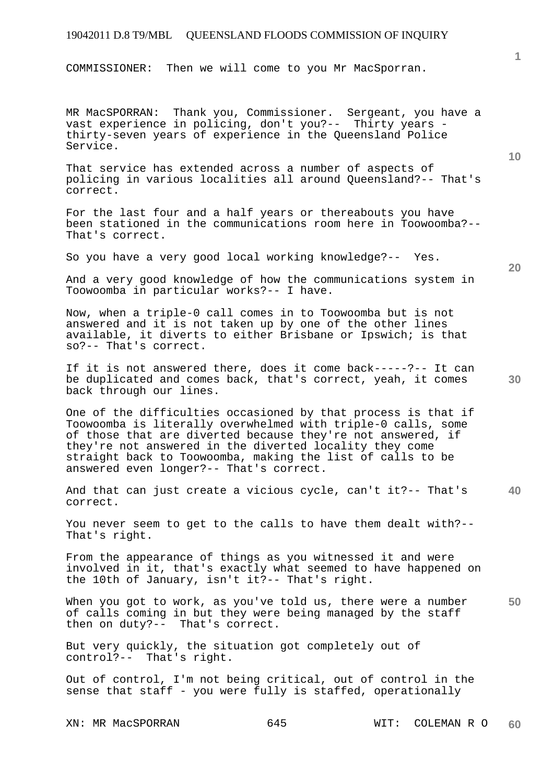COMMISSIONER: Then we will come to you Mr MacSporran.

MR MacSPORRAN: Thank you, Commissioner. Sergeant, you have a vast experience in policing, don't you?-- Thirty years thirty-seven years of experience in the Queensland Police Service.

That service has extended across a number of aspects of policing in various localities all around Queensland?-- That's correct.

For the last four and a half years or thereabouts you have been stationed in the communications room here in Toowoomba?-- That's correct.

So you have a very good local working knowledge?-- Yes.

**20** 

**30** 

**10** 

And a very good knowledge of how the communications system in Toowoomba in particular works?-- I have.

Now, when a triple-0 call comes in to Toowoomba but is not answered and it is not taken up by one of the other lines available, it diverts to either Brisbane or Ipswich; is that so?-- That's correct.

If it is not answered there, does it come back-----?-- It can be duplicated and comes back, that's correct, yeah, it comes back through our lines.

One of the difficulties occasioned by that process is that if Toowoomba is literally overwhelmed with triple-0 calls, some of those that are diverted because they're not answered, if they're not answered in the diverted locality they come straight back to Toowoomba, making the list of calls to be answered even longer?-- That's correct.

**40**  And that can just create a vicious cycle, can't it?-- That's correct.

You never seem to get to the calls to have them dealt with?-- That's right.

From the appearance of things as you witnessed it and were involved in it, that's exactly what seemed to have happened on the 10th of January, isn't it?-- That's right.

**50**  When you got to work, as you've told us, there were a number of calls coming in but they were being managed by the staff then on duty?-- That's correct.

But very quickly, the situation got completely out of control?-- That's right.

Out of control, I'm not being critical, out of control in the sense that staff - you were fully is staffed, operationally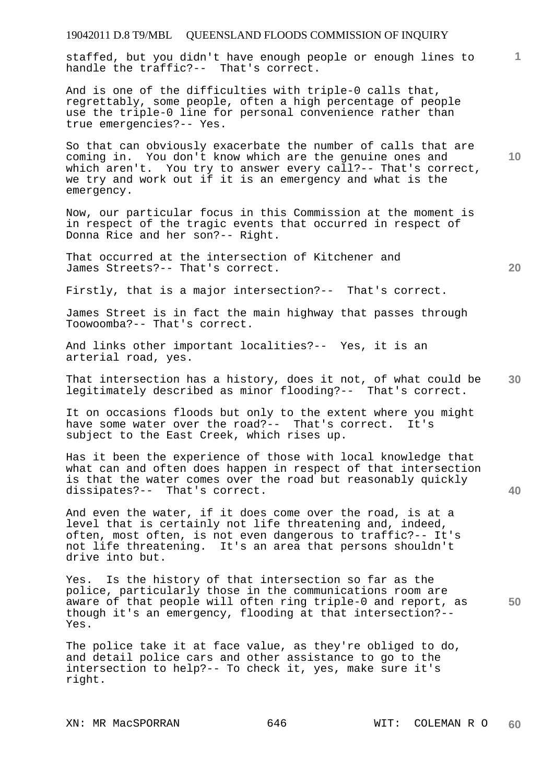# 19042011 D.8 T9/MBL QUEENSLAND FLOODS COMMISSION OF INQUIRY **1** staffed, but you didn't have enough people or enough lines to handle the traffic?-- That's correct. And is one of the difficulties with triple-0 calls that, regrettably, some people, often a high percentage of people use the triple-0 line for personal convenience rather than

So that can obviously exacerbate the number of calls that are coming in. You don't know which are the genuine ones and which aren't. You try to answer every call?-- That's correct, we try and work out if it is an emergency and what is the emergency.

Now, our particular focus in this Commission at the moment is in respect of the tragic events that occurred in respect of Donna Rice and her son?-- Right.

That occurred at the intersection of Kitchener and James Streets?-- That's correct.

true emergencies?-- Yes.

Firstly, that is a major intersection?-- That's correct.

James Street is in fact the main highway that passes through Toowoomba?-- That's correct.

And links other important localities?-- Yes, it is an arterial road, yes.

**30**  That intersection has a history, does it not, of what could be legitimately described as minor flooding?-- That's correct.

It on occasions floods but only to the extent where you might have some water over the road?-- That's correct. It's subject to the East Creek, which rises up.

Has it been the experience of those with local knowledge that what can and often does happen in respect of that intersection is that the water comes over the road but reasonably quickly dissipates?-- That's correct.

And even the water, if it does come over the road, is at a level that is certainly not life threatening and, indeed, often, most often, is not even dangerous to traffic?-- It's not life threatening. It's an area that persons shouldn't drive into but.

**50**  Yes. Is the history of that intersection so far as the police, particularly those in the communications room are aware of that people will often ring triple-0 and report, as though it's an emergency, flooding at that intersection?-- Yes.

The police take it at face value, as they're obliged to do, and detail police cars and other assistance to go to the intersection to help?-- To check it, yes, make sure it's right.

**20** 

**10**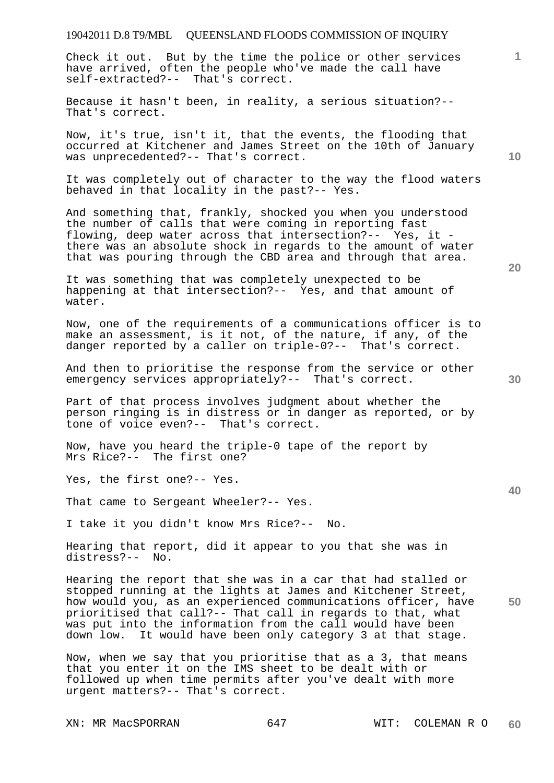Check it out. But by the time the police or other services have arrived, often the people who've made the call have self-extracted?-- That's correct.

Because it hasn't been, in reality, a serious situation?-- That's correct.

Now, it's true, isn't it, that the events, the flooding that occurred at Kitchener and James Street on the 10th of January was unprecedented?-- That's correct.

It was completely out of character to the way the flood waters behaved in that locality in the past?-- Yes.

And something that, frankly, shocked you when you understood the number of calls that were coming in reporting fast flowing, deep water across that intersection?-- Yes, it there was an absolute shock in regards to the amount of water that was pouring through the CBD area and through that area.

It was something that was completely unexpected to be happening at that intersection?-- Yes, and that amount of water.

Now, one of the requirements of a communications officer is to make an assessment, is it not, of the nature, if any, of the danger reported by a caller on triple-0?-- That's correct.

And then to prioritise the response from the service or other emergency services appropriately?-- That's correct.

Part of that process involves judgment about whether the person ringing is in distress or in danger as reported, or by tone of voice even?-- That's correct.

Now, have you heard the triple-0 tape of the report by Mrs Rice?-- The first one?

Yes, the first one?-- Yes.

That came to Sergeant Wheeler?-- Yes.

I take it you didn't know Mrs Rice?-- No.

Hearing that report, did it appear to you that she was in distress?-- No.

**50**  Hearing the report that she was in a car that had stalled or stopped running at the lights at James and Kitchener Street, how would you, as an experienced communications officer, have prioritised that call?-- That call in regards to that, what was put into the information from the call would have been down low. It would have been only category 3 at that stage.

Now, when we say that you prioritise that as a 3, that means that you enter it on the IMS sheet to be dealt with or followed up when time permits after you've dealt with more urgent matters?-- That's correct.

**20** 

**1**

**10**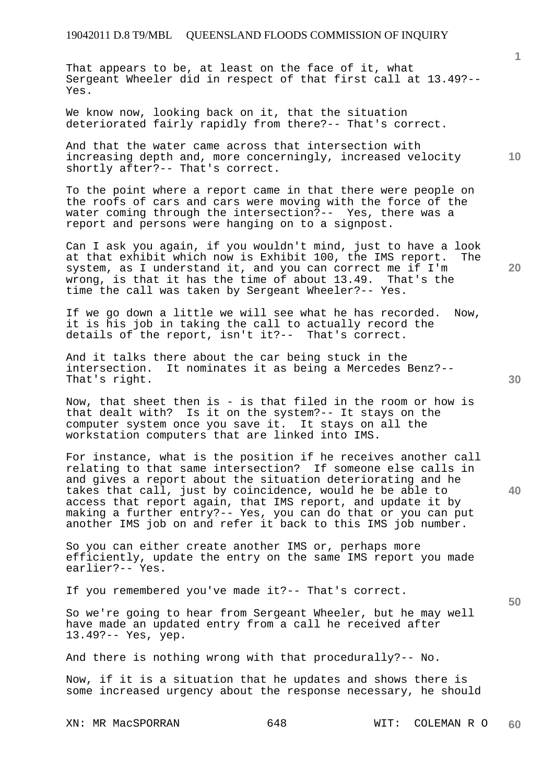That appears to be, at least on the face of it, what Sergeant Wheeler did in respect of that first call at 13.49?-- Yes.

We know now, looking back on it, that the situation deteriorated fairly rapidly from there?-- That's correct.

And that the water came across that intersection with increasing depth and, more concerningly, increased velocity shortly after?-- That's correct.

To the point where a report came in that there were people on the roofs of cars and cars were moving with the force of the water coming through the intersection?-- Yes, there was a report and persons were hanging on to a signpost.

Can I ask you again, if you wouldn't mind, just to have a look at that exhibit which now is Exhibit 100, the IMS report. The system, as I understand it, and you can correct me if I'm wrong, is that it has the time of about 13.49. That's the time the call was taken by Sergeant Wheeler?-- Yes.

If we go down a little we will see what he has recorded. Now, it is his job in taking the call to actually record the details of the report, isn't it?-- That's correct.

And it talks there about the car being stuck in the intersection. It nominates it as being a Mercedes Benz?-- That's right.

Now, that sheet then is - is that filed in the room or how is that dealt with? Is it on the system?-- It stays on the computer system once you save it. It stays on all the workstation computers that are linked into IMS.

For instance, what is the position if he receives another call relating to that same intersection? If someone else calls in and gives a report about the situation deteriorating and he takes that call, just by coincidence, would he be able to access that report again, that IMS report, and update it by making a further entry?-- Yes, you can do that or you can put another IMS job on and refer it back to this IMS job number.

So you can either create another IMS or, perhaps more efficiently, update the entry on the same IMS report you made earlier?-- Yes.

If you remembered you've made it?-- That's correct.

So we're going to hear from Sergeant Wheeler, but he may well have made an updated entry from a call he received after 13.49?-- Yes, yep.

And there is nothing wrong with that procedurally?-- No.

Now, if it is a situation that he updates and shows there is some increased urgency about the response necessary, he should

**30** 

**20** 

**40** 

**50** 

**10**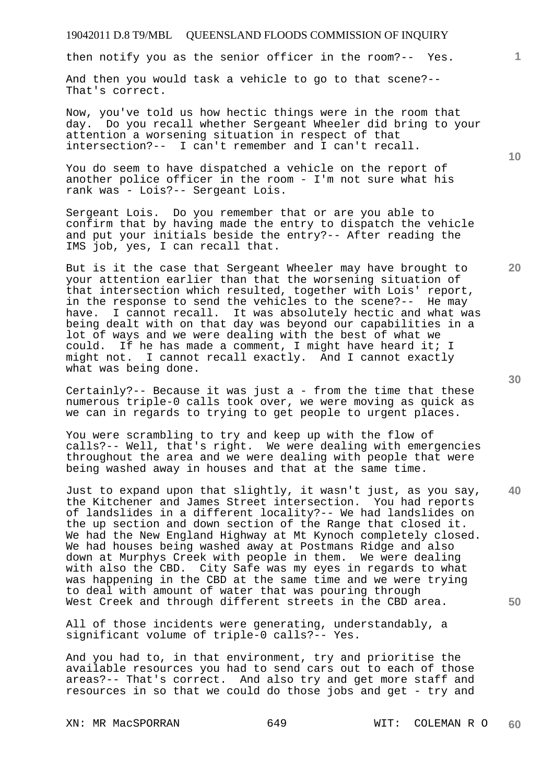then notify you as the senior officer in the room?-- Yes.

And then you would task a vehicle to go to that scene?-- That's correct.

Now, you've told us how hectic things were in the room that day. Do you recall whether Sergeant Wheeler did bring to your attention a worsening situation in respect of that intersection?-- I can't remember and I can't recall.

You do seem to have dispatched a vehicle on the report of another police officer in the room - I'm not sure what his rank was - Lois?-- Sergeant Lois.

Sergeant Lois. Do you remember that or are you able to confirm that by having made the entry to dispatch the vehicle and put your initials beside the entry?-- After reading the IMS job, yes, I can recall that.

But is it the case that Sergeant Wheeler may have brought to your attention earlier than that the worsening situation of that intersection which resulted, together with Lois' report, in the response to send the vehicles to the scene?-- He may have. I cannot recall. It was absolutely hectic and what was being dealt with on that day was beyond our capabilities in a lot of ways and we were dealing with the best of what we could. If he has made a comment, I might have heard it; I might not. I cannot recall exactly. And I cannot exactly what was being done.

Certainly?-- Because it was just a - from the time that these numerous triple-0 calls took over, we were moving as quick as we can in regards to trying to get people to urgent places.

You were scrambling to try and keep up with the flow of calls?-- Well, that's right. We were dealing with emergencies throughout the area and we were dealing with people that were being washed away in houses and that at the same time.

Just to expand upon that slightly, it wasn't just, as you say, the Kitchener and James Street intersection. You had reports of landslides in a different locality?-- We had landslides on the up section and down section of the Range that closed it. We had the New England Highway at Mt Kynoch completely closed. We had houses being washed away at Postmans Ridge and also down at Murphys Creek with people in them. We were dealing with also the CBD. City Safe was my eyes in regards to what was happening in the CBD at the same time and we were trying to deal with amount of water that was pouring through West Creek and through different streets in the CBD area.

All of those incidents were generating, understandably, a significant volume of triple-0 calls?-- Yes.

And you had to, in that environment, try and prioritise the available resources you had to send cars out to each of those areas?-- That's correct. And also try and get more staff and resources in so that we could do those jobs and get - try and

XN: MR MacSPORRAN 649 WIT: COLEMAN R O

**30** 

**40** 

**50** 

**20** 

**10**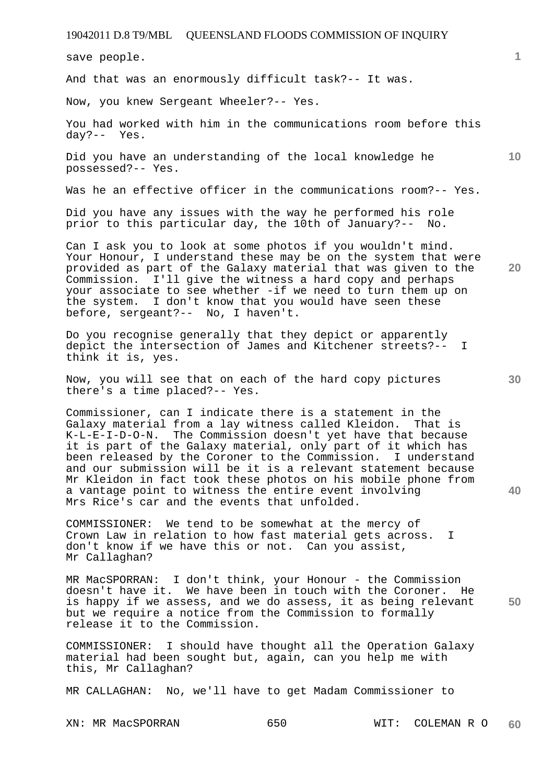save people.

And that was an enormously difficult task?-- It was.

Now, you knew Sergeant Wheeler?-- Yes.

You had worked with him in the communications room before this day?-- Yes.

Did you have an understanding of the local knowledge he possessed?-- Yes.

Was he an effective officer in the communications room?-- Yes.

Did you have any issues with the way he performed his role prior to this particular day, the 10th of January?-- No.

Can I ask you to look at some photos if you wouldn't mind. Your Honour, I understand these may be on the system that were provided as part of the Galaxy material that was given to the Commission. I'll give the witness a hard copy and perhaps your associate to see whether -if we need to turn them up on the system. I don't know that you would have seen these before, sergeant?-- No, I haven't.

Do you recognise generally that they depict or apparently depict the intersection of James and Kitchener streets?-- I think it is, yes.

Now, you will see that on each of the hard copy pictures there's a time placed?-- Yes.

Commissioner, can I indicate there is a statement in the Galaxy material from a lay witness called Kleidon. That is K-L-E-I-D-O-N. The Commission doesn't yet have that because it is part of the Galaxy material, only part of it which has been released by the Coroner to the Commission. I understand and our submission will be it is a relevant statement because Mr Kleidon in fact took these photos on his mobile phone from a vantage point to witness the entire event involving Mrs Rice's car and the events that unfolded.

COMMISSIONER: We tend to be somewhat at the mercy of Crown Law in relation to how fast material gets across. I don't know if we have this or not. Can you assist, Mr Callaghan?

**50**  MR MacSPORRAN: I don't think, your Honour - the Commission doesn't have it. We have been in touch with the Coroner. He is happy if we assess, and we do assess, it as being relevant but we require a notice from the Commission to formally release it to the Commission.

COMMISSIONER: I should have thought all the Operation Galaxy material had been sought but, again, can you help me with this, Mr Callaghan?

MR CALLAGHAN: No, we'll have to get Madam Commissioner to

**30** 

**20** 

**40** 

**1**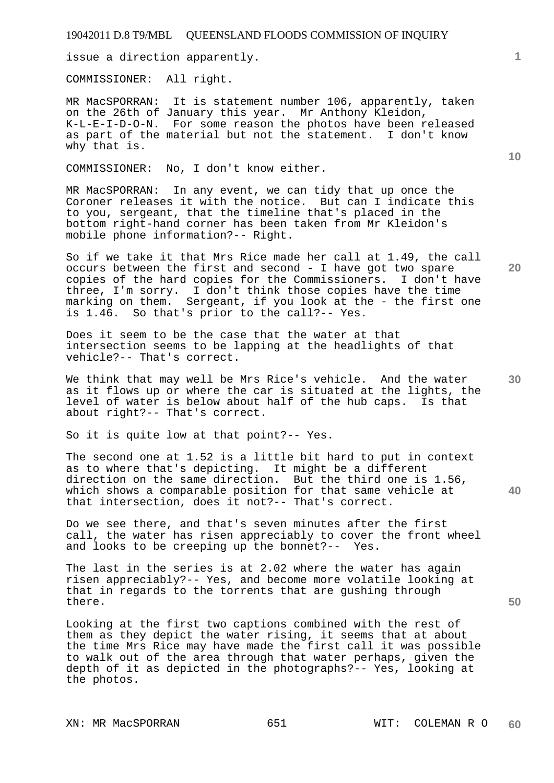issue a direction apparently.

COMMISSIONER: All right.

MR MacSPORRAN: It is statement number 106, apparently, taken on the 26th of January this year. Mr Anthony Kleidon, K-L-E-I-D-O-N. For some reason the photos have been released as part of the material but not the statement. I don't know why that is.

COMMISSIONER: No, I don't know either.

MR MacSPORRAN: In any event, we can tidy that up once the Coroner releases it with the notice. But can I indicate this to you, sergeant, that the timeline that's placed in the bottom right-hand corner has been taken from Mr Kleidon's mobile phone information?-- Right.

So if we take it that Mrs Rice made her call at 1.49, the call occurs between the first and second - I have got two spare copies of the hard copies for the Commissioners. I don't have three, I'm sorry. I don't think those copies have the time marking on them. Sergeant, if you look at the - the first one<br>is 1.46. So that's prior to the call?-- Yes. So that's prior to the call?-- Yes.

Does it seem to be the case that the water at that intersection seems to be lapping at the headlights of that vehicle?-- That's correct.

We think that may well be Mrs Rice's vehicle. And the water as it flows up or where the car is situated at the lights, the level of water is below about half of the hub caps. Is that about right?-- That's correct.

So it is quite low at that point?-- Yes.

The second one at 1.52 is a little bit hard to put in context as to where that's depicting. It might be a different direction on the same direction. But the third one is 1.56, which shows a comparable position for that same vehicle at that intersection, does it not?-- That's correct.

Do we see there, and that's seven minutes after the first call, the water has risen appreciably to cover the front wheel and looks to be creeping up the bonnet?-- Yes.

The last in the series is at 2.02 where the water has again risen appreciably?-- Yes, and become more volatile looking at that in regards to the torrents that are gushing through there.

Looking at the first two captions combined with the rest of them as they depict the water rising, it seems that at about the time Mrs Rice may have made the first call it was possible to walk out of the area through that water perhaps, given the depth of it as depicted in the photographs?-- Yes, looking at the photos.

**1**

**20** 

**10** 

**40**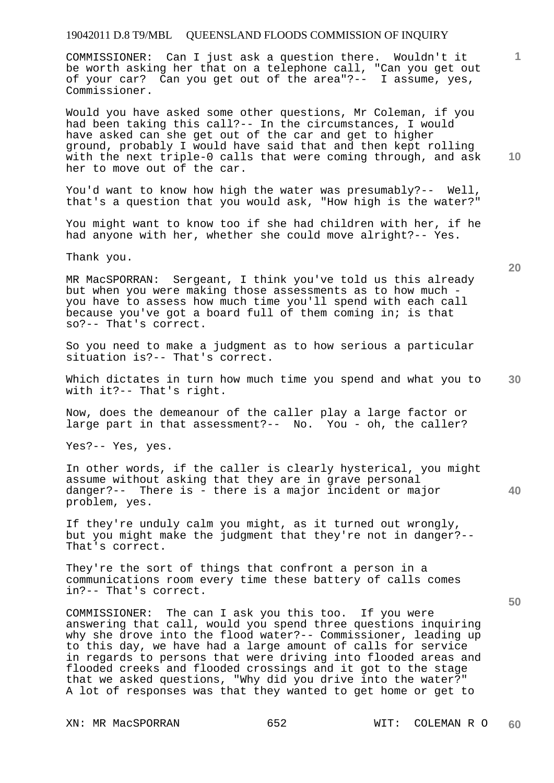COMMISSIONER: Can I just ask a question there. Wouldn't it be worth asking her that on a telephone call, "Can you get out of your car? Can you get out of the area"?-- I assume, yes, Commissioner.

Would you have asked some other questions, Mr Coleman, if you had been taking this call?-- In the circumstances, I would have asked can she get out of the car and get to higher ground, probably I would have said that and then kept rolling with the next triple-0 calls that were coming through, and ask her to move out of the car.

You'd want to know how high the water was presumably?-- Well, that's a question that you would ask, "How high is the water?"

You might want to know too if she had children with her, if he had anyone with her, whether she could move alright?-- Yes.

Thank you.

MR MacSPORRAN: Sergeant, I think you've told us this already but when you were making those assessments as to how much you have to assess how much time you'll spend with each call because you've got a board full of them coming in; is that so?-- That's correct.

So you need to make a judgment as to how serious a particular situation is?-- That's correct.

**30**  Which dictates in turn how much time you spend and what you to with it?-- That's right.

Now, does the demeanour of the caller play a large factor or large part in that assessment?-- No. You - oh, the caller?

Yes?-- Yes, yes.

**40**  In other words, if the caller is clearly hysterical, you might assume without asking that they are in grave personal danger?-- There is - there is a major incident or major problem, yes.

If they're unduly calm you might, as it turned out wrongly, but you might make the judgment that they're not in danger?-- That's correct.

They're the sort of things that confront a person in a communications room every time these battery of calls comes in?-- That's correct.

COMMISSIONER: The can I ask you this too. If you were answering that call, would you spend three questions inquiring why she drove into the flood water?-- Commissioner, leading up to this day, we have had a large amount of calls for service in regards to persons that were driving into flooded areas and flooded creeks and flooded crossings and it got to the stage that we asked questions, "Why did you drive into the water?" A lot of responses was that they wanted to get home or get to

XN: MR MacSPORRAN 652 WIT: COLEMAN R O

**20** 

**50** 

**10**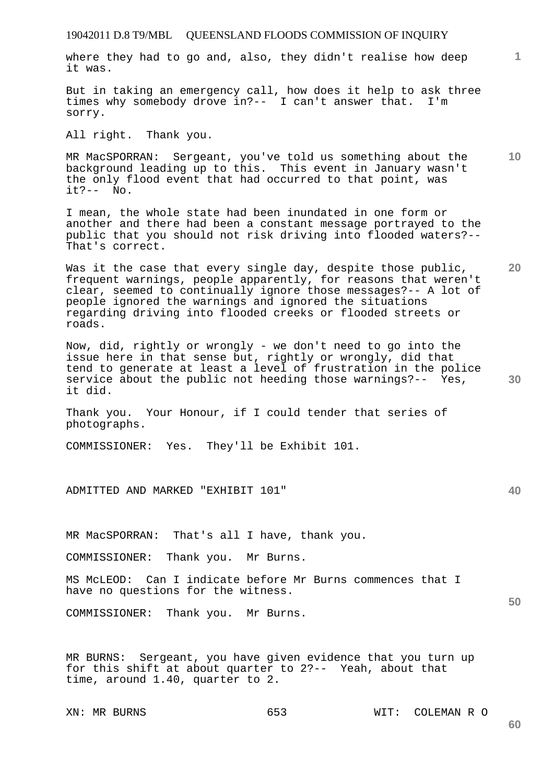where they had to go and, also, they didn't realise how deep it was.

But in taking an emergency call, how does it help to ask three times why somebody drove in?-- I can't answer that. I'm sorry.

All right. Thank you.

**10**  MR MacSPORRAN: Sergeant, you've told us something about the background leading up to this. This event in January wasn't the only flood event that had occurred to that point, was  $it? -- No.$ 

I mean, the whole state had been inundated in one form or another and there had been a constant message portrayed to the public that you should not risk driving into flooded waters?-- That's correct.

Was it the case that every single day, despite those public, frequent warnings, people apparently, for reasons that weren't clear, seemed to continually ignore those messages?-- A lot of people ignored the warnings and ignored the situations regarding driving into flooded creeks or flooded streets or roads.

Now, did, rightly or wrongly - we don't need to go into the issue here in that sense but, rightly or wrongly, did that tend to generate at least a level of frustration in the police service about the public not heeding those warnings?-- Yes, it did.

Thank you. Your Honour, if I could tender that series of photographs.

COMMISSIONER: Yes. They'll be Exhibit 101.

ADMITTED AND MARKED "EXHIBIT 101"

MR MacSPORRAN: That's all I have, thank you.

COMMISSIONER: Thank you. Mr Burns.

MS McLEOD: Can I indicate before Mr Burns commences that I have no questions for the witness.

COMMISSIONER: Thank you. Mr Burns.

MR BURNS: Sergeant, you have given evidence that you turn up for this shift at about quarter to 2?-- Yeah, about that time, around 1.40, quarter to 2.

XN: MR BURNS 653 WIT: COLEMAN R O

**1**

**20** 

**30** 

**40**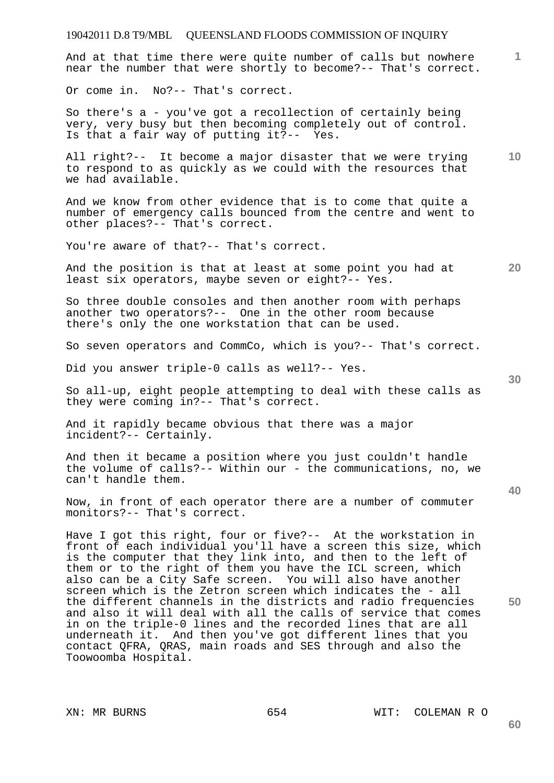And at that time there were quite number of calls but nowhere near the number that were shortly to become?-- That's correct.

Or come in. No?-- That's correct.

So there's a - you've got a recollection of certainly being very, very busy but then becoming completely out of control. Is that a fair way of putting it?-- Yes.

**10**  All right?-- It become a major disaster that we were trying to respond to as quickly as we could with the resources that we had available.

And we know from other evidence that is to come that quite a number of emergency calls bounced from the centre and went to other places?-- That's correct.

You're aware of that?-- That's correct.

And the position is that at least at some point you had at least six operators, maybe seven or eight?-- Yes.

So three double consoles and then another room with perhaps another two operators?-- One in the other room because there's only the one workstation that can be used.

So seven operators and CommCo, which is you?-- That's correct.

Did you answer triple-0 calls as well?-- Yes.

So all-up, eight people attempting to deal with these calls as they were coming in?-- That's correct.

And it rapidly became obvious that there was a major incident?-- Certainly.

And then it became a position where you just couldn't handle the volume of calls?-- Within our - the communications, no, we can't handle them.

Now, in front of each operator there are a number of commuter monitors?-- That's correct.

Have I got this right, four or five?-- At the workstation in front of each individual you'll have a screen this size, which is the computer that they link into, and then to the left of them or to the right of them you have the ICL screen, which also can be a City Safe screen. You will also have another screen which is the Zetron screen which indicates the - all the different channels in the districts and radio frequencies and also it will deal with all the calls of service that comes in on the triple-0 lines and the recorded lines that are all underneath it. And then you've got different lines that you contact QFRA, QRAS, main roads and SES through and also the Toowoomba Hospital.

**30** 

**20** 

**50**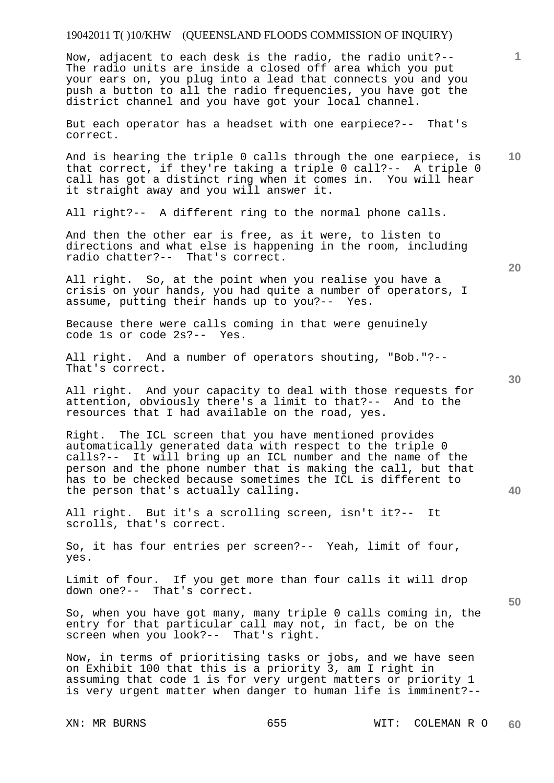Now, adjacent to each desk is the radio, the radio unit?-- The radio units are inside a closed off area which you put your ears on, you plug into a lead that connects you and you push a button to all the radio frequencies, you have got the district channel and you have got your local channel.

But each operator has a headset with one earpiece?-- That's correct.

**10**  And is hearing the triple 0 calls through the one earpiece, is that correct, if they're taking a triple 0 call?-- A triple 0 call has got a distinct ring when it comes in. You will hear it straight away and you will answer it.

All right?-- A different ring to the normal phone calls.

And then the other ear is free, as it were, to listen to directions and what else is happening in the room, including radio chatter?-- That's correct.

All right. So, at the point when you realise you have a crisis on your hands, you had quite a number of operators, I assume, putting their hands up to you?-- Yes.

Because there were calls coming in that were genuinely code 1s or code 2s?-- Yes.

All right. And a number of operators shouting, "Bob."?-- That's correct.

All right. And your capacity to deal with those requests for attention, obviously there's a limit to that?-- And to the resources that I had available on the road, yes.

Right. The ICL screen that you have mentioned provides automatically generated data with respect to the triple 0 calls?-- It will bring up an ICL number and the name of the person and the phone number that is making the call, but that has to be checked because sometimes the ICL is different to the person that's actually calling.

All right. But it's a scrolling screen, isn't it?-- It scrolls, that's correct.

So, it has four entries per screen?-- Yeah, limit of four, yes.

Limit of four. If you get more than four calls it will drop down one?-- That's correct.

So, when you have got many, many triple 0 calls coming in, the entry for that particular call may not, in fact, be on the screen when you look?-- That's right.

Now, in terms of prioritising tasks or jobs, and we have seen on Exhibit 100 that this is a priority 3, am I right in assuming that code 1 is for very urgent matters or priority 1 is very urgent matter when danger to human life is imminent?--

**20** 

**30** 

**50** 

**40**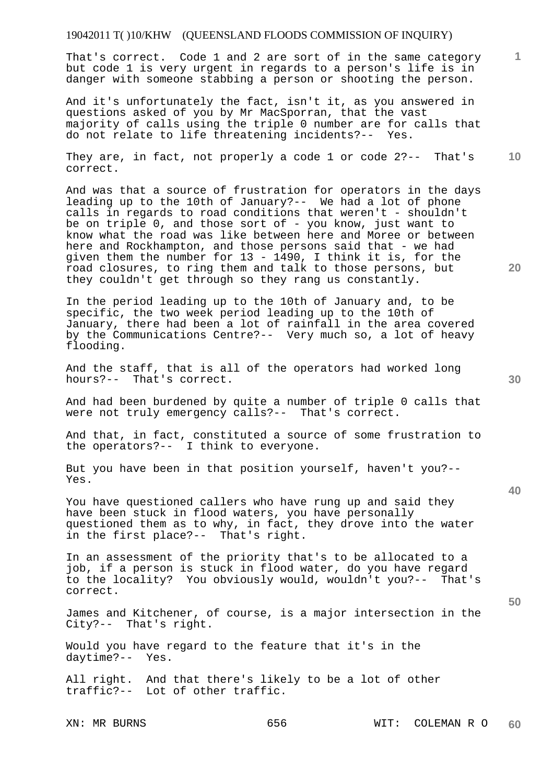That's correct. Code 1 and 2 are sort of in the same category but code 1 is very urgent in regards to a person's life is in danger with someone stabbing a person or shooting the person.

And it's unfortunately the fact, isn't it, as you answered in questions asked of you by Mr MacSporran, that the vast majority of calls using the triple 0 number are for calls that do not relate to life threatening incidents?-- Yes.

They are, in fact, not properly a code 1 or code 2?-- That's correct.

And was that a source of frustration for operators in the days leading up to the 10th of January?-- We had a lot of phone calls in regards to road conditions that weren't - shouldn't be on triple 0, and those sort of - you know, just want to know what the road was like between here and Moree or between here and Rockhampton, and those persons said that - we had given them the number for 13 - 1490, I think it is, for the road closures, to ring them and talk to those persons, but they couldn't get through so they rang us constantly.

In the period leading up to the 10th of January and, to be specific, the two week period leading up to the 10th of January, there had been a lot of rainfall in the area covered by the Communications Centre?-- Very much so, a lot of heavy flooding.

And the staff, that is all of the operators had worked long hours?-- That's correct.

And had been burdened by quite a number of triple 0 calls that were not truly emergency calls?-- That's correct.

And that, in fact, constituted a source of some frustration to the operators?-- I think to everyone.

But you have been in that position yourself, haven't you?-- Yes.

You have questioned callers who have rung up and said they have been stuck in flood waters, you have personally questioned them as to why, in fact, they drove into the water in the first place?-- That's right.

In an assessment of the priority that's to be allocated to a job, if a person is stuck in flood water, do you have regard to the locality? You obviously would, wouldn't you?-- That's correct.

James and Kitchener, of course, is a major intersection in the City?-- That's right.

Would you have regard to the feature that it's in the daytime?-- Yes.

All right. And that there's likely to be a lot of other traffic?-- Lot of other traffic.

XN: MR BURNS 656 WIT: COLEMAN R O **60** 

**30** 

**20** 

**50** 

**10**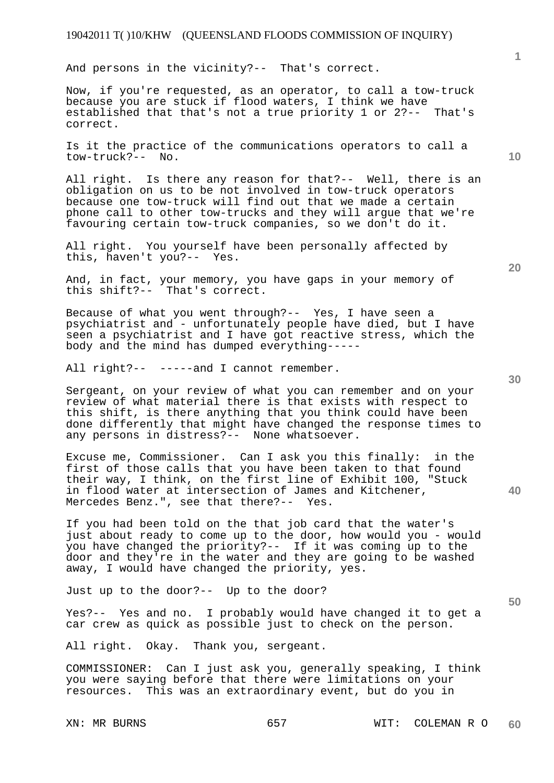And persons in the vicinity?-- That's correct.

Now, if you're requested, as an operator, to call a tow-truck because you are stuck if flood waters, I think we have established that that's not a true priority 1 or 2?-- That's correct.

Is it the practice of the communications operators to call a tow-truck?-- No.

All right. Is there any reason for that?-- Well, there is an obligation on us to be not involved in tow-truck operators because one tow-truck will find out that we made a certain phone call to other tow-trucks and they will argue that we're favouring certain tow-truck companies, so we don't do it.

All right. You yourself have been personally affected by this, haven't you?-- Yes.

And, in fact, your memory, you have gaps in your memory of this shift?-- That's correct.

Because of what you went through?-- Yes, I have seen a psychiatrist and - unfortunately people have died, but I have seen a psychiatrist and I have got reactive stress, which the body and the mind has dumped everything-----

All right?-- -----and I cannot remember.

Sergeant, on your review of what you can remember and on your review of what material there is that exists with respect to this shift, is there anything that you think could have been done differently that might have changed the response times to any persons in distress?-- None whatsoever.

Excuse me, Commissioner. Can I ask you this finally: in the first of those calls that you have been taken to that found their way, I think, on the first line of Exhibit 100, "Stuck in flood water at intersection of James and Kitchener, Mercedes Benz.", see that there?-- Yes.

If you had been told on the that job card that the water's just about ready to come up to the door, how would you - would you have changed the priority?-- If it was coming up to the door and they're in the water and they are going to be washed away, I would have changed the priority, yes.

Just up to the door?-- Up to the door?

Yes?-- Yes and no. I probably would have changed it to get a car crew as quick as possible just to check on the person.

All right. Okay. Thank you, sergeant.

COMMISSIONER: Can I just ask you, generally speaking, I think you were saying before that there were limitations on your resources. This was an extraordinary event, but do you in

**10** 

**1**

**30** 

**20** 

**40**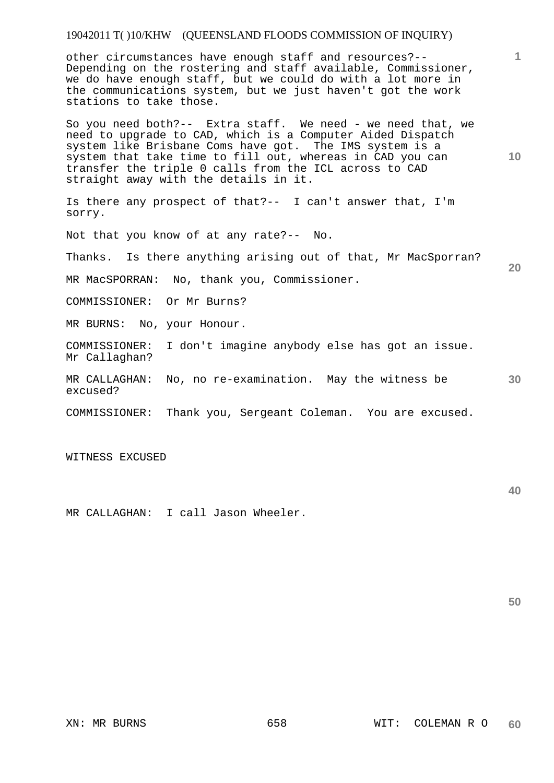other circumstances have enough staff and resources?-- Depending on the rostering and staff available, Commissioner, we do have enough staff, but we could do with a lot more in the communications system, but we just haven't got the work stations to take those.

So you need both?-- Extra staff. We need - we need that, we need to upgrade to CAD, which is a Computer Aided Dispatch system like Brisbane Coms have got. The IMS system is a system that take time to fill out, whereas in CAD you can transfer the triple 0 calls from the ICL across to CAD straight away with the details in it.

Is there any prospect of that?-- I can't answer that, I'm sorry.

Not that you know of at any rate?-- No.

Thanks. Is there anything arising out of that, Mr MacSporran?

MR MacSPORRAN: No, thank you, Commissioner.

COMMISSIONER: Or Mr Burns?

MR BURNS: No, your Honour.

COMMISSIONER: I don't imagine anybody else has got an issue. Mr Callaghan?

**30**  MR CALLAGHAN: No, no re-examination. May the witness be excused?

COMMISSIONER: Thank you, Sergeant Coleman. You are excused.

WITNESS EXCUSED

MR CALLAGHAN: I call Jason Wheeler.

**50** 

**40** 

**1**

**10**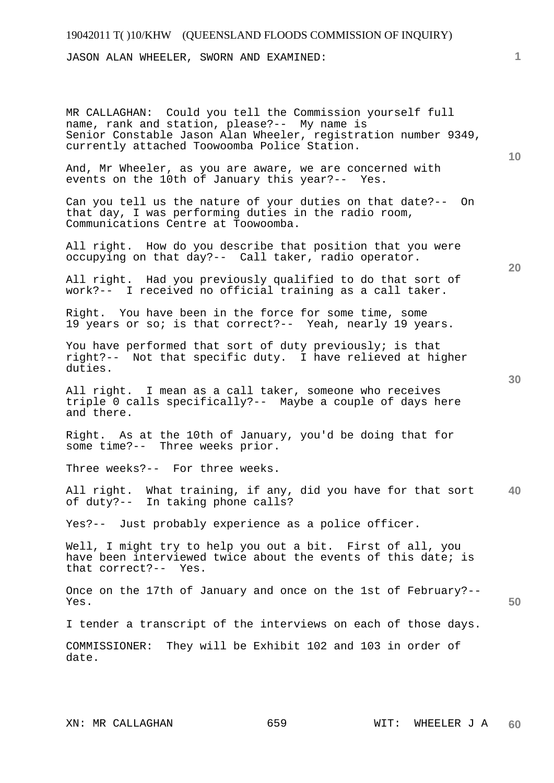JASON ALAN WHEELER, SWORN AND EXAMINED:

MR CALLAGHAN: Could you tell the Commission yourself full name, rank and station, please?-- My name is Senior Constable Jason Alan Wheeler, registration number 9349, currently attached Toowoomba Police Station.

And, Mr Wheeler, as you are aware, we are concerned with events on the 10th of January this year?-- Yes.

Can you tell us the nature of your duties on that date?-- On that day, I was performing duties in the radio room, Communications Centre at Toowoomba.

All right. How do you describe that position that you were occupying on that day?-- Call taker, radio operator.

All right. Had you previously qualified to do that sort of work?-- I received no official training as a call taker.

Right. You have been in the force for some time, some 19 years or so; is that correct?-- Yeah, nearly 19 years.

You have performed that sort of duty previously; is that right?-- Not that specific duty. I have relieved at higher duties.

All right. I mean as a call taker, someone who receives triple 0 calls specifically?-- Maybe a couple of days here and there.

Right. As at the 10th of January, you'd be doing that for some time?-- Three weeks prior.

Three weeks?-- For three weeks.

**40**  All right. What training, if any, did you have for that sort of duty?-- In taking phone calls?

Yes?-- Just probably experience as a police officer.

Well, I might try to help you out a bit. First of all, you have been interviewed twice about the events of this date; is that correct?-- Yes.

Once on the 17th of January and once on the 1st of February?-- Yes.

I tender a transcript of the interviews on each of those days.

COMMISSIONER: They will be Exhibit 102 and 103 in order of date.

**20** 

**10**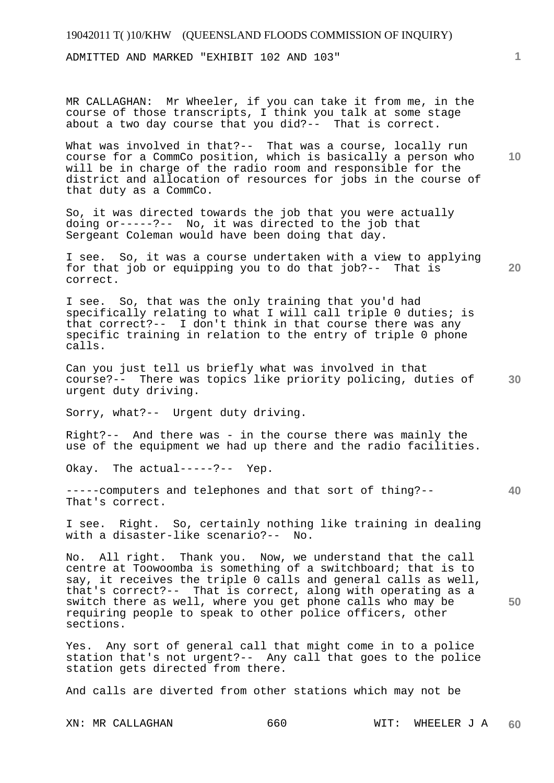ADMITTED AND MARKED "EXHIBIT 102 AND 103"

MR CALLAGHAN: Mr Wheeler, if you can take it from me, in the course of those transcripts, I think you talk at some stage about a two day course that you did?-- That is correct.

What was involved in that?-- That was a course, locally run course for a CommCo position, which is basically a person who will be in charge of the radio room and responsible for the district and allocation of resources for jobs in the course of that duty as a CommCo.

So, it was directed towards the job that you were actually doing or-----?-- No, it was directed to the job that Sergeant Coleman would have been doing that day.

I see. So, it was a course undertaken with a view to applying for that job or equipping you to do that job?-- That is correct.

I see. So, that was the only training that you'd had specifically relating to what I will call triple 0 duties; is that correct?-- I don't think in that course there was any specific training in relation to the entry of triple 0 phone calls.

**30**  Can you just tell us briefly what was involved in that course?-- There was topics like priority policing, duties of urgent duty driving.

Sorry, what?-- Urgent duty driving.

Right?-- And there was - in the course there was mainly the use of the equipment we had up there and the radio facilities.

Okay. The actual-----?-- Yep.

**40**  -----computers and telephones and that sort of thing?-- That's correct.

I see. Right. So, certainly nothing like training in dealing with a disaster-like scenario?-- No.

No. All right. Thank you. Now, we understand that the call centre at Toowoomba is something of a switchboard; that is to say, it receives the triple 0 calls and general calls as well, that's correct?-- That is correct, along with operating as a switch there as well, where you get phone calls who may be requiring people to speak to other police officers, other sections.

Yes. Any sort of general call that might come in to a police station that's not urgent?-- Any call that goes to the police station gets directed from there.

And calls are diverted from other stations which may not be

XN: MR CALLAGHAN 660 WIT: WHEELER J A **60** 

**1**

**10** 

**20**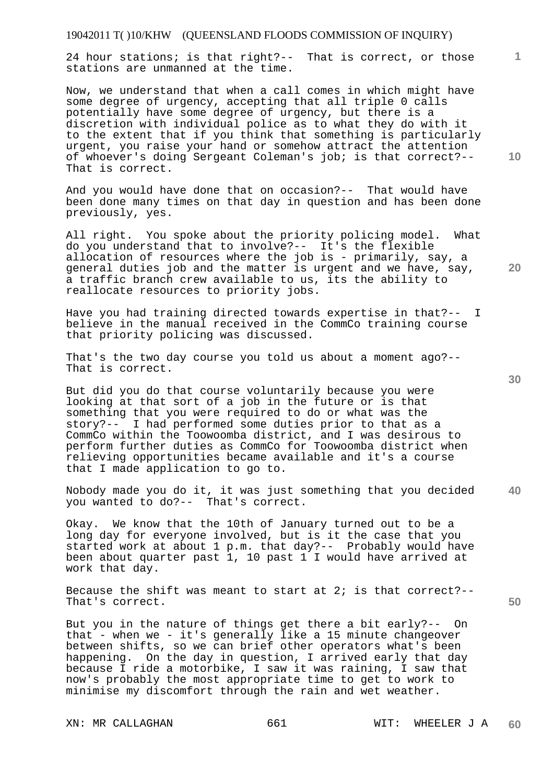24 hour stations; is that right?-- That is correct, or those stations are unmanned at the time.

Now, we understand that when a call comes in which might have some degree of urgency, accepting that all triple 0 calls potentially have some degree of urgency, but there is a discretion with individual police as to what they do with it to the extent that if you think that something is particularly urgent, you raise your hand or somehow attract the attention of whoever's doing Sergeant Coleman's job; is that correct?-- That is correct.

And you would have done that on occasion?-- That would have been done many times on that day in question and has been done previously, yes.

All right. You spoke about the priority policing model. What do you understand that to involve?-- It's the flexible allocation of resources where the job is - primarily, say, a general duties job and the matter is urgent and we have, say, a traffic branch crew available to us, its the ability to reallocate resources to priority jobs.

Have you had training directed towards expertise in that?-- I believe in the manual received in the CommCo training course that priority policing was discussed.

That's the two day course you told us about a moment ago?-- That is correct.

But did you do that course voluntarily because you were looking at that sort of a job in the future or is that something that you were required to do or what was the story?-- I had performed some duties prior to that as a CommCo within the Toowoomba district, and I was desirous to perform further duties as CommCo for Toowoomba district when relieving opportunities became available and it's a course that I made application to go to.

**40**  Nobody made you do it, it was just something that you decided you wanted to do?-- That's correct.

Okay. We know that the 10th of January turned out to be a long day for everyone involved, but is it the case that you started work at about 1 p.m. that day?-- Probably would have been about quarter past 1, 10 past 1 I would have arrived at work that day.

Because the shift was meant to start at  $2i$  is that correct?--That's correct.

But you in the nature of things get there a bit early?-- On that - when we - it's generally like a 15 minute changeover between shifts, so we can brief other operators what's been happening. On the day in question, I arrived early that day because I ride a motorbike, I saw it was raining, I saw that now's probably the most appropriate time to get to work to minimise my discomfort through the rain and wet weather.

**10** 

**1**

**20**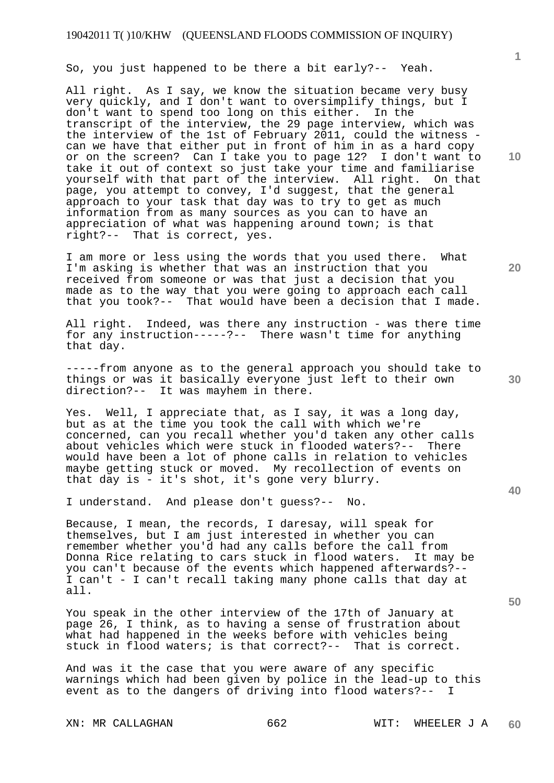So, you just happened to be there a bit early?-- Yeah.

All right. As I say, we know the situation became very busy very quickly, and I don't want to oversimplify things, but I don't want to spend too long on this either. In the transcript of the interview, the 29 page interview, which was the interview of the 1st of February 2011, could the witness can we have that either put in front of him in as a hard copy or on the screen? Can I take you to page 12? I don't want to take it out of context so just take your time and familiarise yourself with that part of the interview. All right. On that page, you attempt to convey, I'd suggest, that the general approach to your task that day was to try to get as much information from as many sources as you can to have an appreciation of what was happening around town; is that right?-- That is correct, yes.

I am more or less using the words that you used there. What I'm asking is whether that was an instruction that you received from someone or was that just a decision that you made as to the way that you were going to approach each call that you took?-- That would have been a decision that I made.

All right. Indeed, was there any instruction - was there time for any instruction-----?-- There wasn't time for anything that day.

-----from anyone as to the general approach you should take to things or was it basically everyone just left to their own direction?-- It was mayhem in there.

Yes. Well, I appreciate that, as I say, it was a long day, but as at the time you took the call with which we're concerned, can you recall whether you'd taken any other calls about vehicles which were stuck in flooded waters?-- There would have been a lot of phone calls in relation to vehicles maybe getting stuck or moved. My recollection of events on that day is - it's shot, it's gone very blurry.

I understand. And please don't guess?-- No.

Because, I mean, the records, I daresay, will speak for themselves, but I am just interested in whether you can remember whether you'd had any calls before the call from Donna Rice relating to cars stuck in flood waters. It may be you can't because of the events which happened afterwards?-- I can't - I can't recall taking many phone calls that day at all.

You speak in the other interview of the 17th of January at page 26, I think, as to having a sense of frustration about what had happened in the weeks before with vehicles being stuck in flood waters; is that correct?-- That is correct.

And was it the case that you were aware of any specific warnings which had been given by police in the lead-up to this event as to the dangers of driving into flood waters?-- I

**10** 

**1**

**20** 

**50**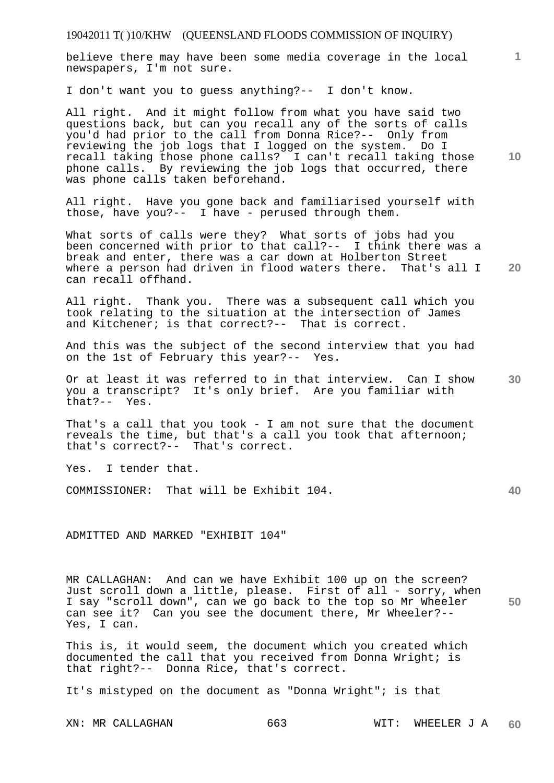believe there may have been some media coverage in the local newspapers, I'm not sure.

I don't want you to guess anything?-- I don't know.

All right. And it might follow from what you have said two questions back, but can you recall any of the sorts of calls you'd had prior to the call from Donna Rice?-- Only from reviewing the job logs that I logged on the system. Do I recall taking those phone calls? I can't recall taking those phone calls. By reviewing the job logs that occurred, there was phone calls taken beforehand.

All right. Have you gone back and familiarised yourself with those, have you?-- I have - perused through them.

What sorts of calls were they? What sorts of jobs had you been concerned with prior to that call?-- I think there was a break and enter, there was a car down at Holberton Street where a person had driven in flood waters there. That's all I can recall offhand.

All right. Thank you. There was a subsequent call which you took relating to the situation at the intersection of James and Kitchener; is that correct?-- That is correct.

And this was the subject of the second interview that you had on the 1st of February this year?-- Yes.

**30**  Or at least it was referred to in that interview. Can I show you a transcript? It's only brief. Are you familiar with that?-- Yes.

That's a call that you took - I am not sure that the document reveals the time, but that's a call you took that afternoon; that's correct?-- That's correct.

Yes. I tender that.

COMMISSIONER: That will be Exhibit 104.

ADMITTED AND MARKED "EXHIBIT 104"

**50**  MR CALLAGHAN: And can we have Exhibit 100 up on the screen? Just scroll down a little, please. First of all - sorry, when I say "scroll down", can we go back to the top so Mr Wheeler can see it? Can you see the document there, Mr Wheeler?-- Yes, I can.

This is, it would seem, the document which you created which documented the call that you received from Donna Wright; is that right?-- Donna Rice, that's correct.

It's mistyped on the document as "Donna Wright"; is that

XN: MR CALLAGHAN 663 WIT: WHEELER J A **60** 

**10** 

**1**

**20**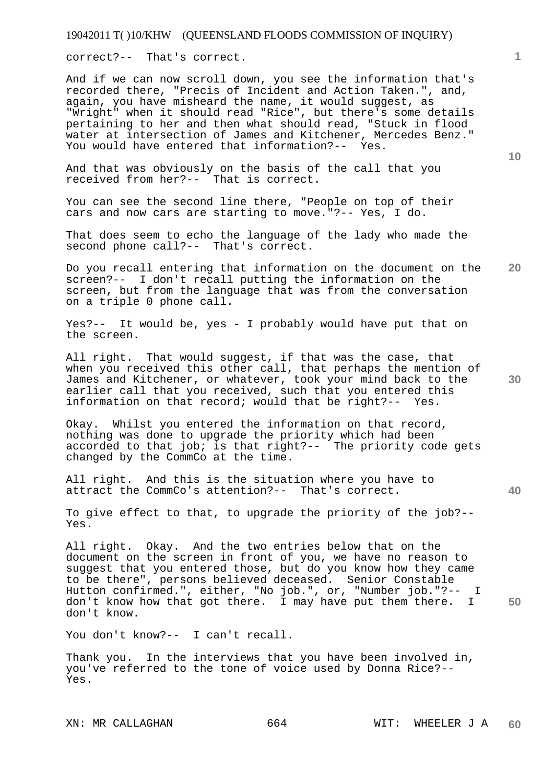correct?-- That's correct.

And if we can now scroll down, you see the information that's recorded there, "Precis of Incident and Action Taken.", and, again, you have misheard the name, it would suggest, as "Wright" when it should read "Rice", but there's some details pertaining to her and then what should read, "Stuck in flood water at intersection of James and Kitchener, Mercedes Benz." You would have entered that information?-- Yes.

And that was obviously on the basis of the call that you received from her?-- That is correct.

You can see the second line there, "People on top of their cars and now cars are starting to move."?-- Yes, I do.

That does seem to echo the language of the lady who made the second phone call?-- That's correct.

**20**  Do you recall entering that information on the document on the screen?-- I don't recall putting the information on the screen, but from the language that was from the conversation on a triple 0 phone call.

Yes?-- It would be, yes - I probably would have put that on the screen.

All right. That would suggest, if that was the case, that when you received this other call, that perhaps the mention of James and Kitchener, or whatever, took your mind back to the earlier call that you received, such that you entered this information on that record; would that be right?-- Yes.

Okay. Whilst you entered the information on that record, nothing was done to upgrade the priority which had been accorded to that job; is that right?-- The priority code gets changed by the CommCo at the time.

All right. And this is the situation where you have to attract the CommCo's attention?-- That's correct.

To give effect to that, to upgrade the priority of the job?-- Yes.

All right. Okay. And the two entries below that on the document on the screen in front of you, we have no reason to suggest that you entered those, but do you know how they came to be there", persons believed deceased. Senior Constable Hutton confirmed.", either, "No job.", or, "Number job."?-- I don't know how that got there. I may have put them there. I don't know.

You don't know?-- I can't recall.

Thank you. In the interviews that you have been involved in, you've referred to the tone of voice used by Donna Rice?-- Yes.

**1**

**10** 

**30** 

**40**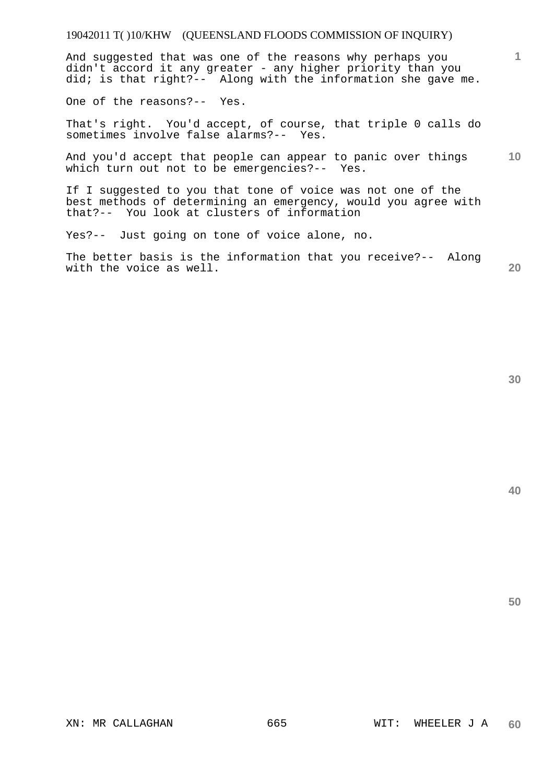And suggested that was one of the reasons why perhaps you didn't accord it any greater - any higher priority than you did; is that right?-- Along with the information she gave me.

One of the reasons?-- Yes.

That's right. You'd accept, of course, that triple 0 calls do sometimes involve false alarms?-- Yes.

**10**  And you'd accept that people can appear to panic over things which turn out not to be emergencies?-- Yes.

If I suggested to you that tone of voice was not one of the best methods of determining an emergency, would you agree with that?-- You look at clusters of information

Yes?-- Just going on tone of voice alone, no.

The better basis is the information that you receive?-- Along with the voice as well.

**30** 

**20** 

**1**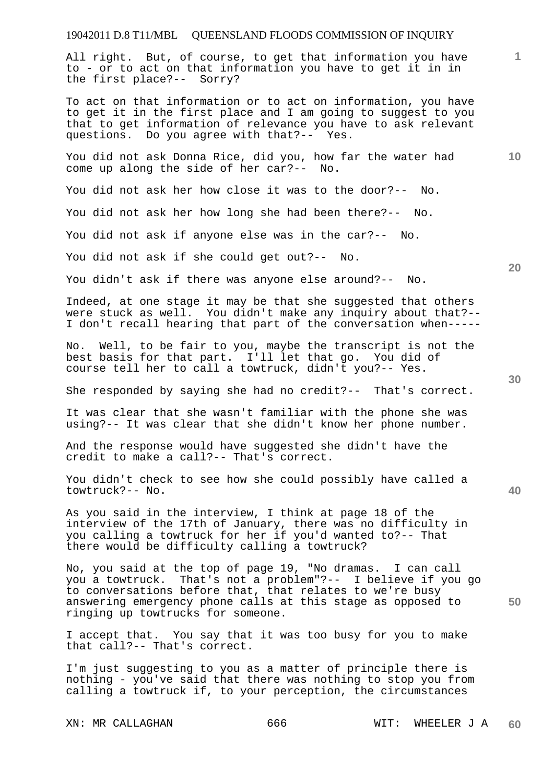All right. But, of course, to get that information you have to - or to act on that information you have to get it in in the first place?-- Sorry?

To act on that information or to act on information, you have to get it in the first place and I am going to suggest to you that to get information of relevance you have to ask relevant questions. Do you agree with that?-- Yes.

You did not ask Donna Rice, did you, how far the water had come up along the side of her car?-- No.

You did not ask her how close it was to the door?-- No.

You did not ask her how long she had been there?-- No.

You did not ask if anyone else was in the car?-- No.

You did not ask if she could get out?-- No.

You didn't ask if there was anyone else around?-- No.

Indeed, at one stage it may be that she suggested that others were stuck as well. You didn't make any inquiry about that?-- I don't recall hearing that part of the conversation when-----

No. Well, to be fair to you, maybe the transcript is not the best basis for that part. I'll let that go. You did of course tell her to call a towtruck, didn't you?-- Yes.

She responded by saying she had no credit?-- That's correct.

It was clear that she wasn't familiar with the phone she was using?-- It was clear that she didn't know her phone number.

And the response would have suggested she didn't have the credit to make a call?-- That's correct.

You didn't check to see how she could possibly have called a towtruck?-- No.

As you said in the interview, I think at page 18 of the interview of the 17th of January, there was no difficulty in you calling a towtruck for her if you'd wanted to?-- That there would be difficulty calling a towtruck?

No, you said at the top of page 19, "No dramas. I can call you a towtruck. That's not a problem"?-- I believe if you go to conversations before that, that relates to we're busy answering emergency phone calls at this stage as opposed to ringing up towtrucks for someone.

I accept that. You say that it was too busy for you to make that call?-- That's correct.

I'm just suggesting to you as a matter of principle there is nothing - you've said that there was nothing to stop you from calling a towtruck if, to your perception, the circumstances

**30** 

**20** 

**50** 

**10**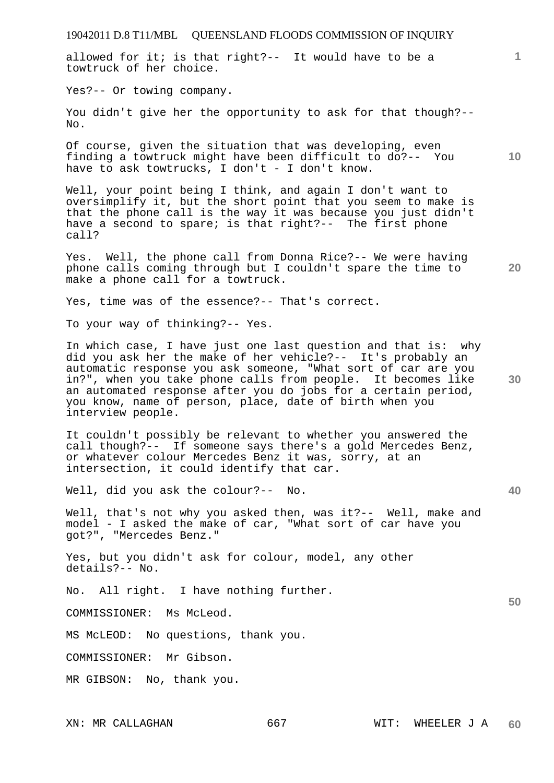**10**  Yes?-- Or towing company. You didn't give her the opportunity to ask for that though?--No. Of course, given the situation that was developing, even finding a towtruck might have been difficult to do?-- You have to ask towtrucks, I don't - I don't know. Well, your point being I think, and again I don't want to oversimplify it, but the short point that you seem to make is that the phone call is the way it was because you just didn't have a second to spare; is that right?-- The first phone call? Yes. Well, the phone call from Donna Rice?-- We were having phone calls coming through but I couldn't spare the time to make a phone call for a towtruck. Yes, time was of the essence?-- That's correct. To your way of thinking?-- Yes. In which case, I have just one last question and that is: why did you ask her the make of her vehicle?-- It's probably an automatic response you ask someone, "What sort of car are you in?", when you take phone calls from people. It becomes like an automated response after you do jobs for a certain period, you know, name of person, place, date of birth when you interview people. It couldn't possibly be relevant to whether you answered the call though?-- If someone says there's a gold Mercedes Benz, or whatever colour Mercedes Benz it was, sorry, at an intersection, it could identify that car. Well, did you ask the colour?-- No. Well, that's not why you asked then, was it?-- Well, make and model - I asked the make of car, "What sort of car have you got?", "Mercedes Benz." Yes, but you didn't ask for colour, model, any other details?-- No. No. All right. I have nothing further. COMMISSIONER: Ms McLeod. MS McLEOD: No questions, thank you. COMMISSIONER: Mr Gibson. MR GIBSON: No, thank you.

19042011 D.8 T11/MBL QUEENSLAND FLOODS COMMISSION OF INQUIRY

allowed for it; is that right?-- It would have to be a

towtruck of her choice.

XN: MR CALLAGHAN 667 WIT: WHEELER J A **60** 

**1**

**20** 

**30** 

**40**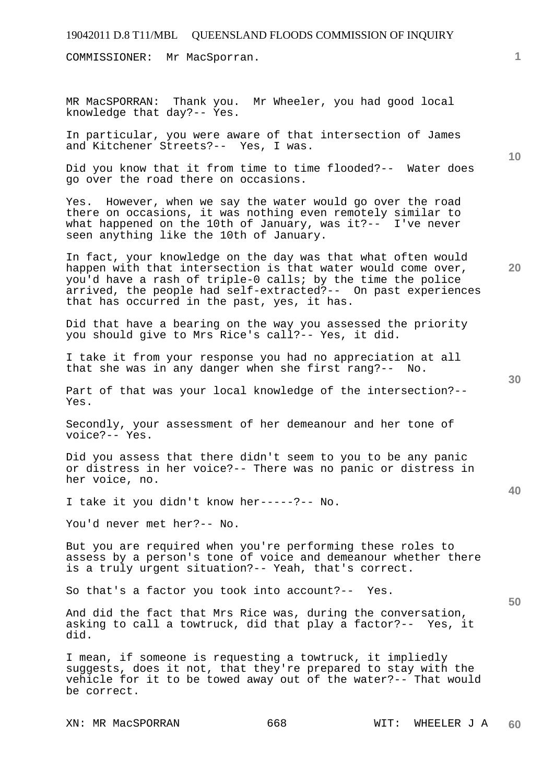COMMISSIONER: Mr MacSporran.

MR MacSPORRAN: Thank you. Mr Wheeler, you had good local knowledge that day?-- Yes.

In particular, you were aware of that intersection of James and Kitchener Streets?-- Yes, I was.

Did you know that it from time to time flooded?-- Water does go over the road there on occasions.

Yes. However, when we say the water would go over the road there on occasions, it was nothing even remotely similar to what happened on the 10th of January, was it?-- I've never seen anything like the 10th of January.

In fact, your knowledge on the day was that what often would happen with that intersection is that water would come over, you'd have a rash of triple-0 calls; by the time the police arrived, the people had self-extracted?-- On past experiences that has occurred in the past, yes, it has.

Did that have a bearing on the way you assessed the priority you should give to Mrs Rice's call?-- Yes, it did.

I take it from your response you had no appreciation at all that she was in any danger when she first rang?-- No.

Part of that was your local knowledge of the intersection?-- Yes.

Secondly, your assessment of her demeanour and her tone of voice?-- Yes.

Did you assess that there didn't seem to you to be any panic or distress in her voice?-- There was no panic or distress in her voice, no.

I take it you didn't know her-----?-- No.

You'd never met her?-- No.

But you are required when you're performing these roles to assess by a person's tone of voice and demeanour whether there is a truly urgent situation?-- Yeah, that's correct.

So that's a factor you took into account?-- Yes.

And did the fact that Mrs Rice was, during the conversation, asking to call a towtruck, did that play a factor?-- Yes, it did.

I mean, if someone is requesting a towtruck, it impliedly suggests, does it not, that they're prepared to stay with the vehicle for it to be towed away out of the water?-- That would be correct.

XN: MR MacSPORRAN 668 WIT: WHEELER J A

**30** 

**20** 

**50** 

**40** 

**10**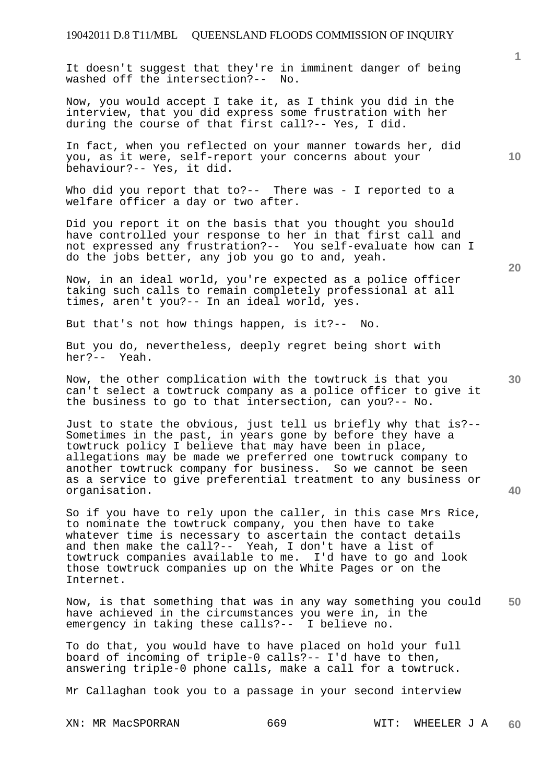It doesn't suggest that they're in imminent danger of being washed off the intersection?-- No.

Now, you would accept I take it, as I think you did in the interview, that you did express some frustration with her during the course of that first call?-- Yes, I did.

In fact, when you reflected on your manner towards her, did you, as it were, self-report your concerns about your behaviour?-- Yes, it did.

Who did you report that to?-- There was - I reported to a welfare officer a day or two after.

Did you report it on the basis that you thought you should have controlled your response to her in that first call and not expressed any frustration?-- You self-evaluate how can I do the jobs better, any job you go to and, yeah.

Now, in an ideal world, you're expected as a police officer taking such calls to remain completely professional at all times, aren't you?-- In an ideal world, yes.

But that's not how things happen, is it?-- No.

But you do, nevertheless, deeply regret being short with her?-- Yeah.

Now, the other complication with the towtruck is that you can't select a towtruck company as a police officer to give it the business to go to that intersection, can you?-- No.

Just to state the obvious, just tell us briefly why that is?-- Sometimes in the past, in years gone by before they have a towtruck policy I believe that may have been in place, allegations may be made we preferred one towtruck company to another towtruck company for business. So we cannot be seen as a service to give preferential treatment to any business or organisation.

So if you have to rely upon the caller, in this case Mrs Rice, to nominate the towtruck company, you then have to take whatever time is necessary to ascertain the contact details and then make the call?-- Yeah, I don't have a list of towtruck companies available to me. I'd have to go and look those towtruck companies up on the White Pages or on the Internet.

**50**  Now, is that something that was in any way something you could have achieved in the circumstances you were in, in the emergency in taking these calls?-- I believe no.

To do that, you would have to have placed on hold your full board of incoming of triple-0 calls?-- I'd have to then, answering triple-0 phone calls, make a call for a towtruck.

Mr Callaghan took you to a passage in your second interview

**20** 

**10** 

**1**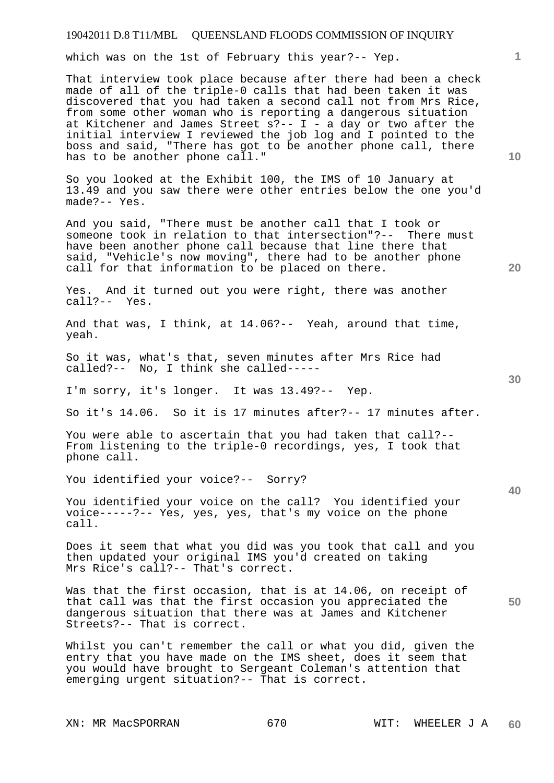which was on the 1st of February this year?-- Yep.

That interview took place because after there had been a check made of all of the triple-0 calls that had been taken it was discovered that you had taken a second call not from Mrs Rice, from some other woman who is reporting a dangerous situation at Kitchener and James Street s?-- I - a day or two after the initial interview I reviewed the job log and I pointed to the boss and said, "There has got to be another phone call, there has to be another phone call."

So you looked at the Exhibit 100, the IMS of 10 January at 13.49 and you saw there were other entries below the one you'd made?-- Yes.

And you said, "There must be another call that I took or someone took in relation to that intersection"?-- There must have been another phone call because that line there that said, "Vehicle's now moving", there had to be another phone call for that information to be placed on there.

Yes. And it turned out you were right, there was another call?-- Yes.

And that was, I think, at 14.06?-- Yeah, around that time, yeah.

So it was, what's that, seven minutes after Mrs Rice had called?-- No, I think she called-----

I'm sorry, it's longer. It was 13.49?-- Yep.

So it's 14.06. So it is 17 minutes after?-- 17 minutes after.

You were able to ascertain that you had taken that call?-- From listening to the triple-0 recordings, yes, I took that phone call.

You identified your voice?-- Sorry?

You identified your voice on the call? You identified your voice-----?-- Yes, yes, yes, that's my voice on the phone call.

Does it seem that what you did was you took that call and you then updated your original IMS you'd created on taking Mrs Rice's call?-- That's correct.

Was that the first occasion, that is at 14.06, on receipt of that call was that the first occasion you appreciated the dangerous situation that there was at James and Kitchener Streets?-- That is correct.

Whilst you can't remember the call or what you did, given the entry that you have made on the IMS sheet, does it seem that you would have brought to Sergeant Coleman's attention that emerging urgent situation?-- That is correct.

XN: MR MacSPORRAN 670 670 WIT: WHEELER J A **60** 

**30** 

**20** 

**10** 

**1**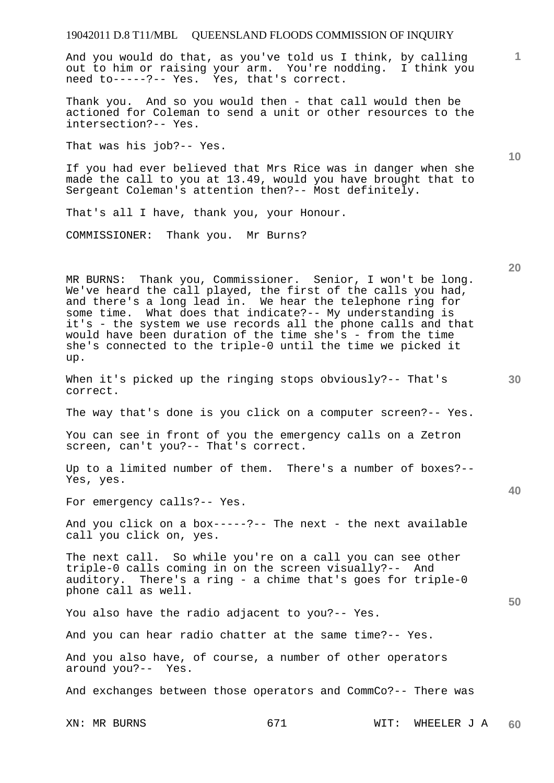# 19042011 D.8 T11/MBL QUEENSLAND FLOODS COMMISSION OF INQUIRY XN: MR BURNS 671 WIT: WHEELER J A **1 10 20 30 40 50 60**  And you would do that, as you've told us I think, by calling out to him or raising your arm. You're nodding. I think you need to-----?-- Yes. Yes, that's correct. Thank you. And so you would then - that call would then be actioned for Coleman to send a unit or other resources to the intersection?-- Yes. That was his job?-- Yes. If you had ever believed that Mrs Rice was in danger when she made the call to you at 13.49, would you have brought that to Sergeant Coleman's attention then?-- Most definitely. That's all I have, thank you, your Honour. COMMISSIONER: Thank you. Mr Burns? MR BURNS: Thank you, Commissioner. Senior, I won't be long. We've heard the call played, the first of the calls you had, and there's a long lead in. We hear the telephone ring for some time. What does that indicate?-- My understanding is it's - the system we use records all the phone calls and that would have been duration of the time she's - from the time she's connected to the triple-0 until the time we picked it up. When it's picked up the ringing stops obviously?-- That's correct. The way that's done is you click on a computer screen?-- Yes. You can see in front of you the emergency calls on a Zetron screen, can't you?-- That's correct. Up to a limited number of them. There's a number of boxes?-- Yes, yes. For emergency calls?-- Yes. And you click on a  $box---?--$  The next - the next available call you click on, yes. The next call. So while you're on a call you can see other triple-0 calls coming in on the screen visually?-- And auditory. There's a ring - a chime that's goes for triple-0 phone call as well. You also have the radio adjacent to you?-- Yes. And you can hear radio chatter at the same time?-- Yes. And you also have, of course, a number of other operators around you?-- Yes. And exchanges between those operators and CommCo?-- There was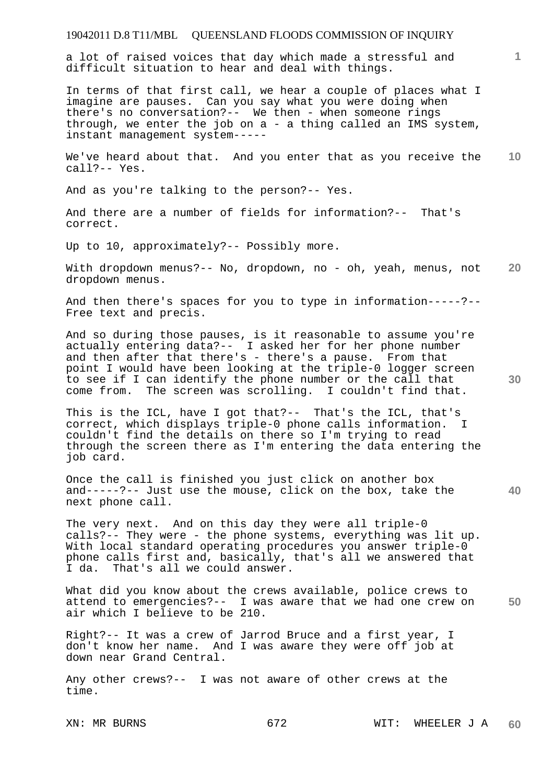a lot of raised voices that day which made a stressful and difficult situation to hear and deal with things.

In terms of that first call, we hear a couple of places what I imagine are pauses. Can you say what you were doing when there's no conversation?-- We then - when someone rings through, we enter the job on a - a thing called an IMS system, instant management system-----

**10**  We've heard about that. And you enter that as you receive the call?-- Yes.

And as you're talking to the person?-- Yes.

And there are a number of fields for information?-- That's correct.

Up to 10, approximately?-- Possibly more.

**20**  With dropdown menus?-- No, dropdown, no - oh, yeah, menus, not dropdown menus.

And then there's spaces for you to type in information-----?-- Free text and precis.

And so during those pauses, is it reasonable to assume you're actually entering data?-- I asked her for her phone number and then after that there's - there's a pause. From that point I would have been looking at the triple-0 logger screen to see if I can identify the phone number or the call that come from. The screen was scrolling. I couldn't find that.

This is the ICL, have I got that?-- That's the ICL, that's correct, which displays triple-0 phone calls information. I couldn't find the details on there so I'm trying to read through the screen there as I'm entering the data entering the job card.

Once the call is finished you just click on another box and-----?-- Just use the mouse, click on the box, take the next phone call.

The very next. And on this day they were all triple-0 calls?-- They were - the phone systems, everything was lit up. With local standard operating procedures you answer triple-0 phone calls first and, basically, that's all we answered that I da. That's all we could answer.

**50**  What did you know about the crews available, police crews to attend to emergencies?-- I was aware that we had one crew on air which I believe to be 210.

Right?-- It was a crew of Jarrod Bruce and a first year, I don't know her name. And I was aware they were off job at down near Grand Central.

Any other crews?-- I was not aware of other crews at the time.

**1**

**30**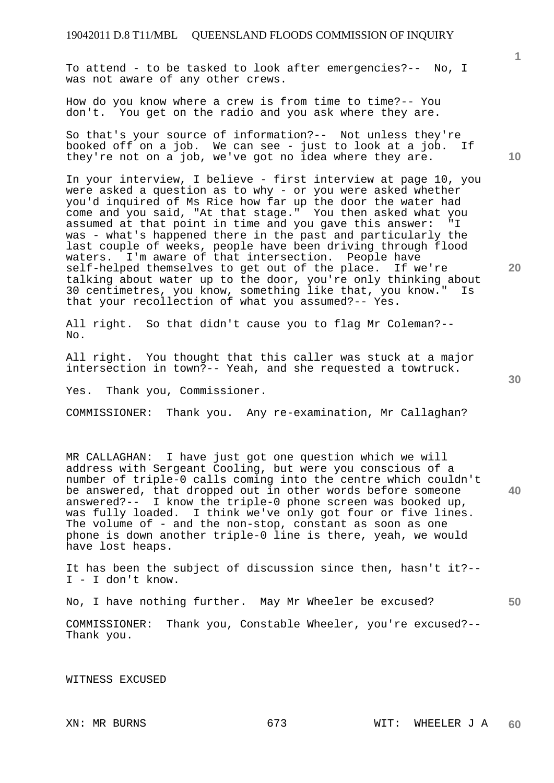To attend - to be tasked to look after emergencies?-- No, I was not aware of any other crews.

How do you know where a crew is from time to time?-- You don't. You get on the radio and you ask where they are.

So that's your source of information?-- Not unless they're booked off on a job. We can see - just to look at a job. If they're not on a job, we've got no idea where they are.

In your interview, I believe - first interview at page 10, you were asked a question as to why - or you were asked whether you'd inquired of Ms Rice how far up the door the water had come and you said, "At that stage." You then asked what you assumed at that point in time and you gave this answer: "I was - what's happened there in the past and particularly the last couple of weeks, people have been driving through flood waters. I'm aware of that intersection. People have self-helped themselves to get out of the place. If we're talking about water up to the door, you're only thinking about 30 centimetres, you know, something like that, you know." Is that your recollection of what you assumed?-- Yes.

All right. So that didn't cause you to flag Mr Coleman?-- No.

All right. You thought that this caller was stuck at a major intersection in town?-- Yeah, and she requested a towtruck.

Yes. Thank you, Commissioner.

COMMISSIONER: Thank you. Any re-examination, Mr Callaghan?

MR CALLAGHAN: I have just got one question which we will address with Sergeant Cooling, but were you conscious of a number of triple-0 calls coming into the centre which couldn't be answered, that dropped out in other words before someone answered?-- I know the triple-0 phone screen was booked up, was fully loaded. I think we've only got four or five lines. The volume of - and the non-stop, constant as soon as one phone is down another triple-0 line is there, yeah, we would have lost heaps.

It has been the subject of discussion since then, hasn't it?-- I - I don't know.

No, I have nothing further. May Mr Wheeler be excused?

**50** 

COMMISSIONER: Thank you, Constable Wheeler, you're excused?-- Thank you.

WITNESS EXCUSED

**10** 

**1**

**20**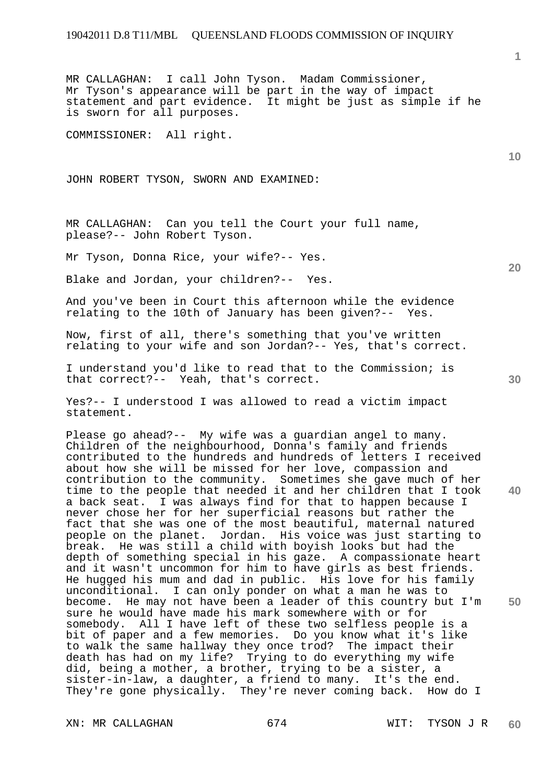MR CALLAGHAN: I call John Tyson. Madam Commissioner, Mr Tyson's appearance will be part in the way of impact statement and part evidence. It might be just as simple if he is sworn for all purposes.

COMMISSIONER: All right.

JOHN ROBERT TYSON, SWORN AND EXAMINED:

MR CALLAGHAN: Can you tell the Court your full name, please?-- John Robert Tyson.

Mr Tyson, Donna Rice, your wife?-- Yes.

Blake and Jordan, your children?-- Yes.

And you've been in Court this afternoon while the evidence relating to the 10th of January has been given?-- Yes.

Now, first of all, there's something that you've written relating to your wife and son Jordan?-- Yes, that's correct.

I understand you'd like to read that to the Commission; is that correct?-- Yeah, that's correct.

Yes?-- I understood I was allowed to read a victim impact statement.

**40 50**  Please go ahead?-- My wife was a guardian angel to many. Children of the neighbourhood, Donna's family and friends contributed to the hundreds and hundreds of letters I received about how she will be missed for her love, compassion and contribution to the community. Sometimes she gave much of her time to the people that needed it and her children that I took a back seat. I was always find for that to happen because I never chose her for her superficial reasons but rather the fact that she was one of the most beautiful, maternal natured people on the planet. Jordan. His voice was just starting to break. He was still a child with boyish looks but had the depth of something special in his gaze. A compassionate heart and it wasn't uncommon for him to have girls as best friends. He hugged his mum and dad in public. His love for his family unconditional. I can only ponder on what a man he was to become. He may not have been a leader of this country but I'm sure he would have made his mark somewhere with or for somebody. All I have left of these two selfless people is a bit of paper and a few memories. Do you know what it's like to walk the same hallway they once trod? The impact their death has had on my life? Trying to do everything my wife did, being a mother, a brother, trying to be a sister, a sister-in-law, a daughter, a friend to many. It's the end. They're gone physically. They're never coming back. How do I

XN: MR CALLAGHAN 674 WIT: TYSON J R

**10** 

**1**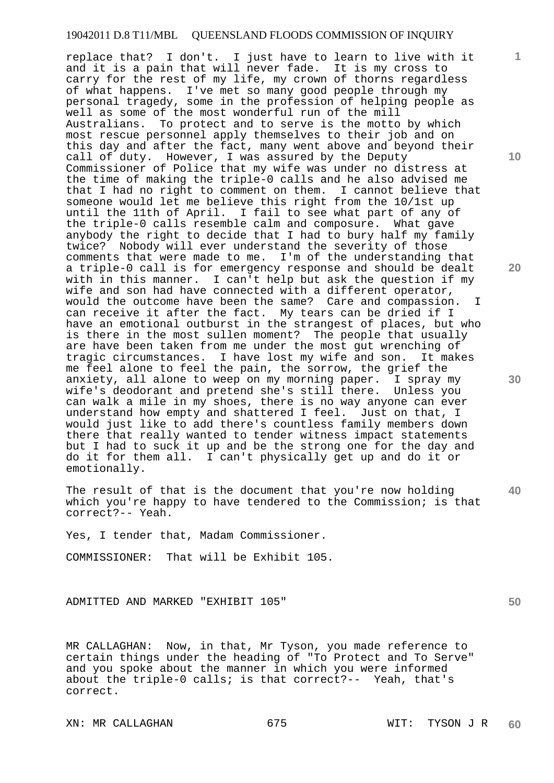replace that? I don't. I just have to learn to live with it and it is a pain that will never fade. It is my cross to carry for the rest of my life, my crown of thorns regardless of what happens. I've met so many good people through my personal tragedy, some in the profession of helping people as well as some of the most wonderful run of the mill Australians. To protect and to serve is the motto by which most rescue personnel apply themselves to their job and on this day and after the fact, many went above and beyond their call of duty. However, I was assured by the Deputy Commissioner of Police that my wife was under no distress at the time of making the triple-0 calls and he also advised me that I had no right to comment on them. I cannot believe that someone would let me believe this right from the 10/1st up until the 11th of April. I fail to see what part of any of the triple-0 calls resemble calm and composure. What gave anybody the right to decide that I had to bury half my family twice? Nobody will ever understand the severity of those comments that were made to me. I'm of the understanding that a triple-0 call is for emergency response and should be dealt with in this manner. I can't help but ask the question if my wife and son had have connected with a different operator, would the outcome have been the same? Care and compassion. I can receive it after the fact. My tears can be dried if I have an emotional outburst in the strangest of places, but who is there in the most sullen moment? The people that usually are have been taken from me under the most gut wrenching of tragic circumstances. I have lost my wife and son. It makes me feel alone to feel the pain, the sorrow, the grief the anxiety, all alone to weep on my morning paper. I spray my wife's deodorant and pretend she's still there. Unless you can walk a mile in my shoes, there is no way anyone can ever understand how empty and shattered I feel. Just on that, I would just like to add there's countless family members down there that really wanted to tender witness impact statements but I had to suck it up and be the strong one for the day and do it for them all. I can't physically get up and do it or emotionally.

**40**  The result of that is the document that you're now holding which you're happy to have tendered to the Commission; is that correct?-- Yeah.

Yes, I tender that, Madam Commissioner.

COMMISSIONER: That will be Exhibit 105.

ADMITTED AND MARKED "EXHIBIT 105"

MR CALLAGHAN: Now, in that, Mr Tyson, you made reference to certain things under the heading of "To Protect and To Serve" and you spoke about the manner in which you were informed about the triple-0 calls; is that correct?-- Yeah, that's correct.

**10** 

**1**

**20** 

**30**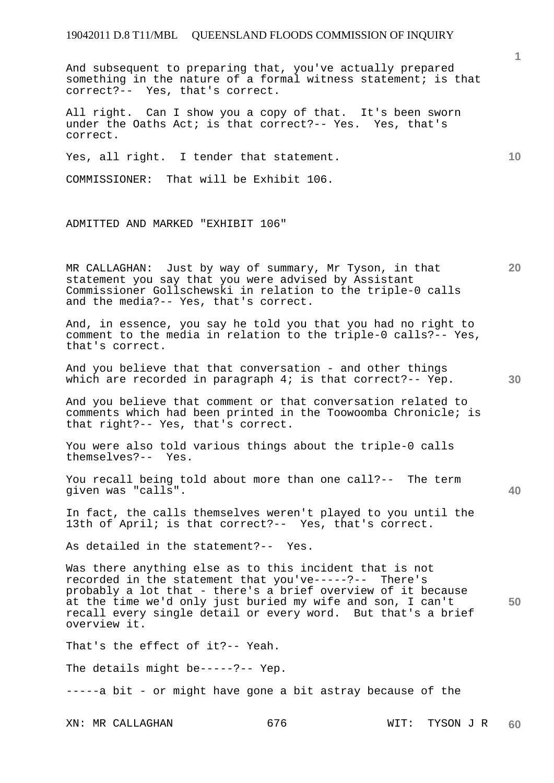And subsequent to preparing that, you've actually prepared something in the nature of a formal witness statement; is that correct?-- Yes, that's correct.

All right. Can I show you a copy of that. It's been sworn under the Oaths Act; is that correct?-- Yes. Yes, that's correct.

Yes, all right. I tender that statement.

COMMISSIONER: That will be Exhibit 106.

ADMITTED AND MARKED "EXHIBIT 106"

MR CALLAGHAN: Just by way of summary, Mr Tyson, in that statement you say that you were advised by Assistant Commissioner Gollschewski in relation to the triple-0 calls and the media?-- Yes, that's correct.

And, in essence, you say he told you that you had no right to comment to the media in relation to the triple-0 calls?-- Yes, that's correct.

And you believe that that conversation - and other things which are recorded in paragraph 4; is that correct?-- Yep.

And you believe that comment or that conversation related to comments which had been printed in the Toowoomba Chronicle; is that right?-- Yes, that's correct.

You were also told various things about the triple-0 calls themselves?-- Yes.

You recall being told about more than one call?-- The term given was "calls".

In fact, the calls themselves weren't played to you until the 13th of April; is that correct?-- Yes, that's correct.

As detailed in the statement?-- Yes.

**50**  Was there anything else as to this incident that is not recorded in the statement that you've-----?-- There's probably a lot that - there's a brief overview of it because at the time we'd only just buried my wife and son, I can't recall every single detail or every word. But that's a brief overview it.

That's the effect of it?-- Yeah.

The details might be-----?-- Yep.

-----a bit - or might have gone a bit astray because of the

**1**

**20** 

**10** 

**30**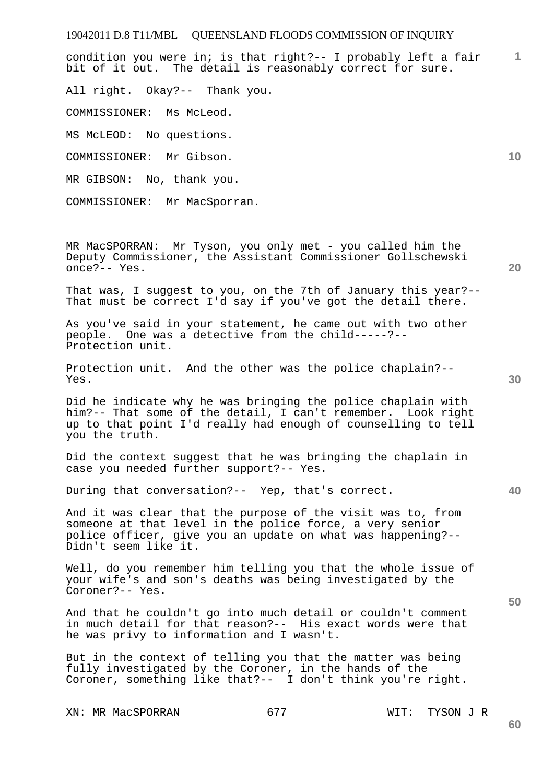19042011 D.8 T11/MBL QUEENSLAND FLOODS COMMISSION OF INQUIRY **1 10 20**  condition you were in; is that right?-- I probably left a fair bit of it out. The detail is reasonably correct for sure. All right. Okay?-- Thank you. COMMISSIONER: Ms McLeod. MS McLEOD: No questions. COMMISSIONER: Mr Gibson. MR GIBSON: No, thank you. COMMISSIONER: Mr MacSporran. MR MacSPORRAN: Mr Tyson, you only met - you called him the Deputy Commissioner, the Assistant Commissioner Gollschewski

That was, I suggest to you, on the 7th of January this year?-- That must be correct I'd say if you've got the detail there.

As you've said in your statement, he came out with two other people. One was a detective from the child-----?-- Protection unit.

Protection unit. And the other was the police chaplain?-- Yes.

Did he indicate why he was bringing the police chaplain with him?-- That some of the detail, I can't remember. Look right up to that point I'd really had enough of counselling to tell you the truth.

Did the context suggest that he was bringing the chaplain in case you needed further support?-- Yes.

During that conversation?-- Yep, that's correct.

And it was clear that the purpose of the visit was to, from someone at that level in the police force, a very senior police officer, give you an update on what was happening?-- Didn't seem like it.

Well, do you remember him telling you that the whole issue of your wife's and son's deaths was being investigated by the Coroner?-- Yes.

And that he couldn't go into much detail or couldn't comment in much detail for that reason?-- His exact words were that he was privy to information and I wasn't.

But in the context of telling you that the matter was being fully investigated by the Coroner, in the hands of the Coroner, something like that?-- I don't think you're right.

XN: MR MacSPORRAN 677 677 WIT: TYSON J R

once?-- Yes.

**30** 

**40** 

**50**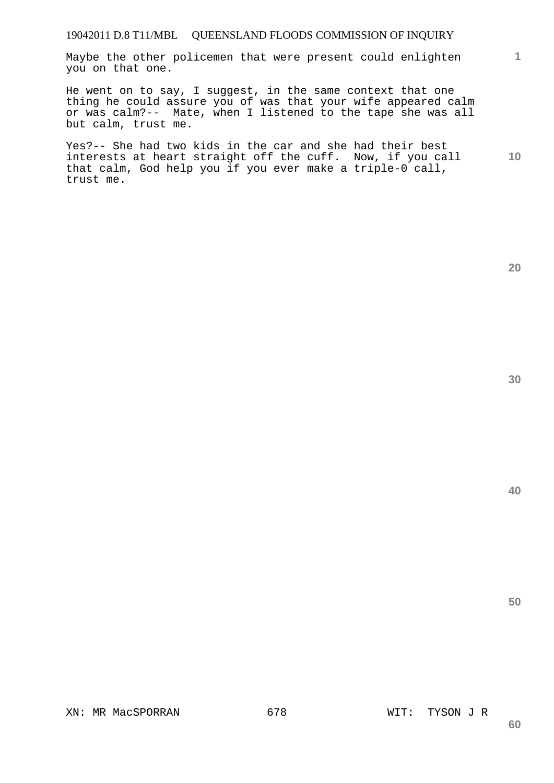## 19042011 D.8 T11/MBL QUEENSLAND FLOODS COMMISSION OF INQUIRY

Maybe the other policemen that were present could enlighten you on that one.

He went on to say, I suggest, in the same context that one thing he could assure you of was that your wife appeared calm or was calm?-- Mate, when I listened to the tape she was all but calm, trust me.

**10**  Yes?-- She had two kids in the car and she had their best interests at heart straight off the cuff. Now, if you call that calm, God help you if you ever make a triple-0 call, trust me.

**40** 

**50** 

**20**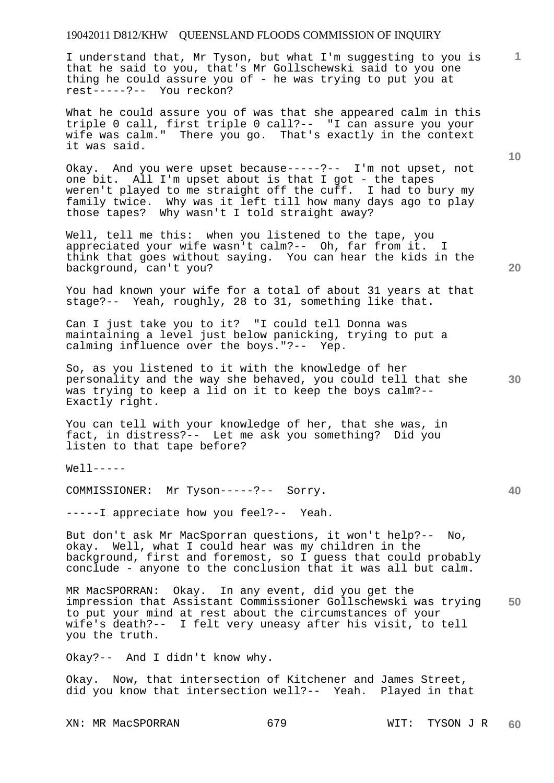## 19042011 D812/KHW QUEENSLAND FLOODS COMMISSION OF INQUIRY

I understand that, Mr Tyson, but what I'm suggesting to you is that he said to you, that's Mr Gollschewski said to you one thing he could assure you of - he was trying to put you at rest-----?-- You reckon?

What he could assure you of was that she appeared calm in this triple 0 call, first triple 0 call?-- "I can assure you your wife was calm." There you go. That's exactly in the context it was said.

Okay. And you were upset because-----?-- I'm not upset, not one bit. All I'm upset about is that I got - the tapes weren't played to me straight off the cuff. I had to bury my family twice. Why was it left till how many days ago to play those tapes? Why wasn't I told straight away?

Well, tell me this: when you listened to the tape, you appreciated your wife wasn't calm?-- Oh, far from it. I think that goes without saying. You can hear the kids in the background, can't you?

You had known your wife for a total of about 31 years at that stage?-- Yeah, roughly, 28 to 31, something like that.

Can I just take you to it? "I could tell Donna was maintaining a level just below panicking, trying to put a calming influence over the boys."?-- Yep.

So, as you listened to it with the knowledge of her personality and the way she behaved, you could tell that she was trying to keep a lid on it to keep the boys calm?-- Exactly right.

You can tell with your knowledge of her, that she was, in fact, in distress?-- Let me ask you something? Did you listen to that tape before?

Well-----

COMMISSIONER: Mr Tyson-----?-- Sorry.

-----I appreciate how you feel?-- Yeah.

But don't ask Mr MacSporran questions, it won't help?-- No, okay. Well, what I could hear was my children in the background, first and foremost, so I guess that could probably conclude - anyone to the conclusion that it was all but calm.

**50**  MR MacSPORRAN: Okay. In any event, did you get the impression that Assistant Commissioner Gollschewski was trying to put your mind at rest about the circumstances of your wife's death?-- I felt very uneasy after his visit, to tell you the truth.

Okay?-- And I didn't know why.

Okay. Now, that intersection of Kitchener and James Street, did you know that intersection well?-- Yeah. Played in that

XN: MR MacSPORRAN 679 WIT: TYSON J R

**60** 

**20** 

**30** 

**10**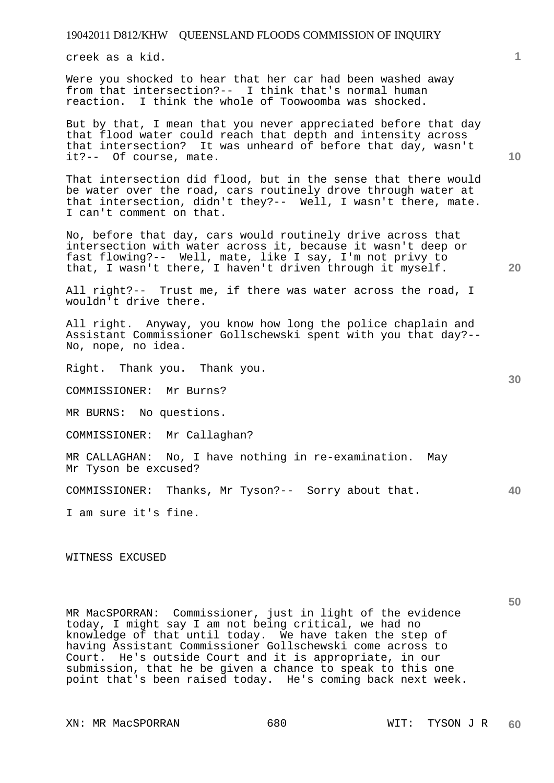creek as a kid.

Were you shocked to hear that her car had been washed away from that intersection?-- I think that's normal human reaction. I think the whole of Toowoomba was shocked.

But by that, I mean that you never appreciated before that day that flood water could reach that depth and intensity across that intersection? It was unheard of before that day, wasn't it?-- Of course, mate.

That intersection did flood, but in the sense that there would be water over the road, cars routinely drove through water at that intersection, didn't they?-- Well, I wasn't there, mate. I can't comment on that.

No, before that day, cars would routinely drive across that intersection with water across it, because it wasn't deep or fast flowing?-- Well, mate, like I say, I'm not privy to that, I wasn't there, I haven't driven through it myself.

All right?-- Trust me, if there was water across the road, I wouldn't drive there.

All right. Anyway, you know how long the police chaplain and Assistant Commissioner Gollschewski spent with you that day?-- No, nope, no idea.

Right. Thank you. Thank you.

COMMISSIONER: Mr Burns?

MR BURNS: No questions.

COMMISSIONER: Mr Callaghan?

MR CALLAGHAN: No, I have nothing in re-examination. May Mr Tyson be excused?

**40**  COMMISSIONER: Thanks, Mr Tyson?-- Sorry about that.

I am sure it's fine.

WITNESS EXCUSED

MR MacSPORRAN: Commissioner, just in light of the evidence today, I might say I am not being critical, we had no knowledge of that until today. We have taken the step of having Assistant Commissioner Gollschewski come across to Court. He's outside Court and it is appropriate, in our submission, that he be given a chance to speak to this one point that's been raised today. He's coming back next week.

XN: MR MacSPORRAN 680 WIT: TYSON J R

**1**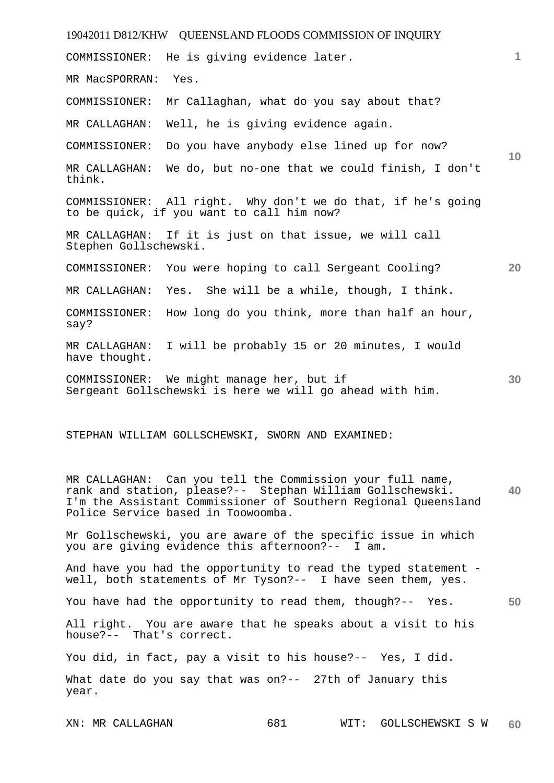19042011 D812/KHW QUEENSLAND FLOODS COMMISSION OF INQUIRY XN: MR CALLAGHAN 681 WIT: GOLLSCHEWSKI S W **1 10 20 30 40 50 60**  COMMISSIONER: He is giving evidence later. MR MacSPORRAN: Yes. COMMISSIONER: Mr Callaghan, what do you say about that? MR CALLAGHAN: Well, he is giving evidence again. COMMISSIONER: Do you have anybody else lined up for now? MR CALLAGHAN: We do, but no-one that we could finish, I don't think. COMMISSIONER: All right. Why don't we do that, if he's going to be quick, if you want to call him now? MR CALLAGHAN: If it is just on that issue, we will call Stephen Gollschewski. COMMISSIONER: You were hoping to call Sergeant Cooling? MR CALLAGHAN: Yes. She will be a while, though, I think. COMMISSIONER: How long do you think, more than half an hour, say? MR CALLAGHAN: I will be probably 15 or 20 minutes, I would have thought. COMMISSIONER: We might manage her, but if Sergeant Gollschewski is here we will go ahead with him. STEPHAN WILLIAM GOLLSCHEWSKI, SWORN AND EXAMINED: MR CALLAGHAN: Can you tell the Commission your full name, rank and station, please?-- Stephan William Gollschewski. I'm the Assistant Commissioner of Southern Regional Queensland Police Service based in Toowoomba. Mr Gollschewski, you are aware of the specific issue in which you are giving evidence this afternoon?-- I am. And have you had the opportunity to read the typed statement well, both statements of Mr Tyson?-- I have seen them, yes. You have had the opportunity to read them, though?-- Yes. All right. You are aware that he speaks about a visit to his house?-- That's correct. You did, in fact, pay a visit to his house?-- Yes, I did. What date do you say that was on?-- 27th of January this year.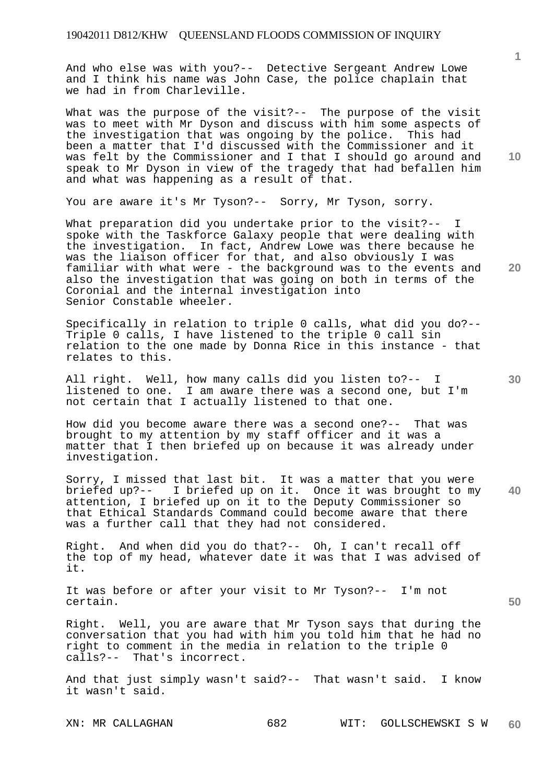And who else was with you?-- Detective Sergeant Andrew Lowe and I think his name was John Case, the police chaplain that we had in from Charleville.

What was the purpose of the visit?-- The purpose of the visit was to meet with Mr Dyson and discuss with him some aspects of the investigation that was ongoing by the police. This had been a matter that I'd discussed with the Commissioner and it was felt by the Commissioner and I that I should go around and speak to Mr Dyson in view of the tragedy that had befallen him and what was happening as a result of that.

You are aware it's Mr Tyson?-- Sorry, Mr Tyson, sorry.

What preparation did you undertake prior to the visit?-spoke with the Taskforce Galaxy people that were dealing with the investigation. In fact, Andrew Lowe was there because he was the liaison officer for that, and also obviously I was familiar with what were - the background was to the events and also the investigation that was going on both in terms of the Coronial and the internal investigation into Senior Constable wheeler.

Specifically in relation to triple 0 calls, what did you do?-- Triple 0 calls, I have listened to the triple 0 call sin relation to the one made by Donna Rice in this instance - that relates to this.

All right. Well, how many calls did you listen to?-- I listened to one. I am aware there was a second one, but I'm not certain that I actually listened to that one.

How did you become aware there was a second one?-- That was brought to my attention by my staff officer and it was a matter that I then briefed up on because it was already under investigation.

**40**  Sorry, I missed that last bit. It was a matter that you were briefed up?-- I briefed up on it. Once it was brought to my attention, I briefed up on it to the Deputy Commissioner so that Ethical Standards Command could become aware that there was a further call that they had not considered.

Right. And when did you do that?-- Oh, I can't recall off the top of my head, whatever date it was that I was advised of it.

It was before or after your visit to Mr Tyson?-- I'm not certain.

Right. Well, you are aware that Mr Tyson says that during the conversation that you had with him you told him that he had no right to comment in the media in relation to the triple 0 calls?-- That's incorrect.

And that just simply wasn't said?-- That wasn't said. I know it wasn't said.

**10** 

**1**

**20** 

**30**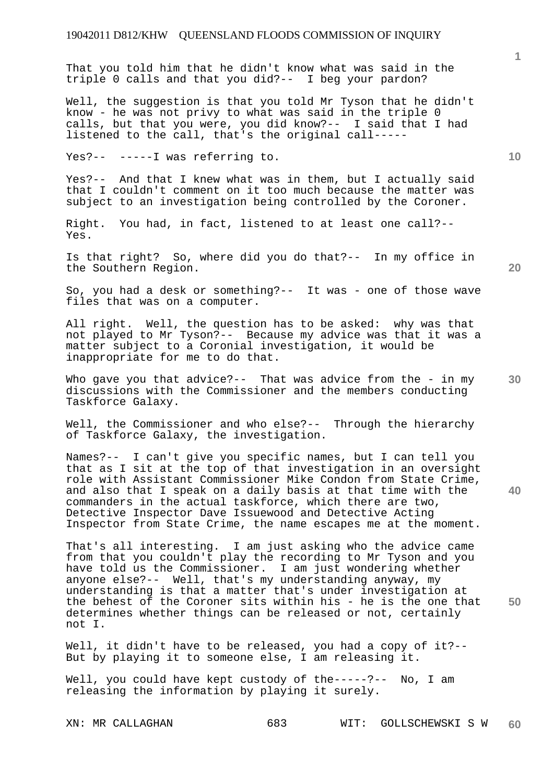That you told him that he didn't know what was said in the triple 0 calls and that you did?-- I beg your pardon?

Well, the suggestion is that you told Mr Tyson that he didn't know - he was not privy to what was said in the triple 0 calls, but that you were, you did know?-- I said that I had listened to the call, that's the original call-----

Yes?-- -----I was referring to.

Yes?-- And that I knew what was in them, but I actually said that I couldn't comment on it too much because the matter was subject to an investigation being controlled by the Coroner.

Right. You had, in fact, listened to at least one call?-- Yes.

Is that right? So, where did you do that?-- In my office in the Southern Region.

**20** 

**30** 

**40** 

**50** 

**1**

**10** 

So, you had a desk or something?-- It was - one of those wave files that was on a computer.

All right. Well, the question has to be asked: why was that not played to Mr Tyson?-- Because my advice was that it was a matter subject to a Coronial investigation, it would be inappropriate for me to do that.

Who gave you that advice?-- That was advice from the - in my discussions with the Commissioner and the members conducting Taskforce Galaxy.

Well, the Commissioner and who else?-- Through the hierarchy of Taskforce Galaxy, the investigation.

Names?-- I can't give you specific names, but I can tell you that as I sit at the top of that investigation in an oversight role with Assistant Commissioner Mike Condon from State Crime, and also that I speak on a daily basis at that time with the commanders in the actual taskforce, which there are two, Detective Inspector Dave Issuewood and Detective Acting Inspector from State Crime, the name escapes me at the moment.

That's all interesting. I am just asking who the advice came from that you couldn't play the recording to Mr Tyson and you have told us the Commissioner. I am just wondering whether anyone else?-- Well, that's my understanding anyway, my understanding is that a matter that's under investigation at the behest of the Coroner sits within his - he is the one that determines whether things can be released or not, certainly not I.

Well, it didn't have to be released, you had a copy of it?-- But by playing it to someone else, I am releasing it.

Well, you could have kept custody of the-----?-- No, I am releasing the information by playing it surely.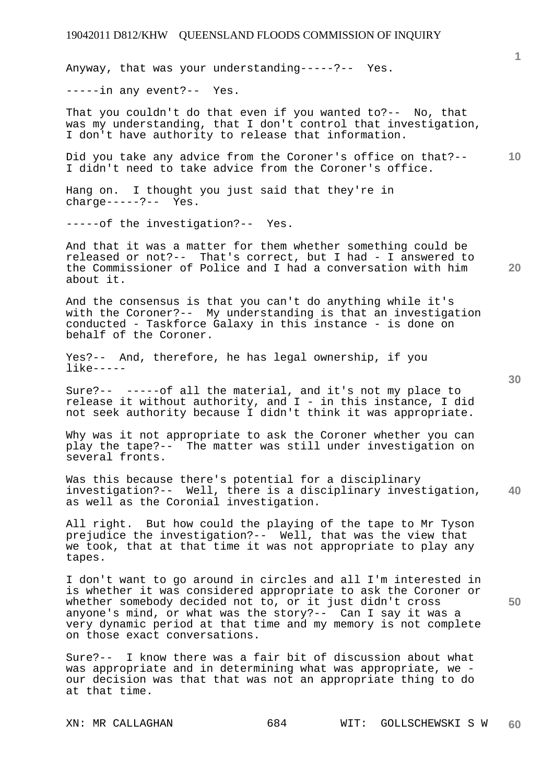## 19042011 D812/KHW QUEENSLAND FLOODS COMMISSION OF INQUIRY

Anyway, that was your understanding-----?-- Yes.

-----in any event?-- Yes.

That you couldn't do that even if you wanted to?-- No, that was my understanding, that I don't control that investigation, I don't have authority to release that information.

**10**  Did you take any advice from the Coroner's office on that?-- I didn't need to take advice from the Coroner's office.

Hang on. I thought you just said that they're in  $charge---?---$  Yes.

-----of the investigation?-- Yes.

And that it was a matter for them whether something could be released or not?-- That's correct, but I had - I answered to the Commissioner of Police and I had a conversation with him about it.

And the consensus is that you can't do anything while it's with the Coroner?-- My understanding is that an investigation conducted - Taskforce Galaxy in this instance - is done on behalf of the Coroner.

Yes?-- And, therefore, he has legal ownership, if you like-----

Sure?-- -----of all the material, and it's not my place to release it without authority, and I - in this instance, I did not seek authority because I didn't think it was appropriate.

Why was it not appropriate to ask the Coroner whether you can play the tape?-- The matter was still under investigation on several fronts.

**40**  Was this because there's potential for a disciplinary investigation?-- Well, there is a disciplinary investigation, as well as the Coronial investigation.

All right. But how could the playing of the tape to Mr Tyson prejudice the investigation?-- Well, that was the view that we took, that at that time it was not appropriate to play any tapes.

I don't want to go around in circles and all I'm interested in is whether it was considered appropriate to ask the Coroner or whether somebody decided not to, or it just didn't cross anyone's mind, or what was the story?-- Can I say it was a very dynamic period at that time and my memory is not complete on those exact conversations.

Sure?-- I know there was a fair bit of discussion about what was appropriate and in determining what was appropriate, we our decision was that that was not an appropriate thing to do at that time.

**30** 

**20** 

**50**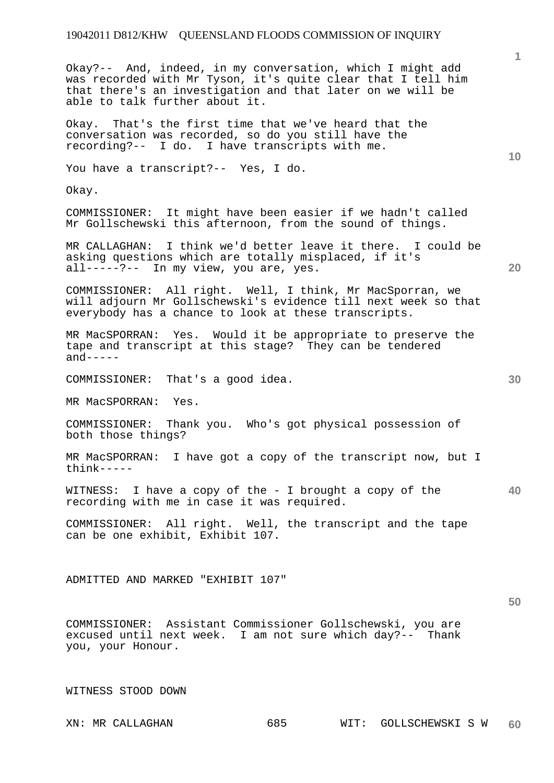**10 20 30 40 50**  Okay?-- And, indeed, in my conversation, which I might add was recorded with Mr Tyson, it's quite clear that I tell him that there's an investigation and that later on we will be able to talk further about it. Okay. That's the first time that we've heard that the conversation was recorded, so do you still have the recording?-- I do. I have transcripts with me. You have a transcript?-- Yes, I do. Okay. COMMISSIONER: It might have been easier if we hadn't called Mr Gollschewski this afternoon, from the sound of things. MR CALLAGHAN: I think we'd better leave it there. I could be asking questions which are totally misplaced, if it's all-----?-- In my view, you are, yes. COMMISSIONER: All right. Well, I think, Mr MacSporran, we will adjourn Mr Gollschewski's evidence till next week so that everybody has a chance to look at these transcripts. MR MacSPORRAN: Yes. Would it be appropriate to preserve the tape and transcript at this stage? They can be tendered  $and----$ COMMISSIONER: That's a good idea. MR MacSPORRAN: Yes. COMMISSIONER: Thank you. Who's got physical possession of both those things? MR MacSPORRAN: I have got a copy of the transcript now, but I think----- WITNESS: I have a copy of the - I brought a copy of the recording with me in case it was required. COMMISSIONER: All right. Well, the transcript and the tape can be one exhibit, Exhibit 107. ADMITTED AND MARKED "EXHIBIT 107" COMMISSIONER: Assistant Commissioner Gollschewski, you are

excused until next week. I am not sure which day?-- Thank you, your Honour.

WITNESS STOOD DOWN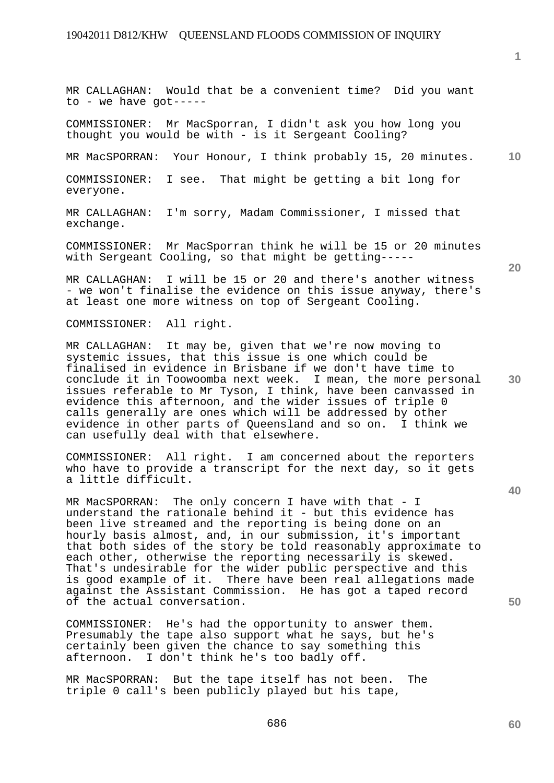MR CALLAGHAN: Would that be a convenient time? Did you want to - we have got-----

COMMISSIONER: Mr MacSporran, I didn't ask you how long you thought you would be with - is it Sergeant Cooling?

MR MacSPORRAN: Your Honour, I think probably 15, 20 minutes.

COMMISSIONER: I see. That might be getting a bit long for everyone.

MR CALLAGHAN: I'm sorry, Madam Commissioner, I missed that exchange.

COMMISSIONER: Mr MacSporran think he will be 15 or 20 minutes with Sergeant Cooling, so that might be getting-----

MR CALLAGHAN: I will be 15 or 20 and there's another witness - we won't finalise the evidence on this issue anyway, there's at least one more witness on top of Sergeant Cooling.

COMMISSIONER: All right.

MR CALLAGHAN: It may be, given that we're now moving to systemic issues, that this issue is one which could be finalised in evidence in Brisbane if we don't have time to conclude it in Toowoomba next week. I mean, the more personal issues referable to Mr Tyson, I think, have been canvassed in evidence this afternoon, and the wider issues of triple 0 calls generally are ones which will be addressed by other evidence in other parts of Queensland and so on. I think we can usefully deal with that elsewhere.

COMMISSIONER: All right. I am concerned about the reporters who have to provide a transcript for the next day, so it gets a little difficult.

MR MacSPORRAN: The only concern I have with that - I understand the rationale behind it - but this evidence has been live streamed and the reporting is being done on an hourly basis almost, and, in our submission, it's important that both sides of the story be told reasonably approximate to each other, otherwise the reporting necessarily is skewed. That's undesirable for the wider public perspective and this is good example of it. There have been real allegations made against the Assistant Commission. He has got a taped record of the actual conversation.

COMMISSIONER: He's had the opportunity to answer them. Presumably the tape also support what he says, but he's certainly been given the chance to say something this afternoon. I don't think he's too badly off.

MR MacSPORRAN: But the tape itself has not been. The triple 0 call's been publicly played but his tape,

**50** 

**30** 

**20** 

**1**